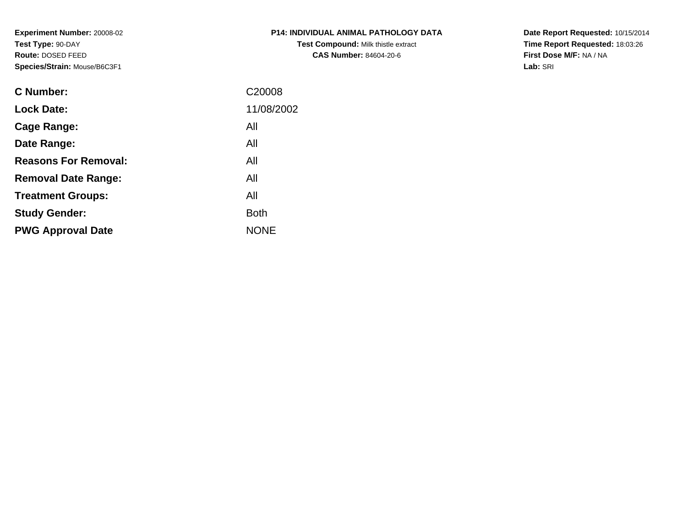**Experiment Number:** 20008-02**Test Type:** 90-DAY **Route:** DOSED FEED**Species/Strain:** Mouse/B6C3F1

| <b>P14: INDIVIDUAL ANIMAL PATHOLOGY DATA</b> |
|----------------------------------------------|
| <b>Test Compound: Milk thistle extract</b>   |
| <b>CAS Number: 84604-20-6</b>                |

**Date Report Requested:** 10/15/2014 **Time Report Requested:** 18:03:26**First Dose M/F:** NA / NA**Lab:** SRI

| C Number:                   | C <sub>20008</sub> |
|-----------------------------|--------------------|
| <b>Lock Date:</b>           | 11/08/2002         |
| Cage Range:                 | All                |
| Date Range:                 | All                |
| <b>Reasons For Removal:</b> | All                |
| <b>Removal Date Range:</b>  | All                |
| <b>Treatment Groups:</b>    | All                |
| <b>Study Gender:</b>        | <b>Both</b>        |
| <b>PWG Approval Date</b>    | <b>NONE</b>        |
|                             |                    |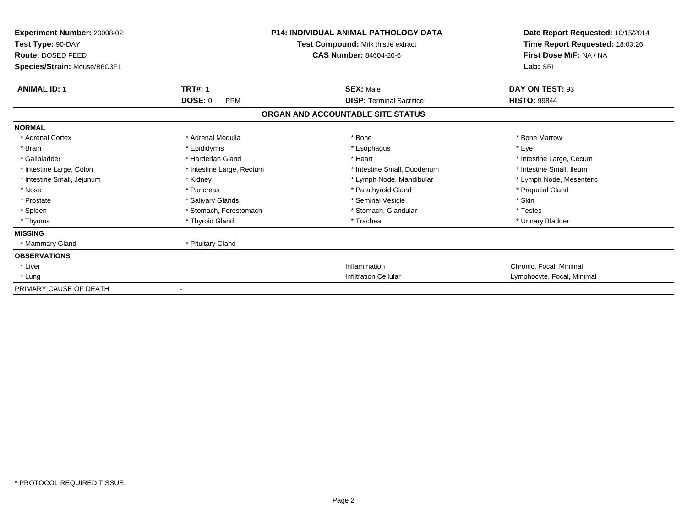| Experiment Number: 20008-02<br>Test Type: 90-DAY<br>Route: DOSED FEED<br>Species/Strain: Mouse/B6C3F1 |                              | <b>P14: INDIVIDUAL ANIMAL PATHOLOGY DATA</b><br>Test Compound: Milk thistle extract<br><b>CAS Number: 84604-20-6</b> | Date Report Requested: 10/15/2014<br>Time Report Requested: 18:03:26<br>First Dose M/F: NA / NA<br>Lab: SRI |
|-------------------------------------------------------------------------------------------------------|------------------------------|----------------------------------------------------------------------------------------------------------------------|-------------------------------------------------------------------------------------------------------------|
| <b>ANIMAL ID: 1</b>                                                                                   | <b>TRT#: 1</b>               | <b>SEX: Male</b>                                                                                                     | DAY ON TEST: 93                                                                                             |
|                                                                                                       | <b>DOSE: 0</b><br><b>PPM</b> | <b>DISP: Terminal Sacrifice</b>                                                                                      | <b>HISTO: 99844</b>                                                                                         |
|                                                                                                       |                              | ORGAN AND ACCOUNTABLE SITE STATUS                                                                                    |                                                                                                             |
| <b>NORMAL</b>                                                                                         |                              |                                                                                                                      |                                                                                                             |
| * Adrenal Cortex                                                                                      | * Adrenal Medulla            | * Bone                                                                                                               | * Bone Marrow                                                                                               |
| * Brain                                                                                               | * Epididymis                 | * Esophagus                                                                                                          | * Eye                                                                                                       |
| * Gallbladder                                                                                         | * Harderian Gland            | * Heart                                                                                                              | * Intestine Large, Cecum                                                                                    |
| * Intestine Large, Colon                                                                              | * Intestine Large, Rectum    | * Intestine Small, Duodenum                                                                                          | * Intestine Small, Ileum                                                                                    |
| * Intestine Small, Jejunum                                                                            | * Kidney                     | * Lymph Node, Mandibular                                                                                             | * Lymph Node, Mesenteric                                                                                    |
| * Nose                                                                                                | * Pancreas                   | * Parathyroid Gland                                                                                                  | * Preputial Gland                                                                                           |
| * Prostate                                                                                            | * Salivary Glands            | * Seminal Vesicle                                                                                                    | * Skin                                                                                                      |
| * Spleen                                                                                              | * Stomach. Forestomach       | * Stomach, Glandular                                                                                                 | * Testes                                                                                                    |
| * Thymus                                                                                              | * Thyroid Gland              | * Trachea                                                                                                            | * Urinary Bladder                                                                                           |
| <b>MISSING</b>                                                                                        |                              |                                                                                                                      |                                                                                                             |
| * Mammary Gland                                                                                       | * Pituitary Gland            |                                                                                                                      |                                                                                                             |
| <b>OBSERVATIONS</b>                                                                                   |                              |                                                                                                                      |                                                                                                             |
| * Liver                                                                                               |                              | Inflammation                                                                                                         | Chronic, Focal, Minimal                                                                                     |
| * Lung                                                                                                |                              | <b>Infiltration Cellular</b>                                                                                         | Lymphocyte, Focal, Minimal                                                                                  |
| PRIMARY CAUSE OF DEATH                                                                                | $\blacksquare$               |                                                                                                                      |                                                                                                             |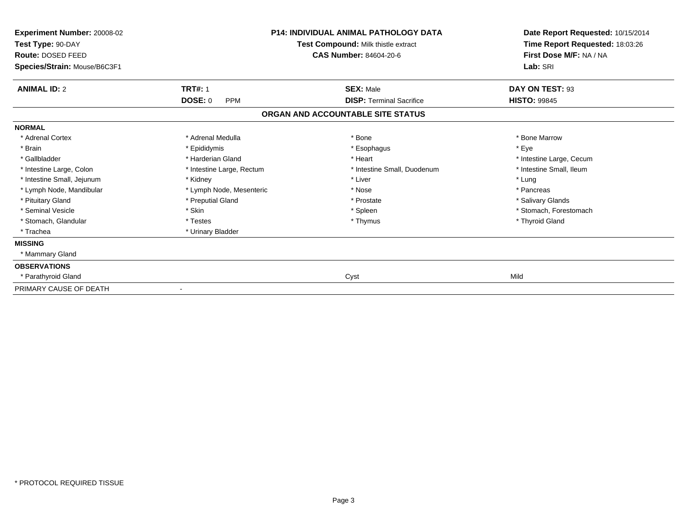| Experiment Number: 20008-02<br>Test Type: 90-DAY<br>Route: DOSED FEED<br>Species/Strain: Mouse/B6C3F1 |                              | <b>P14: INDIVIDUAL ANIMAL PATHOLOGY DATA</b><br>Test Compound: Milk thistle extract<br>CAS Number: 84604-20-6 | Date Report Requested: 10/15/2014<br>Time Report Requested: 18:03:26<br>First Dose M/F: NA / NA<br>Lab: SRI |
|-------------------------------------------------------------------------------------------------------|------------------------------|---------------------------------------------------------------------------------------------------------------|-------------------------------------------------------------------------------------------------------------|
| <b>ANIMAL ID: 2</b>                                                                                   | <b>TRT#: 1</b>               | <b>SEX: Male</b>                                                                                              | DAY ON TEST: 93                                                                                             |
|                                                                                                       | <b>DOSE: 0</b><br><b>PPM</b> | <b>DISP:</b> Terminal Sacrifice                                                                               | <b>HISTO: 99845</b>                                                                                         |
|                                                                                                       |                              | ORGAN AND ACCOUNTABLE SITE STATUS                                                                             |                                                                                                             |
| <b>NORMAL</b>                                                                                         |                              |                                                                                                               |                                                                                                             |
| * Adrenal Cortex                                                                                      | * Adrenal Medulla            | * Bone                                                                                                        | * Bone Marrow                                                                                               |
| * Brain                                                                                               | * Epididymis                 | * Esophagus                                                                                                   | * Eye                                                                                                       |
| * Gallbladder                                                                                         | * Harderian Gland            | * Heart                                                                                                       | * Intestine Large, Cecum                                                                                    |
| * Intestine Large, Colon                                                                              | * Intestine Large, Rectum    | * Intestine Small, Duodenum                                                                                   | * Intestine Small, Ileum                                                                                    |
| * Intestine Small, Jejunum                                                                            | * Kidney                     | * Liver                                                                                                       | * Lung                                                                                                      |
| * Lymph Node, Mandibular                                                                              | * Lymph Node, Mesenteric     | * Nose                                                                                                        | * Pancreas                                                                                                  |
| * Pituitary Gland                                                                                     | * Preputial Gland            | * Prostate                                                                                                    | * Salivary Glands                                                                                           |
| * Seminal Vesicle                                                                                     | * Skin                       | * Spleen                                                                                                      | * Stomach, Forestomach                                                                                      |
| * Stomach, Glandular                                                                                  | * Testes                     | * Thymus                                                                                                      | * Thyroid Gland                                                                                             |
| * Trachea                                                                                             | * Urinary Bladder            |                                                                                                               |                                                                                                             |
| <b>MISSING</b>                                                                                        |                              |                                                                                                               |                                                                                                             |
| * Mammary Gland                                                                                       |                              |                                                                                                               |                                                                                                             |
| <b>OBSERVATIONS</b>                                                                                   |                              |                                                                                                               |                                                                                                             |
| * Parathyroid Gland                                                                                   |                              | Cyst                                                                                                          | Mild                                                                                                        |
| PRIMARY CAUSE OF DEATH                                                                                |                              |                                                                                                               |                                                                                                             |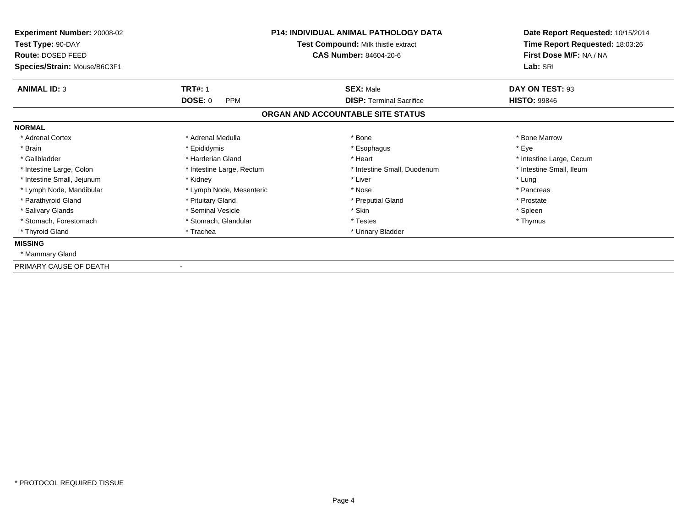| Experiment Number: 20008-02<br>Test Type: 90-DAY<br>Route: DOSED FEED<br>Species/Strain: Mouse/B6C3F1 |                           | <b>P14: INDIVIDUAL ANIMAL PATHOLOGY DATA</b><br>Test Compound: Milk thistle extract<br><b>CAS Number: 84604-20-6</b> | Date Report Requested: 10/15/2014<br>Time Report Requested: 18:03:26<br>First Dose M/F: NA / NA<br>Lab: SRI |
|-------------------------------------------------------------------------------------------------------|---------------------------|----------------------------------------------------------------------------------------------------------------------|-------------------------------------------------------------------------------------------------------------|
| <b>ANIMAL ID: 3</b>                                                                                   | <b>TRT#: 1</b>            | <b>SEX: Male</b>                                                                                                     | DAY ON TEST: 93                                                                                             |
|                                                                                                       | DOSE: 0<br><b>PPM</b>     | <b>DISP: Terminal Sacrifice</b>                                                                                      | <b>HISTO: 99846</b>                                                                                         |
|                                                                                                       |                           | ORGAN AND ACCOUNTABLE SITE STATUS                                                                                    |                                                                                                             |
| <b>NORMAL</b>                                                                                         |                           |                                                                                                                      |                                                                                                             |
| * Adrenal Cortex                                                                                      | * Adrenal Medulla         | * Bone                                                                                                               | * Bone Marrow                                                                                               |
| * Brain                                                                                               | * Epididymis              | * Esophagus                                                                                                          | * Eye                                                                                                       |
| * Gallbladder                                                                                         | * Harderian Gland         | * Heart                                                                                                              | * Intestine Large, Cecum                                                                                    |
| * Intestine Large, Colon                                                                              | * Intestine Large, Rectum | * Intestine Small, Duodenum                                                                                          | * Intestine Small, Ileum                                                                                    |
| * Intestine Small, Jejunum                                                                            | * Kidney                  | * Liver                                                                                                              | * Lung                                                                                                      |
| * Lymph Node, Mandibular                                                                              | * Lymph Node, Mesenteric  | * Nose                                                                                                               | * Pancreas                                                                                                  |
| * Parathyroid Gland                                                                                   | * Pituitary Gland         | * Preputial Gland                                                                                                    | * Prostate                                                                                                  |
| * Salivary Glands                                                                                     | * Seminal Vesicle         | * Skin                                                                                                               | * Spleen                                                                                                    |
| * Stomach, Forestomach                                                                                | * Stomach, Glandular      | * Testes                                                                                                             | * Thymus                                                                                                    |
| * Thyroid Gland                                                                                       | * Trachea                 | * Urinary Bladder                                                                                                    |                                                                                                             |
| <b>MISSING</b>                                                                                        |                           |                                                                                                                      |                                                                                                             |
| * Mammary Gland                                                                                       |                           |                                                                                                                      |                                                                                                             |
| PRIMARY CAUSE OF DEATH                                                                                |                           |                                                                                                                      |                                                                                                             |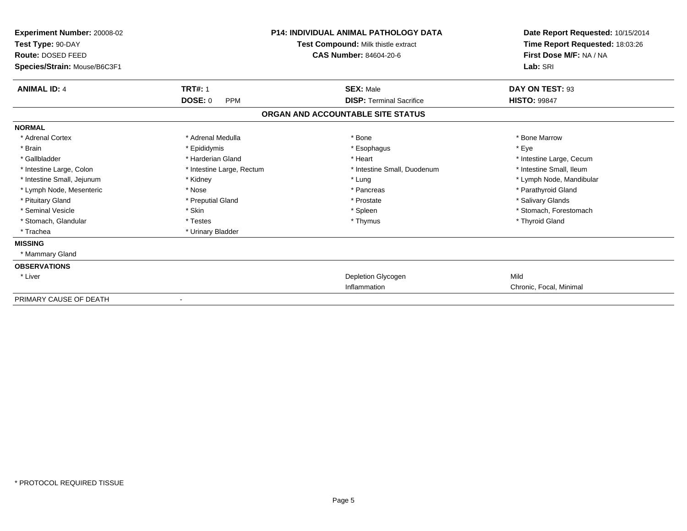| <b>Experiment Number: 20008-02</b><br>Test Type: 90-DAY<br>Route: DOSED FEED<br>Species/Strain: Mouse/B6C3F1 |                              | <b>P14: INDIVIDUAL ANIMAL PATHOLOGY DATA</b><br>Test Compound: Milk thistle extract<br><b>CAS Number: 84604-20-6</b> | Date Report Requested: 10/15/2014<br>Time Report Requested: 18:03:26<br>First Dose M/F: NA / NA<br>Lab: SRI |
|--------------------------------------------------------------------------------------------------------------|------------------------------|----------------------------------------------------------------------------------------------------------------------|-------------------------------------------------------------------------------------------------------------|
| <b>ANIMAL ID: 4</b>                                                                                          | <b>TRT#: 1</b>               | <b>SEX: Male</b>                                                                                                     | DAY ON TEST: 93                                                                                             |
|                                                                                                              | <b>DOSE: 0</b><br><b>PPM</b> | <b>DISP: Terminal Sacrifice</b>                                                                                      | <b>HISTO: 99847</b>                                                                                         |
|                                                                                                              |                              | ORGAN AND ACCOUNTABLE SITE STATUS                                                                                    |                                                                                                             |
| <b>NORMAL</b>                                                                                                |                              |                                                                                                                      |                                                                                                             |
| * Adrenal Cortex                                                                                             | * Adrenal Medulla            | * Bone                                                                                                               | * Bone Marrow                                                                                               |
| * Brain                                                                                                      | * Epididymis                 | * Esophagus                                                                                                          | * Eve                                                                                                       |
| * Gallbladder                                                                                                | * Harderian Gland            | * Heart                                                                                                              | * Intestine Large, Cecum                                                                                    |
| * Intestine Large, Colon                                                                                     | * Intestine Large, Rectum    | * Intestine Small, Duodenum                                                                                          | * Intestine Small, Ileum                                                                                    |
| * Intestine Small, Jejunum                                                                                   | * Kidney                     | * Lung                                                                                                               | * Lymph Node, Mandibular                                                                                    |
| * Lymph Node, Mesenteric                                                                                     | * Nose                       | * Pancreas                                                                                                           | * Parathyroid Gland                                                                                         |
| * Pituitary Gland                                                                                            | * Preputial Gland            | * Prostate                                                                                                           | * Salivary Glands                                                                                           |
| * Seminal Vesicle                                                                                            | * Skin                       | * Spleen                                                                                                             | * Stomach, Forestomach                                                                                      |
| * Stomach, Glandular                                                                                         | * Testes                     | * Thymus                                                                                                             | * Thyroid Gland                                                                                             |
| * Trachea                                                                                                    | * Urinary Bladder            |                                                                                                                      |                                                                                                             |
| <b>MISSING</b>                                                                                               |                              |                                                                                                                      |                                                                                                             |
| * Mammary Gland                                                                                              |                              |                                                                                                                      |                                                                                                             |
| <b>OBSERVATIONS</b>                                                                                          |                              |                                                                                                                      |                                                                                                             |
| * Liver                                                                                                      |                              | Depletion Glycogen                                                                                                   | Mild                                                                                                        |
|                                                                                                              |                              | Inflammation                                                                                                         | Chronic, Focal, Minimal                                                                                     |
| PRIMARY CAUSE OF DEATH                                                                                       |                              |                                                                                                                      |                                                                                                             |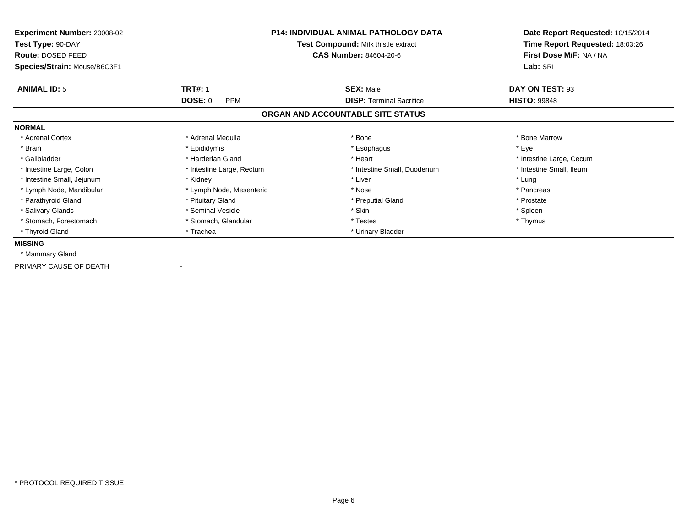| Experiment Number: 20008-02<br>Test Type: 90-DAY<br>Route: DOSED FEED<br>Species/Strain: Mouse/B6C3F1 |                           | <b>P14: INDIVIDUAL ANIMAL PATHOLOGY DATA</b><br>Test Compound: Milk thistle extract<br><b>CAS Number: 84604-20-6</b> | Date Report Requested: 10/15/2014<br>Time Report Requested: 18:03:26<br>First Dose M/F: NA / NA<br>Lab: SRI |
|-------------------------------------------------------------------------------------------------------|---------------------------|----------------------------------------------------------------------------------------------------------------------|-------------------------------------------------------------------------------------------------------------|
| <b>ANIMAL ID: 5</b>                                                                                   | <b>TRT#: 1</b>            | <b>SEX: Male</b>                                                                                                     | DAY ON TEST: 93                                                                                             |
|                                                                                                       | DOSE: 0<br><b>PPM</b>     | <b>DISP: Terminal Sacrifice</b>                                                                                      | <b>HISTO: 99848</b>                                                                                         |
|                                                                                                       |                           | ORGAN AND ACCOUNTABLE SITE STATUS                                                                                    |                                                                                                             |
| <b>NORMAL</b>                                                                                         |                           |                                                                                                                      |                                                                                                             |
| * Adrenal Cortex                                                                                      | * Adrenal Medulla         | * Bone                                                                                                               | * Bone Marrow                                                                                               |
| * Brain                                                                                               | * Epididymis              | * Esophagus                                                                                                          | * Eye                                                                                                       |
| * Gallbladder                                                                                         | * Harderian Gland         | * Heart                                                                                                              | * Intestine Large, Cecum                                                                                    |
| * Intestine Large, Colon                                                                              | * Intestine Large, Rectum | * Intestine Small, Duodenum                                                                                          | * Intestine Small, Ileum                                                                                    |
| * Intestine Small, Jejunum                                                                            | * Kidney                  | * Liver                                                                                                              | * Lung                                                                                                      |
| * Lymph Node, Mandibular                                                                              | * Lymph Node, Mesenteric  | * Nose                                                                                                               | * Pancreas                                                                                                  |
| * Parathyroid Gland                                                                                   | * Pituitary Gland         | * Preputial Gland                                                                                                    | * Prostate                                                                                                  |
| * Salivary Glands                                                                                     | * Seminal Vesicle         | * Skin                                                                                                               | * Spleen                                                                                                    |
| * Stomach, Forestomach                                                                                | * Stomach, Glandular      | * Testes                                                                                                             | * Thymus                                                                                                    |
| * Thyroid Gland                                                                                       | * Trachea                 | * Urinary Bladder                                                                                                    |                                                                                                             |
| <b>MISSING</b>                                                                                        |                           |                                                                                                                      |                                                                                                             |
| * Mammary Gland                                                                                       |                           |                                                                                                                      |                                                                                                             |
| PRIMARY CAUSE OF DEATH                                                                                |                           |                                                                                                                      |                                                                                                             |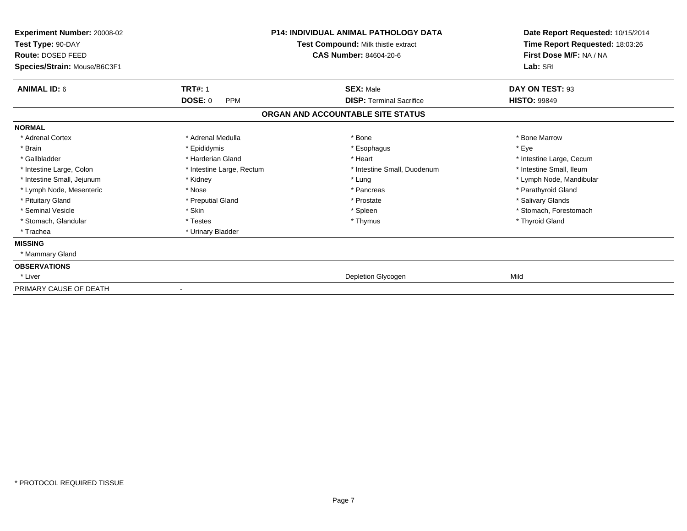| Experiment Number: 20008-02<br>Test Type: 90-DAY<br>Route: DOSED FEED<br>Species/Strain: Mouse/B6C3F1 |                           | <b>P14: INDIVIDUAL ANIMAL PATHOLOGY DATA</b><br>Test Compound: Milk thistle extract<br><b>CAS Number: 84604-20-6</b> | Date Report Requested: 10/15/2014<br>Time Report Requested: 18:03:26<br>First Dose M/F: NA / NA<br>Lab: SRI |
|-------------------------------------------------------------------------------------------------------|---------------------------|----------------------------------------------------------------------------------------------------------------------|-------------------------------------------------------------------------------------------------------------|
| <b>ANIMAL ID: 6</b>                                                                                   | <b>TRT#: 1</b>            | <b>SEX: Male</b>                                                                                                     | DAY ON TEST: 93                                                                                             |
|                                                                                                       | DOSE: 0<br><b>PPM</b>     | <b>DISP: Terminal Sacrifice</b>                                                                                      | <b>HISTO: 99849</b>                                                                                         |
|                                                                                                       |                           | ORGAN AND ACCOUNTABLE SITE STATUS                                                                                    |                                                                                                             |
| <b>NORMAL</b>                                                                                         |                           |                                                                                                                      |                                                                                                             |
| * Adrenal Cortex                                                                                      | * Adrenal Medulla         | * Bone                                                                                                               | * Bone Marrow                                                                                               |
| * Brain                                                                                               | * Epididymis              | * Esophagus                                                                                                          | * Eye                                                                                                       |
| * Gallbladder                                                                                         | * Harderian Gland         | * Heart                                                                                                              | * Intestine Large, Cecum                                                                                    |
| * Intestine Large, Colon                                                                              | * Intestine Large, Rectum | * Intestine Small, Duodenum                                                                                          | * Intestine Small, Ileum                                                                                    |
| * Intestine Small, Jejunum                                                                            | * Kidney                  | * Lung                                                                                                               | * Lymph Node, Mandibular                                                                                    |
| * Lymph Node, Mesenteric                                                                              | * Nose                    | * Pancreas                                                                                                           | * Parathyroid Gland                                                                                         |
| * Pituitary Gland                                                                                     | * Preputial Gland         | * Prostate                                                                                                           | * Salivary Glands                                                                                           |
| * Seminal Vesicle                                                                                     | * Skin                    | * Spleen                                                                                                             | * Stomach, Forestomach                                                                                      |
| * Stomach, Glandular                                                                                  | * Testes                  | * Thymus                                                                                                             | * Thyroid Gland                                                                                             |
| * Trachea                                                                                             | * Urinary Bladder         |                                                                                                                      |                                                                                                             |
| <b>MISSING</b>                                                                                        |                           |                                                                                                                      |                                                                                                             |
| * Mammary Gland                                                                                       |                           |                                                                                                                      |                                                                                                             |
| <b>OBSERVATIONS</b>                                                                                   |                           |                                                                                                                      |                                                                                                             |
| * Liver                                                                                               |                           | Depletion Glycogen                                                                                                   | Mild                                                                                                        |
| PRIMARY CAUSE OF DEATH                                                                                | $\blacksquare$            |                                                                                                                      |                                                                                                             |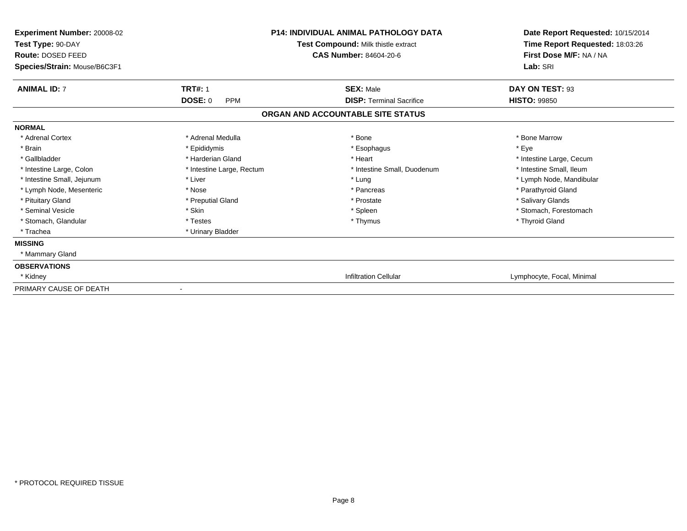| Experiment Number: 20008-02<br>Test Type: 90-DAY<br>Route: DOSED FEED<br>Species/Strain: Mouse/B6C3F1 |                              | <b>P14: INDIVIDUAL ANIMAL PATHOLOGY DATA</b><br>Test Compound: Milk thistle extract<br><b>CAS Number: 84604-20-6</b> | Date Report Requested: 10/15/2014<br>Time Report Requested: 18:03:26<br>First Dose M/F: NA / NA<br>Lab: SRI |
|-------------------------------------------------------------------------------------------------------|------------------------------|----------------------------------------------------------------------------------------------------------------------|-------------------------------------------------------------------------------------------------------------|
| <b>ANIMAL ID: 7</b>                                                                                   | <b>TRT#: 1</b>               | <b>SEX: Male</b>                                                                                                     | DAY ON TEST: 93                                                                                             |
|                                                                                                       | <b>DOSE: 0</b><br><b>PPM</b> | <b>DISP: Terminal Sacrifice</b>                                                                                      | <b>HISTO: 99850</b>                                                                                         |
|                                                                                                       |                              | ORGAN AND ACCOUNTABLE SITE STATUS                                                                                    |                                                                                                             |
| <b>NORMAL</b>                                                                                         |                              |                                                                                                                      |                                                                                                             |
| * Adrenal Cortex                                                                                      | * Adrenal Medulla            | * Bone                                                                                                               | * Bone Marrow                                                                                               |
| * Brain                                                                                               | * Epididymis                 | * Esophagus                                                                                                          | * Eye                                                                                                       |
| * Gallbladder                                                                                         | * Harderian Gland            | * Heart                                                                                                              | * Intestine Large, Cecum                                                                                    |
| * Intestine Large, Colon                                                                              | * Intestine Large, Rectum    | * Intestine Small, Duodenum                                                                                          | * Intestine Small, Ileum                                                                                    |
| * Intestine Small, Jejunum                                                                            | * Liver                      | * Lung                                                                                                               | * Lymph Node, Mandibular                                                                                    |
| * Lymph Node, Mesenteric                                                                              | * Nose                       | * Pancreas                                                                                                           | * Parathyroid Gland                                                                                         |
| * Pituitary Gland                                                                                     | * Preputial Gland            | * Prostate                                                                                                           | * Salivary Glands                                                                                           |
| * Seminal Vesicle                                                                                     | * Skin                       | * Spleen                                                                                                             | * Stomach, Forestomach                                                                                      |
| * Stomach, Glandular                                                                                  | * Testes                     | * Thymus                                                                                                             | * Thyroid Gland                                                                                             |
| * Trachea                                                                                             | * Urinary Bladder            |                                                                                                                      |                                                                                                             |
| <b>MISSING</b>                                                                                        |                              |                                                                                                                      |                                                                                                             |
| * Mammary Gland                                                                                       |                              |                                                                                                                      |                                                                                                             |
| <b>OBSERVATIONS</b>                                                                                   |                              |                                                                                                                      |                                                                                                             |
| * Kidney                                                                                              |                              | <b>Infiltration Cellular</b>                                                                                         | Lymphocyte, Focal, Minimal                                                                                  |
| PRIMARY CAUSE OF DEATH                                                                                | $\blacksquare$               |                                                                                                                      |                                                                                                             |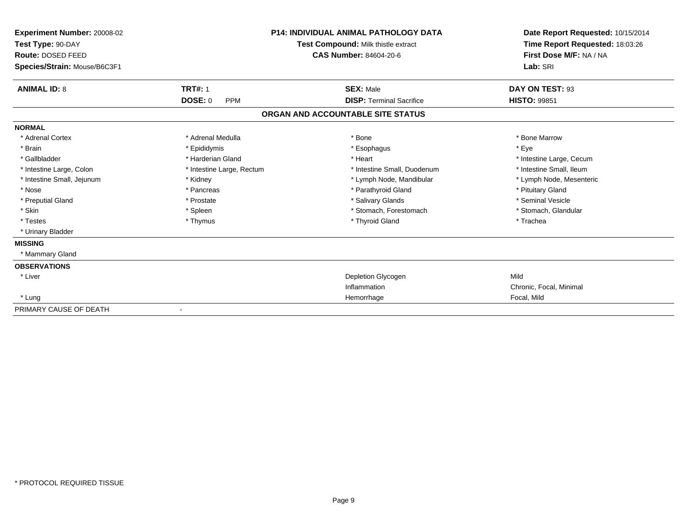| Experiment Number: 20008-02<br>Test Type: 90-DAY<br>Route: DOSED FEED<br>Species/Strain: Mouse/B6C3F1 |                              | <b>P14: INDIVIDUAL ANIMAL PATHOLOGY DATA</b><br>Test Compound: Milk thistle extract<br>CAS Number: 84604-20-6 | Date Report Requested: 10/15/2014<br>Time Report Requested: 18:03:26<br>First Dose M/F: NA / NA<br>Lab: SRI |
|-------------------------------------------------------------------------------------------------------|------------------------------|---------------------------------------------------------------------------------------------------------------|-------------------------------------------------------------------------------------------------------------|
| <b>ANIMAL ID: 8</b>                                                                                   | <b>TRT#: 1</b>               | <b>SEX: Male</b>                                                                                              | DAY ON TEST: 93                                                                                             |
|                                                                                                       | <b>DOSE: 0</b><br><b>PPM</b> | <b>DISP: Terminal Sacrifice</b>                                                                               | <b>HISTO: 99851</b>                                                                                         |
|                                                                                                       |                              | ORGAN AND ACCOUNTABLE SITE STATUS                                                                             |                                                                                                             |
| <b>NORMAL</b>                                                                                         |                              |                                                                                                               |                                                                                                             |
| * Adrenal Cortex                                                                                      | * Adrenal Medulla            | * Bone                                                                                                        | * Bone Marrow                                                                                               |
| * Brain                                                                                               | * Epididymis                 | * Esophagus                                                                                                   | * Eye                                                                                                       |
| * Gallbladder                                                                                         | * Harderian Gland            | * Heart                                                                                                       | * Intestine Large, Cecum                                                                                    |
| * Intestine Large, Colon                                                                              | * Intestine Large, Rectum    | * Intestine Small, Duodenum                                                                                   | * Intestine Small, Ileum                                                                                    |
| * Intestine Small, Jejunum                                                                            | * Kidney                     | * Lymph Node, Mandibular                                                                                      | * Lymph Node, Mesenteric                                                                                    |
| * Nose                                                                                                | * Pancreas                   | * Parathyroid Gland                                                                                           | * Pituitary Gland                                                                                           |
| * Preputial Gland                                                                                     | * Prostate                   | * Salivary Glands                                                                                             | * Seminal Vesicle                                                                                           |
| * Skin                                                                                                | * Spleen                     | * Stomach, Forestomach                                                                                        | * Stomach, Glandular                                                                                        |
| * Testes                                                                                              | * Thymus                     | * Thyroid Gland                                                                                               | * Trachea                                                                                                   |
| * Urinary Bladder                                                                                     |                              |                                                                                                               |                                                                                                             |
| <b>MISSING</b>                                                                                        |                              |                                                                                                               |                                                                                                             |
| * Mammary Gland                                                                                       |                              |                                                                                                               |                                                                                                             |
| <b>OBSERVATIONS</b>                                                                                   |                              |                                                                                                               |                                                                                                             |
| * Liver                                                                                               |                              | Depletion Glycogen                                                                                            | Mild                                                                                                        |
|                                                                                                       |                              | Inflammation                                                                                                  | Chronic, Focal, Minimal                                                                                     |
| * Lung                                                                                                |                              | Hemorrhage                                                                                                    | Focal, Mild                                                                                                 |
| PRIMARY CAUSE OF DEATH                                                                                |                              |                                                                                                               |                                                                                                             |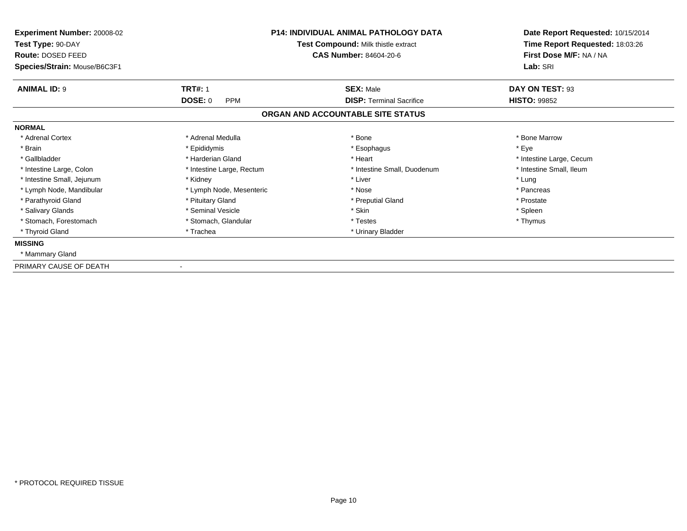| <b>Experiment Number: 20008-02</b><br>Test Type: 90-DAY<br>Route: DOSED FEED<br>Species/Strain: Mouse/B6C3F1 |                              | <b>P14: INDIVIDUAL ANIMAL PATHOLOGY DATA</b><br>Test Compound: Milk thistle extract<br><b>CAS Number: 84604-20-6</b> | Date Report Requested: 10/15/2014<br>Time Report Requested: 18:03:26<br>First Dose M/F: NA / NA<br>Lab: SRI |
|--------------------------------------------------------------------------------------------------------------|------------------------------|----------------------------------------------------------------------------------------------------------------------|-------------------------------------------------------------------------------------------------------------|
| <b>ANIMAL ID: 9</b>                                                                                          | <b>TRT#: 1</b>               | <b>SEX: Male</b>                                                                                                     | DAY ON TEST: 93                                                                                             |
|                                                                                                              | <b>DOSE: 0</b><br><b>PPM</b> | <b>DISP: Terminal Sacrifice</b>                                                                                      | <b>HISTO: 99852</b>                                                                                         |
|                                                                                                              |                              | ORGAN AND ACCOUNTABLE SITE STATUS                                                                                    |                                                                                                             |
| <b>NORMAL</b>                                                                                                |                              |                                                                                                                      |                                                                                                             |
| * Adrenal Cortex                                                                                             | * Adrenal Medulla            | * Bone                                                                                                               | * Bone Marrow                                                                                               |
| * Brain                                                                                                      | * Epididymis                 | * Esophagus                                                                                                          | * Eye                                                                                                       |
| * Gallbladder                                                                                                | * Harderian Gland            | * Heart                                                                                                              | * Intestine Large, Cecum                                                                                    |
| * Intestine Large, Colon                                                                                     | * Intestine Large, Rectum    | * Intestine Small, Duodenum                                                                                          | * Intestine Small, Ileum                                                                                    |
| * Intestine Small, Jejunum                                                                                   | * Kidney                     | * Liver                                                                                                              | * Lung                                                                                                      |
| * Lymph Node, Mandibular                                                                                     | * Lymph Node, Mesenteric     | * Nose                                                                                                               | * Pancreas                                                                                                  |
| * Parathyroid Gland                                                                                          | * Pituitary Gland            | * Preputial Gland                                                                                                    | * Prostate                                                                                                  |
| * Salivary Glands                                                                                            | * Seminal Vesicle            | * Skin                                                                                                               | * Spleen                                                                                                    |
| * Stomach, Forestomach                                                                                       | * Stomach, Glandular         | * Testes                                                                                                             | * Thymus                                                                                                    |
| * Thyroid Gland                                                                                              | * Trachea                    | * Urinary Bladder                                                                                                    |                                                                                                             |
| <b>MISSING</b>                                                                                               |                              |                                                                                                                      |                                                                                                             |
| * Mammary Gland                                                                                              |                              |                                                                                                                      |                                                                                                             |
| PRIMARY CAUSE OF DEATH                                                                                       |                              |                                                                                                                      |                                                                                                             |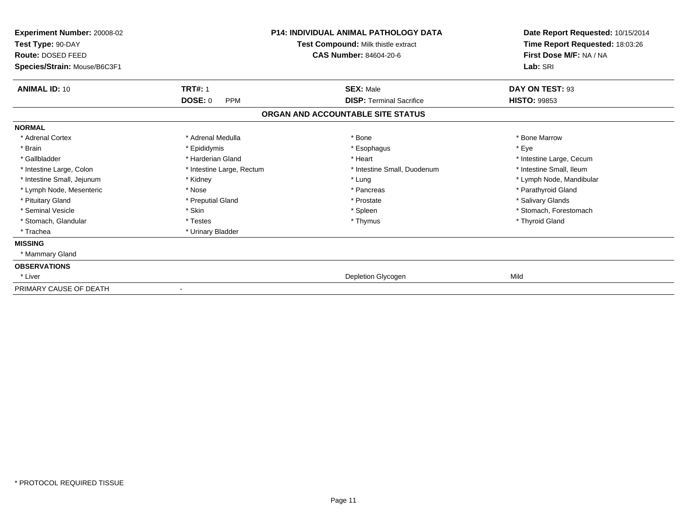| Experiment Number: 20008-02<br>Test Type: 90-DAY<br>Route: DOSED FEED<br>Species/Strain: Mouse/B6C3F1 |                              | <b>P14: INDIVIDUAL ANIMAL PATHOLOGY DATA</b><br>Test Compound: Milk thistle extract<br><b>CAS Number: 84604-20-6</b> | Date Report Requested: 10/15/2014<br>Time Report Requested: 18:03:26<br>First Dose M/F: NA / NA<br>Lab: SRI |
|-------------------------------------------------------------------------------------------------------|------------------------------|----------------------------------------------------------------------------------------------------------------------|-------------------------------------------------------------------------------------------------------------|
| <b>ANIMAL ID: 10</b>                                                                                  | <b>TRT#: 1</b>               | <b>SEX: Male</b>                                                                                                     | DAY ON TEST: 93                                                                                             |
|                                                                                                       | <b>DOSE: 0</b><br><b>PPM</b> | <b>DISP: Terminal Sacrifice</b>                                                                                      | <b>HISTO: 99853</b>                                                                                         |
|                                                                                                       |                              | ORGAN AND ACCOUNTABLE SITE STATUS                                                                                    |                                                                                                             |
| <b>NORMAL</b>                                                                                         |                              |                                                                                                                      |                                                                                                             |
| * Adrenal Cortex                                                                                      | * Adrenal Medulla            | * Bone                                                                                                               | * Bone Marrow                                                                                               |
| * Brain                                                                                               | * Epididymis                 | * Esophagus                                                                                                          | * Eye                                                                                                       |
| * Gallbladder                                                                                         | * Harderian Gland            | * Heart                                                                                                              | * Intestine Large, Cecum                                                                                    |
| * Intestine Large, Colon                                                                              | * Intestine Large, Rectum    | * Intestine Small, Duodenum                                                                                          | * Intestine Small. Ileum                                                                                    |
| * Intestine Small, Jejunum                                                                            | * Kidney                     | * Lung                                                                                                               | * Lymph Node, Mandibular                                                                                    |
| * Lymph Node, Mesenteric                                                                              | * Nose                       | * Pancreas                                                                                                           | * Parathyroid Gland                                                                                         |
| * Pituitary Gland                                                                                     | * Preputial Gland            | * Prostate                                                                                                           | * Salivary Glands                                                                                           |
| * Seminal Vesicle                                                                                     | * Skin                       | * Spleen                                                                                                             | * Stomach, Forestomach                                                                                      |
| * Stomach, Glandular                                                                                  | * Testes                     | * Thymus                                                                                                             | * Thyroid Gland                                                                                             |
| * Trachea                                                                                             | * Urinary Bladder            |                                                                                                                      |                                                                                                             |
| <b>MISSING</b>                                                                                        |                              |                                                                                                                      |                                                                                                             |
| * Mammary Gland                                                                                       |                              |                                                                                                                      |                                                                                                             |
| <b>OBSERVATIONS</b>                                                                                   |                              |                                                                                                                      |                                                                                                             |
| * Liver                                                                                               |                              | Depletion Glycogen                                                                                                   | Mild                                                                                                        |
| PRIMARY CAUSE OF DEATH                                                                                |                              |                                                                                                                      |                                                                                                             |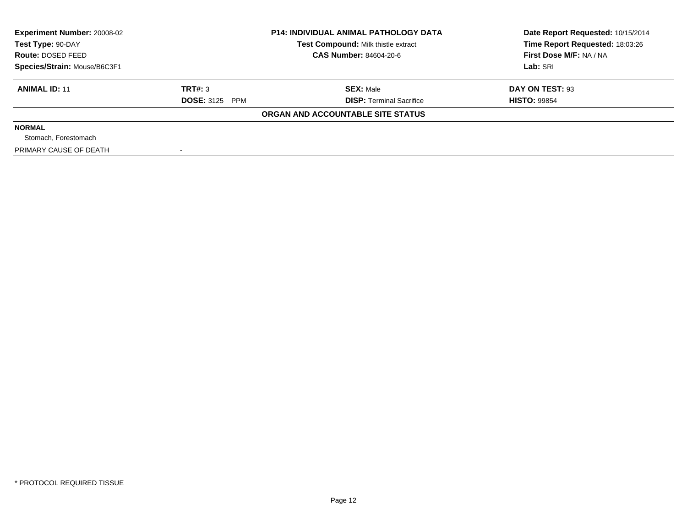| <b>Experiment Number: 20008-02</b><br>Test Type: 90-DAY |                       | <b>P14: INDIVIDUAL ANIMAL PATHOLOGY DATA</b><br>Test Compound: Milk thistle extract | Date Report Requested: 10/15/2014<br>Time Report Requested: 18:03:26 |
|---------------------------------------------------------|-----------------------|-------------------------------------------------------------------------------------|----------------------------------------------------------------------|
| <b>Route: DOSED FEED</b>                                |                       | <b>CAS Number: 84604-20-6</b>                                                       | First Dose M/F: NA / NA                                              |
| Species/Strain: Mouse/B6C3F1                            |                       |                                                                                     | Lab: SRI                                                             |
| <b>ANIMAL ID: 11</b>                                    | TRT#: 3               | <b>SEX: Male</b>                                                                    | DAY ON TEST: 93                                                      |
|                                                         | <b>DOSE: 3125 PPM</b> | <b>DISP: Terminal Sacrifice</b>                                                     | <b>HISTO: 99854</b>                                                  |
|                                                         |                       | ORGAN AND ACCOUNTABLE SITE STATUS                                                   |                                                                      |
| <b>NORMAL</b>                                           |                       |                                                                                     |                                                                      |
| Stomach, Forestomach                                    |                       |                                                                                     |                                                                      |
| PRIMARY CAUSE OF DEATH                                  |                       |                                                                                     |                                                                      |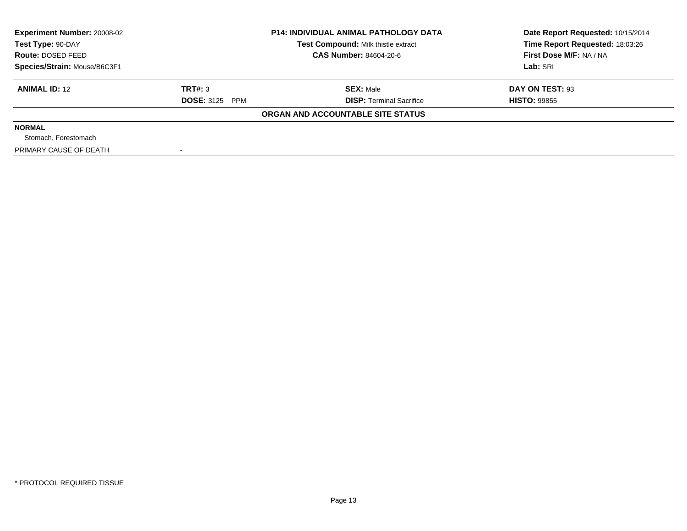| <b>Experiment Number: 20008-02</b><br>Test Type: 90-DAY |                       | <b>P14: INDIVIDUAL ANIMAL PATHOLOGY DATA</b><br>Test Compound: Milk thistle extract | Date Report Requested: 10/15/2014<br>Time Report Requested: 18:03:26 |
|---------------------------------------------------------|-----------------------|-------------------------------------------------------------------------------------|----------------------------------------------------------------------|
| Route: DOSED FEED                                       |                       | <b>CAS Number: 84604-20-6</b>                                                       | First Dose M/F: NA / NA                                              |
| Species/Strain: Mouse/B6C3F1                            |                       |                                                                                     | Lab: SRI                                                             |
| <b>ANIMAL ID: 12</b>                                    | TRT#: 3               | <b>SEX: Male</b>                                                                    | DAY ON TEST: 93                                                      |
|                                                         | <b>DOSE: 3125 PPM</b> | <b>DISP:</b> Terminal Sacrifice                                                     | <b>HISTO: 99855</b>                                                  |
|                                                         |                       | ORGAN AND ACCOUNTABLE SITE STATUS                                                   |                                                                      |
| <b>NORMAL</b>                                           |                       |                                                                                     |                                                                      |
| Stomach, Forestomach                                    |                       |                                                                                     |                                                                      |
| PRIMARY CAUSE OF DEATH                                  |                       |                                                                                     |                                                                      |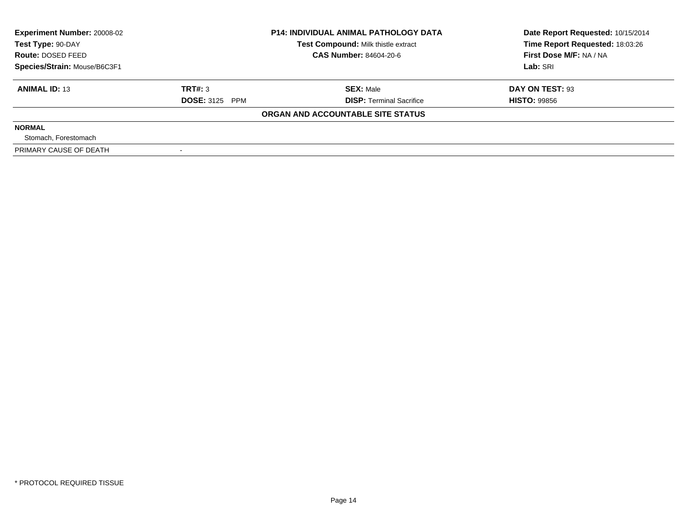| <b>Experiment Number: 20008-02</b><br>Test Type: 90-DAY |                       | <b>P14: INDIVIDUAL ANIMAL PATHOLOGY DATA</b><br>Test Compound: Milk thistle extract | Date Report Requested: 10/15/2014<br>Time Report Requested: 18:03:26 |
|---------------------------------------------------------|-----------------------|-------------------------------------------------------------------------------------|----------------------------------------------------------------------|
| Route: DOSED FEED                                       |                       | <b>CAS Number: 84604-20-6</b>                                                       | First Dose M/F: NA / NA                                              |
| Species/Strain: Mouse/B6C3F1                            |                       |                                                                                     | Lab: SRI                                                             |
| <b>ANIMAL ID: 13</b>                                    | TRT#: 3               | <b>SEX: Male</b>                                                                    | DAY ON TEST: 93                                                      |
|                                                         | <b>DOSE: 3125 PPM</b> | <b>DISP:</b> Terminal Sacrifice                                                     | <b>HISTO: 99856</b>                                                  |
|                                                         |                       | ORGAN AND ACCOUNTABLE SITE STATUS                                                   |                                                                      |
| <b>NORMAL</b>                                           |                       |                                                                                     |                                                                      |
| Stomach, Forestomach                                    |                       |                                                                                     |                                                                      |
| PRIMARY CAUSE OF DEATH                                  |                       |                                                                                     |                                                                      |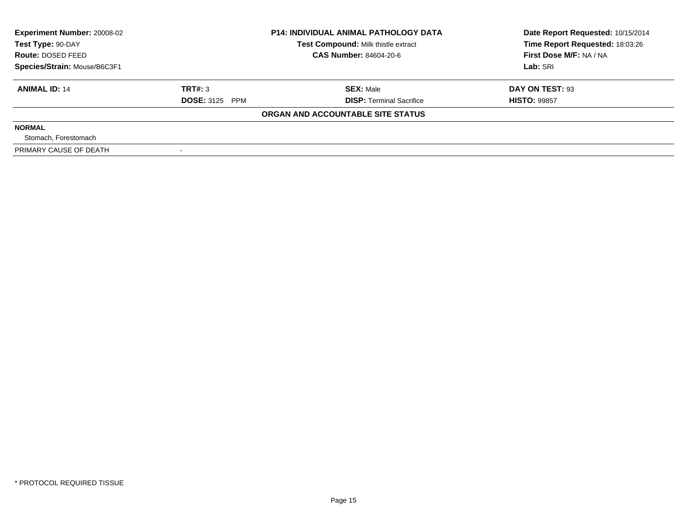| <b>Experiment Number: 20008-02</b> |                       | <b>P14: INDIVIDUAL ANIMAL PATHOLOGY DATA</b> | Date Report Requested: 10/15/2014 |
|------------------------------------|-----------------------|----------------------------------------------|-----------------------------------|
| Test Type: 90-DAY                  |                       | Test Compound: Milk thistle extract          | Time Report Requested: 18:03:26   |
| Route: DOSED FEED                  |                       | <b>CAS Number: 84604-20-6</b>                | First Dose M/F: NA / NA           |
| Species/Strain: Mouse/B6C3F1       |                       |                                              | Lab: SRI                          |
| <b>ANIMAL ID: 14</b>               | TRT#: 3               | <b>SEX: Male</b>                             | DAY ON TEST: 93                   |
|                                    | <b>DOSE: 3125 PPM</b> | <b>DISP:</b> Terminal Sacrifice              | <b>HISTO: 99857</b>               |
|                                    |                       | ORGAN AND ACCOUNTABLE SITE STATUS            |                                   |
| <b>NORMAL</b>                      |                       |                                              |                                   |
| Stomach, Forestomach               |                       |                                              |                                   |
| PRIMARY CAUSE OF DEATH             |                       |                                              |                                   |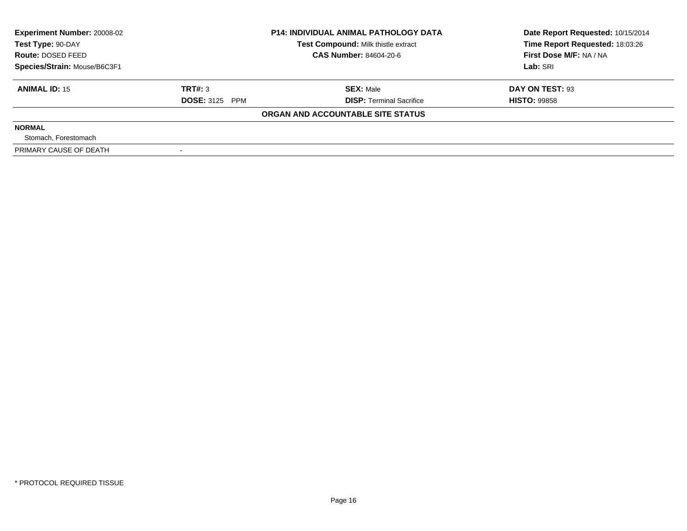| <b>Experiment Number: 20008-02</b> | <b>P14: INDIVIDUAL ANIMAL PATHOLOGY DATA</b> |                                     | Date Report Requested: 10/15/2014 |  |
|------------------------------------|----------------------------------------------|-------------------------------------|-----------------------------------|--|
| Test Type: 90-DAY                  |                                              | Test Compound: Milk thistle extract | Time Report Requested: 18:03:26   |  |
| Route: DOSED FEED                  |                                              | <b>CAS Number: 84604-20-6</b>       | First Dose M/F: NA / NA           |  |
| Species/Strain: Mouse/B6C3F1       |                                              |                                     | Lab: SRI                          |  |
| <b>ANIMAL ID: 15</b>               | TRT#: 3                                      | <b>SEX: Male</b>                    | DAY ON TEST: 93                   |  |
|                                    | <b>DOSE: 3125 PPM</b>                        | <b>DISP: Terminal Sacrifice</b>     | <b>HISTO: 99858</b>               |  |
|                                    |                                              | ORGAN AND ACCOUNTABLE SITE STATUS   |                                   |  |
| <b>NORMAL</b>                      |                                              |                                     |                                   |  |
| Stomach, Forestomach               |                                              |                                     |                                   |  |
| PRIMARY CAUSE OF DEATH             |                                              |                                     |                                   |  |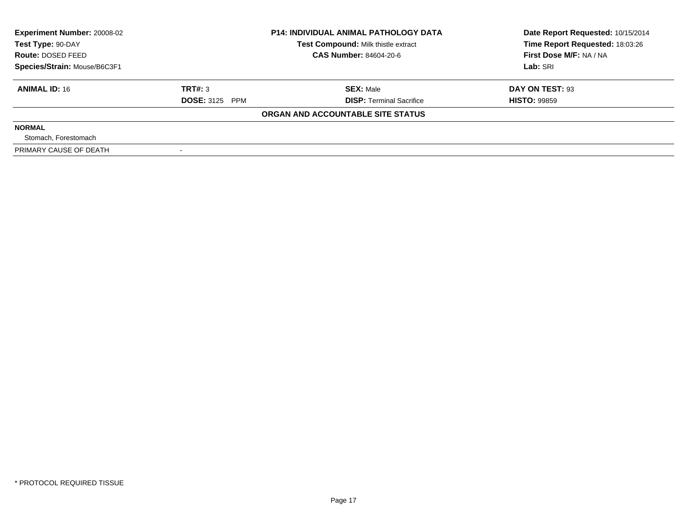| <b>Experiment Number: 20008-02</b> |                       | <b>P14: INDIVIDUAL ANIMAL PATHOLOGY DATA</b> | Date Report Requested: 10/15/2014 |
|------------------------------------|-----------------------|----------------------------------------------|-----------------------------------|
| Test Type: 90-DAY                  |                       | Test Compound: Milk thistle extract          | Time Report Requested: 18:03:26   |
| Route: DOSED FEED                  |                       | <b>CAS Number: 84604-20-6</b>                | First Dose M/F: NA / NA           |
| Species/Strain: Mouse/B6C3F1       |                       |                                              | Lab: SRI                          |
| <b>ANIMAL ID: 16</b>               | TRT#: 3               | <b>SEX: Male</b>                             | DAY ON TEST: 93                   |
|                                    | <b>DOSE: 3125 PPM</b> | <b>DISP:</b> Terminal Sacrifice              | <b>HISTO: 99859</b>               |
|                                    |                       | ORGAN AND ACCOUNTABLE SITE STATUS            |                                   |
| <b>NORMAL</b>                      |                       |                                              |                                   |
| Stomach, Forestomach               |                       |                                              |                                   |
| PRIMARY CAUSE OF DEATH             |                       |                                              |                                   |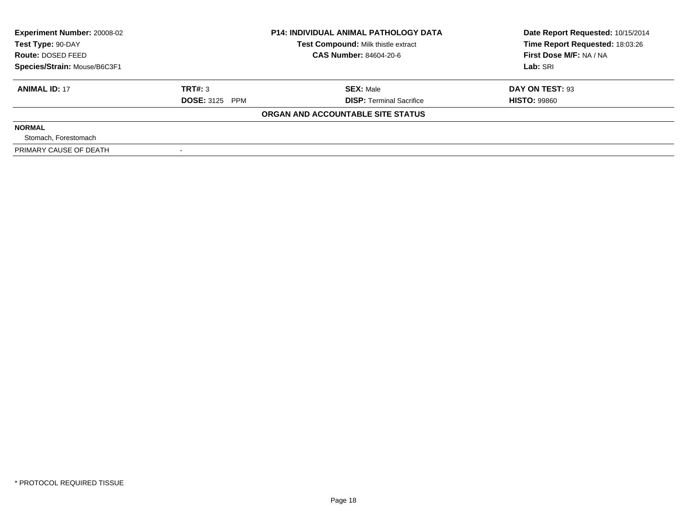| <b>Experiment Number: 20008-02</b> |                       | <b>P14: INDIVIDUAL ANIMAL PATHOLOGY DATA</b> | Date Report Requested: 10/15/2014 |
|------------------------------------|-----------------------|----------------------------------------------|-----------------------------------|
| Test Type: 90-DAY                  |                       | Test Compound: Milk thistle extract          | Time Report Requested: 18:03:26   |
| Route: DOSED FEED                  |                       | <b>CAS Number: 84604-20-6</b>                | First Dose M/F: NA / NA           |
| Species/Strain: Mouse/B6C3F1       |                       |                                              | Lab: SRI                          |
| <b>ANIMAL ID: 17</b>               | TRT#: 3               | <b>SEX: Male</b>                             | DAY ON TEST: 93                   |
|                                    | <b>DOSE: 3125 PPM</b> | <b>DISP:</b> Terminal Sacrifice              | <b>HISTO: 99860</b>               |
|                                    |                       | ORGAN AND ACCOUNTABLE SITE STATUS            |                                   |
| <b>NORMAL</b>                      |                       |                                              |                                   |
| Stomach, Forestomach               |                       |                                              |                                   |
| PRIMARY CAUSE OF DEATH             |                       |                                              |                                   |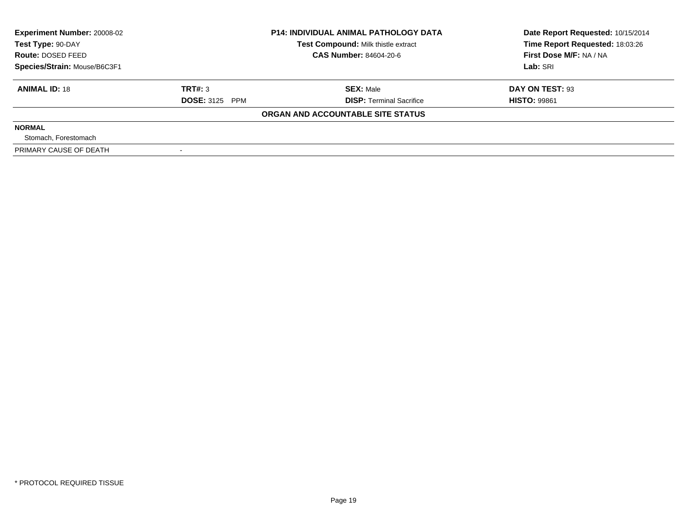| <b>Experiment Number: 20008-02</b><br>Test Type: 90-DAY |                       | <b>P14: INDIVIDUAL ANIMAL PATHOLOGY DATA</b><br>Test Compound: Milk thistle extract | Date Report Requested: 10/15/2014<br>Time Report Requested: 18:03:26 |
|---------------------------------------------------------|-----------------------|-------------------------------------------------------------------------------------|----------------------------------------------------------------------|
| <b>Route: DOSED FEED</b>                                |                       | <b>CAS Number: 84604-20-6</b>                                                       | First Dose M/F: NA / NA                                              |
| Species/Strain: Mouse/B6C3F1                            |                       |                                                                                     | Lab: SRI                                                             |
| <b>ANIMAL ID: 18</b>                                    | TRT#: 3               | <b>SEX: Male</b>                                                                    | DAY ON TEST: 93                                                      |
|                                                         | <b>DOSE: 3125 PPM</b> | <b>DISP: Terminal Sacrifice</b>                                                     | <b>HISTO: 99861</b>                                                  |
|                                                         |                       | ORGAN AND ACCOUNTABLE SITE STATUS                                                   |                                                                      |
| <b>NORMAL</b>                                           |                       |                                                                                     |                                                                      |
| Stomach, Forestomach                                    |                       |                                                                                     |                                                                      |
| PRIMARY CAUSE OF DEATH                                  |                       |                                                                                     |                                                                      |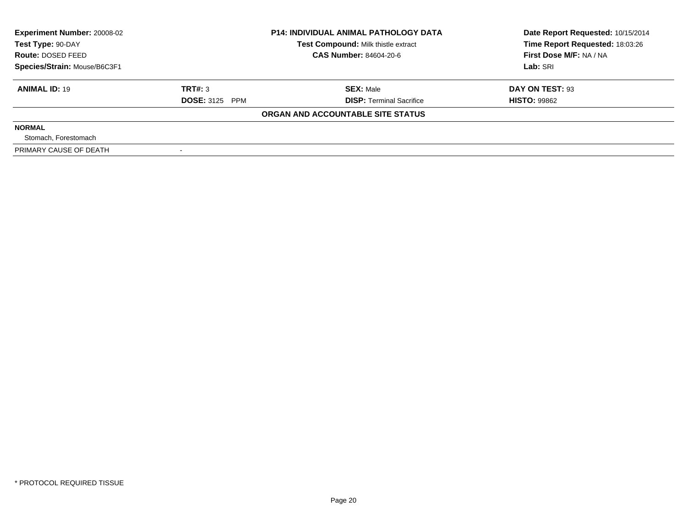| <b>Experiment Number: 20008-02</b> |                       | <b>P14: INDIVIDUAL ANIMAL PATHOLOGY DATA</b> | Date Report Requested: 10/15/2014 |
|------------------------------------|-----------------------|----------------------------------------------|-----------------------------------|
| Test Type: 90-DAY                  |                       | Test Compound: Milk thistle extract          | Time Report Requested: 18:03:26   |
| Route: DOSED FEED                  |                       | <b>CAS Number: 84604-20-6</b>                | First Dose M/F: NA / NA           |
| Species/Strain: Mouse/B6C3F1       |                       |                                              | Lab: SRI                          |
| <b>ANIMAL ID: 19</b>               | TRT#: 3               | <b>SEX: Male</b>                             | DAY ON TEST: 93                   |
|                                    | <b>DOSE: 3125 PPM</b> | <b>DISP:</b> Terminal Sacrifice              | <b>HISTO: 99862</b>               |
|                                    |                       | ORGAN AND ACCOUNTABLE SITE STATUS            |                                   |
| <b>NORMAL</b>                      |                       |                                              |                                   |
| Stomach, Forestomach               |                       |                                              |                                   |
| PRIMARY CAUSE OF DEATH             |                       |                                              |                                   |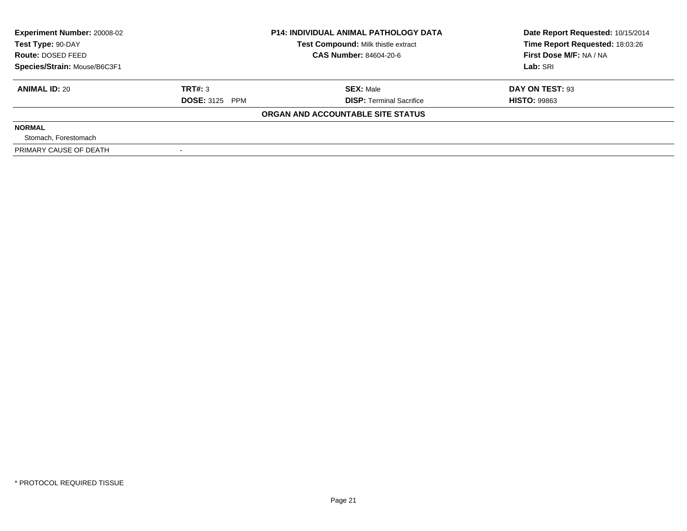| <b>Experiment Number: 20008-02</b> |                       | <b>P14: INDIVIDUAL ANIMAL PATHOLOGY DATA</b> | Date Report Requested: 10/15/2014 |
|------------------------------------|-----------------------|----------------------------------------------|-----------------------------------|
| Test Type: 90-DAY                  |                       | Test Compound: Milk thistle extract          | Time Report Requested: 18:03:26   |
| Route: DOSED FEED                  |                       | <b>CAS Number: 84604-20-6</b>                | First Dose M/F: NA / NA           |
| Species/Strain: Mouse/B6C3F1       |                       |                                              | Lab: SRI                          |
| <b>ANIMAL ID: 20</b>               | TRT#: 3               | <b>SEX: Male</b>                             | DAY ON TEST: 93                   |
|                                    | <b>DOSE: 3125 PPM</b> | <b>DISP:</b> Terminal Sacrifice              | <b>HISTO: 99863</b>               |
|                                    |                       | ORGAN AND ACCOUNTABLE SITE STATUS            |                                   |
| <b>NORMAL</b>                      |                       |                                              |                                   |
| Stomach, Forestomach               |                       |                                              |                                   |
| PRIMARY CAUSE OF DEATH             |                       |                                              |                                   |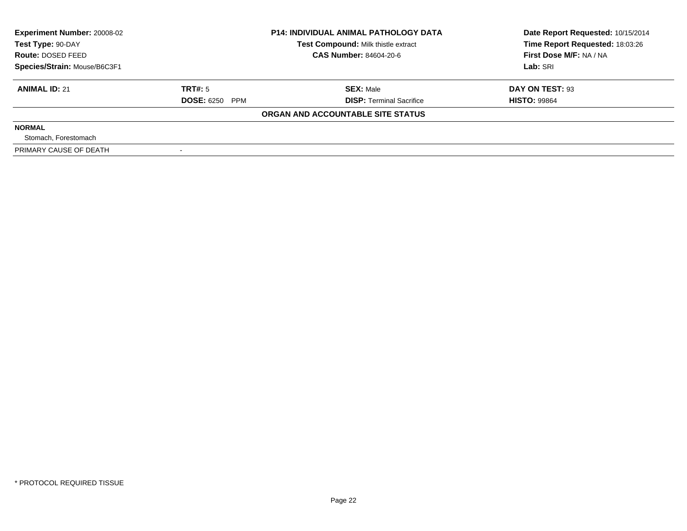| <b>Experiment Number: 20008-02</b><br>Test Type: 90-DAY |                       | <b>P14: INDIVIDUAL ANIMAL PATHOLOGY DATA</b><br>Test Compound: Milk thistle extract | Date Report Requested: 10/15/2014<br>Time Report Requested: 18:03:26 |
|---------------------------------------------------------|-----------------------|-------------------------------------------------------------------------------------|----------------------------------------------------------------------|
| <b>Route: DOSED FEED</b>                                |                       | <b>CAS Number: 84604-20-6</b>                                                       | First Dose M/F: NA / NA                                              |
| Species/Strain: Mouse/B6C3F1                            |                       |                                                                                     | Lab: SRI                                                             |
| <b>ANIMAL ID: 21</b>                                    | TRT#: 5               | <b>SEX: Male</b>                                                                    | DAY ON TEST: 93                                                      |
|                                                         | <b>DOSE: 6250 PPM</b> | <b>DISP: Terminal Sacrifice</b>                                                     | <b>HISTO: 99864</b>                                                  |
|                                                         |                       | ORGAN AND ACCOUNTABLE SITE STATUS                                                   |                                                                      |
| <b>NORMAL</b>                                           |                       |                                                                                     |                                                                      |
| Stomach, Forestomach                                    |                       |                                                                                     |                                                                      |
| PRIMARY CAUSE OF DEATH                                  |                       |                                                                                     |                                                                      |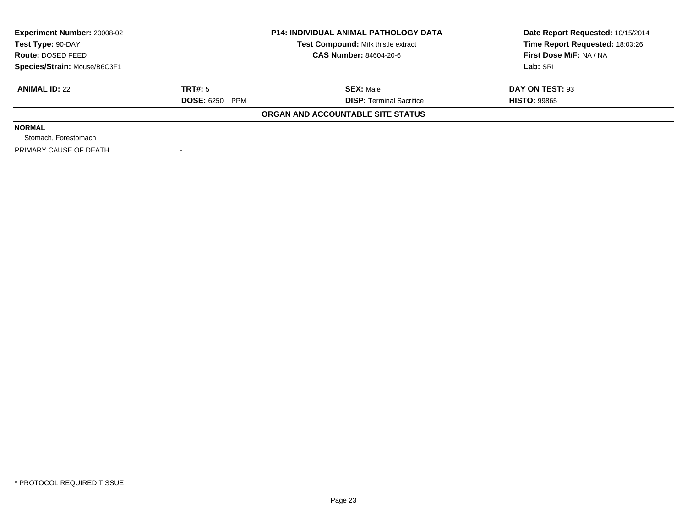| <b>Experiment Number: 20008-02</b><br>Test Type: 90-DAY |                       | <b>P14: INDIVIDUAL ANIMAL PATHOLOGY DATA</b><br>Test Compound: Milk thistle extract | Date Report Requested: 10/15/2014<br>Time Report Requested: 18:03:26 |
|---------------------------------------------------------|-----------------------|-------------------------------------------------------------------------------------|----------------------------------------------------------------------|
| Route: DOSED FEED                                       |                       | <b>CAS Number: 84604-20-6</b>                                                       | First Dose M/F: NA / NA                                              |
| Species/Strain: Mouse/B6C3F1                            |                       |                                                                                     | Lab: SRI                                                             |
| <b>ANIMAL ID: 22</b>                                    | TRT#: 5               | <b>SEX: Male</b>                                                                    | DAY ON TEST: 93                                                      |
|                                                         | <b>DOSE: 6250 PPM</b> | <b>DISP:</b> Terminal Sacrifice                                                     | <b>HISTO: 99865</b>                                                  |
|                                                         |                       | ORGAN AND ACCOUNTABLE SITE STATUS                                                   |                                                                      |
| <b>NORMAL</b>                                           |                       |                                                                                     |                                                                      |
| Stomach, Forestomach                                    |                       |                                                                                     |                                                                      |
| PRIMARY CAUSE OF DEATH                                  |                       |                                                                                     |                                                                      |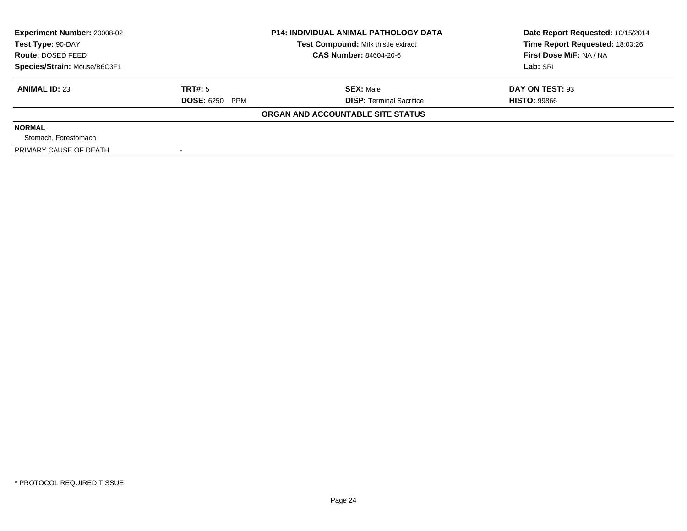| <b>Experiment Number: 20008-02</b><br><b>P14: INDIVIDUAL ANIMAL PATHOLOGY DATA</b><br>Test Compound: Milk thistle extract<br>Test Type: 90-DAY |                       | Date Report Requested: 10/15/2014<br>Time Report Requested: 18:03:26 |                         |
|------------------------------------------------------------------------------------------------------------------------------------------------|-----------------------|----------------------------------------------------------------------|-------------------------|
| Route: DOSED FEED                                                                                                                              |                       | <b>CAS Number: 84604-20-6</b>                                        | First Dose M/F: NA / NA |
| Species/Strain: Mouse/B6C3F1                                                                                                                   |                       |                                                                      | Lab: SRI                |
| <b>ANIMAL ID: 23</b>                                                                                                                           | TRT#: 5               | <b>SEX: Male</b>                                                     | DAY ON TEST: 93         |
|                                                                                                                                                | <b>DOSE: 6250 PPM</b> | <b>DISP:</b> Terminal Sacrifice                                      | <b>HISTO: 99866</b>     |
|                                                                                                                                                |                       | ORGAN AND ACCOUNTABLE SITE STATUS                                    |                         |
| <b>NORMAL</b>                                                                                                                                  |                       |                                                                      |                         |
| Stomach, Forestomach                                                                                                                           |                       |                                                                      |                         |
| PRIMARY CAUSE OF DEATH                                                                                                                         |                       |                                                                      |                         |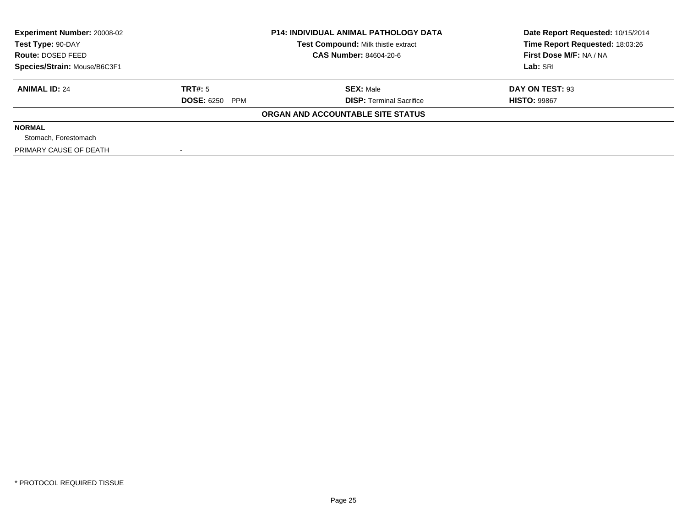| <b>Experiment Number: 20008-02</b><br>Test Type: 90-DAY |                       | <b>P14: INDIVIDUAL ANIMAL PATHOLOGY DATA</b> | Date Report Requested: 10/15/2014 |  |
|---------------------------------------------------------|-----------------------|----------------------------------------------|-----------------------------------|--|
|                                                         |                       | Test Compound: Milk thistle extract          | Time Report Requested: 18:03:26   |  |
| Route: DOSED FEED                                       |                       | <b>CAS Number: 84604-20-6</b>                | First Dose M/F: NA / NA           |  |
| Species/Strain: Mouse/B6C3F1                            |                       |                                              | Lab: SRI                          |  |
| <b>ANIMAL ID: 24</b>                                    | TRT#: 5               | <b>SEX: Male</b>                             | DAY ON TEST: 93                   |  |
|                                                         | <b>DOSE: 6250 PPM</b> | <b>DISP:</b> Terminal Sacrifice              | <b>HISTO: 99867</b>               |  |
|                                                         |                       | ORGAN AND ACCOUNTABLE SITE STATUS            |                                   |  |
| <b>NORMAL</b>                                           |                       |                                              |                                   |  |
| Stomach, Forestomach                                    |                       |                                              |                                   |  |
| PRIMARY CAUSE OF DEATH                                  |                       |                                              |                                   |  |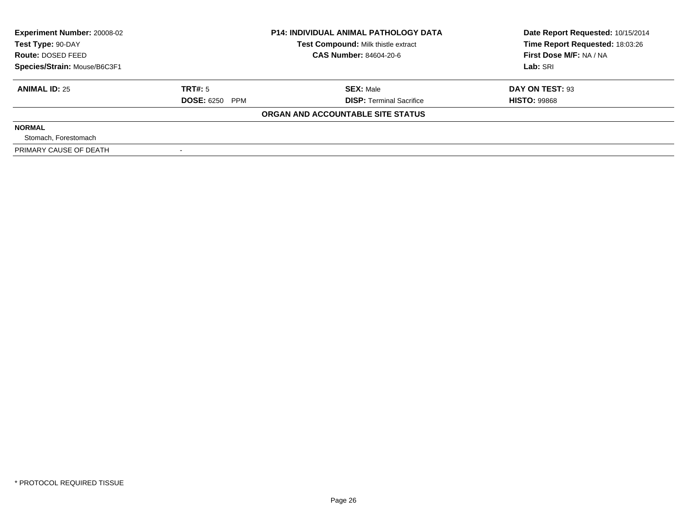| <b>Experiment Number: 20008-02</b><br>Test Compound: Milk thistle extract<br>Test Type: 90-DAY |                       | <b>P14: INDIVIDUAL ANIMAL PATHOLOGY DATA</b> | Date Report Requested: 10/15/2014<br>Time Report Requested: 18:03:26 |
|------------------------------------------------------------------------------------------------|-----------------------|----------------------------------------------|----------------------------------------------------------------------|
| Route: DOSED FEED                                                                              |                       | <b>CAS Number: 84604-20-6</b>                | First Dose M/F: NA / NA                                              |
| Species/Strain: Mouse/B6C3F1                                                                   |                       |                                              | Lab: SRI                                                             |
| <b>ANIMAL ID: 25</b>                                                                           | TRT#: 5               | <b>SEX: Male</b>                             | DAY ON TEST: 93                                                      |
|                                                                                                | <b>DOSE: 6250 PPM</b> | <b>DISP:</b> Terminal Sacrifice              | <b>HISTO: 99868</b>                                                  |
|                                                                                                |                       | ORGAN AND ACCOUNTABLE SITE STATUS            |                                                                      |
| <b>NORMAL</b>                                                                                  |                       |                                              |                                                                      |
| Stomach, Forestomach                                                                           |                       |                                              |                                                                      |
| PRIMARY CAUSE OF DEATH                                                                         |                       |                                              |                                                                      |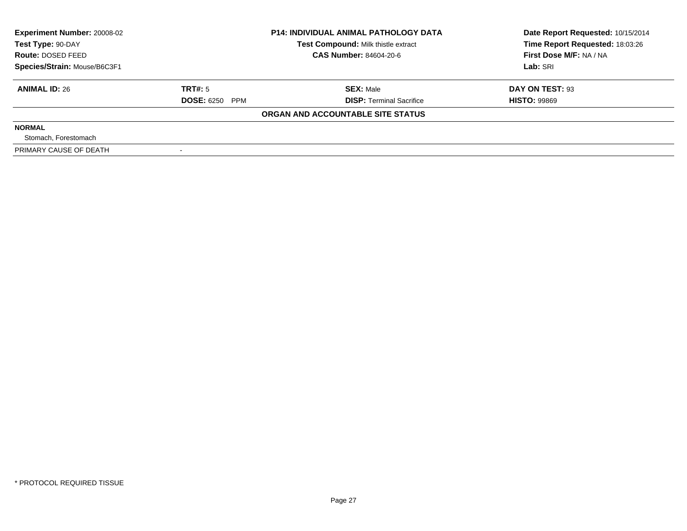| <b>Experiment Number: 20008-02</b><br>Test Compound: Milk thistle extract<br>Test Type: 90-DAY |                       | <b>P14: INDIVIDUAL ANIMAL PATHOLOGY DATA</b> | Date Report Requested: 10/15/2014<br>Time Report Requested: 18:03:26 |
|------------------------------------------------------------------------------------------------|-----------------------|----------------------------------------------|----------------------------------------------------------------------|
| Route: DOSED FEED                                                                              |                       | <b>CAS Number: 84604-20-6</b>                | First Dose M/F: NA / NA                                              |
| Species/Strain: Mouse/B6C3F1                                                                   |                       |                                              | Lab: SRI                                                             |
| <b>ANIMAL ID: 26</b>                                                                           | TRT#: 5               | <b>SEX: Male</b>                             | DAY ON TEST: 93                                                      |
|                                                                                                | <b>DOSE: 6250 PPM</b> | <b>DISP:</b> Terminal Sacrifice              | <b>HISTO: 99869</b>                                                  |
|                                                                                                |                       | ORGAN AND ACCOUNTABLE SITE STATUS            |                                                                      |
| <b>NORMAL</b>                                                                                  |                       |                                              |                                                                      |
| Stomach, Forestomach                                                                           |                       |                                              |                                                                      |
| PRIMARY CAUSE OF DEATH                                                                         |                       |                                              |                                                                      |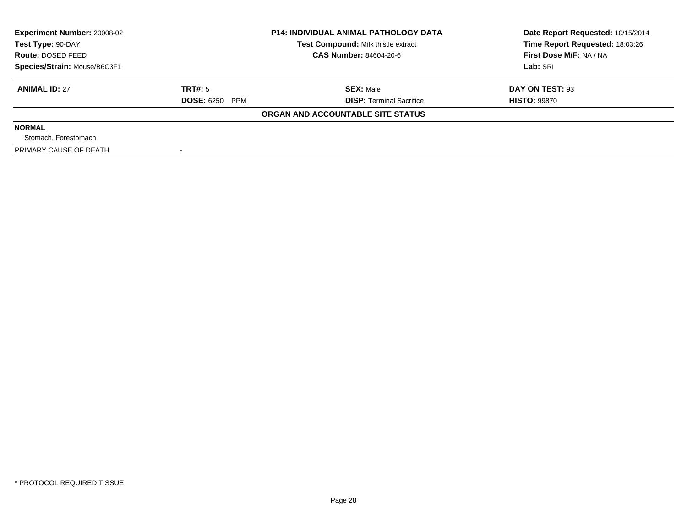| <b>Experiment Number: 20008-02</b><br>Test Type: 90-DAY |                       | <b>P14: INDIVIDUAL ANIMAL PATHOLOGY DATA</b><br>Test Compound: Milk thistle extract | Date Report Requested: 10/15/2014<br>Time Report Requested: 18:03:26 |
|---------------------------------------------------------|-----------------------|-------------------------------------------------------------------------------------|----------------------------------------------------------------------|
| <b>Route: DOSED FEED</b>                                |                       | <b>CAS Number: 84604-20-6</b>                                                       | First Dose M/F: NA / NA                                              |
| Species/Strain: Mouse/B6C3F1                            |                       |                                                                                     | Lab: SRI                                                             |
| <b>ANIMAL ID: 27</b>                                    | TRT#: 5               | <b>SEX: Male</b>                                                                    | DAY ON TEST: 93                                                      |
|                                                         | <b>DOSE: 6250 PPM</b> | <b>DISP: Terminal Sacrifice</b>                                                     | <b>HISTO: 99870</b>                                                  |
|                                                         |                       | ORGAN AND ACCOUNTABLE SITE STATUS                                                   |                                                                      |
| <b>NORMAL</b>                                           |                       |                                                                                     |                                                                      |
| Stomach, Forestomach                                    |                       |                                                                                     |                                                                      |
| PRIMARY CAUSE OF DEATH                                  |                       |                                                                                     |                                                                      |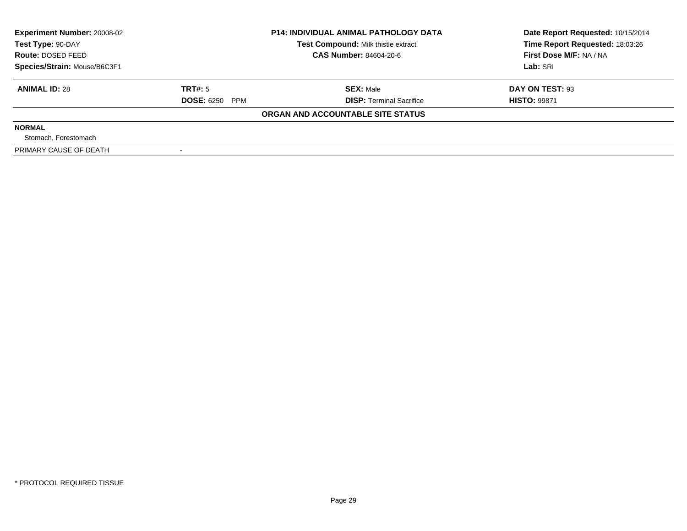| <b>Experiment Number: 20008-02</b><br>Test Type: 90-DAY |                       | <b>P14: INDIVIDUAL ANIMAL PATHOLOGY DATA</b><br>Test Compound: Milk thistle extract | Date Report Requested: 10/15/2014<br>Time Report Requested: 18:03:26 |
|---------------------------------------------------------|-----------------------|-------------------------------------------------------------------------------------|----------------------------------------------------------------------|
| <b>Route: DOSED FEED</b>                                |                       | <b>CAS Number: 84604-20-6</b>                                                       | First Dose M/F: NA / NA                                              |
| Species/Strain: Mouse/B6C3F1                            |                       |                                                                                     | Lab: SRI                                                             |
| <b>ANIMAL ID: 28</b>                                    | TRT#: 5               | <b>SEX: Male</b>                                                                    | DAY ON TEST: 93                                                      |
|                                                         | <b>DOSE: 6250 PPM</b> | <b>DISP: Terminal Sacrifice</b>                                                     | <b>HISTO: 99871</b>                                                  |
|                                                         |                       | ORGAN AND ACCOUNTABLE SITE STATUS                                                   |                                                                      |
| <b>NORMAL</b>                                           |                       |                                                                                     |                                                                      |
| Stomach, Forestomach                                    |                       |                                                                                     |                                                                      |
| PRIMARY CAUSE OF DEATH                                  |                       |                                                                                     |                                                                      |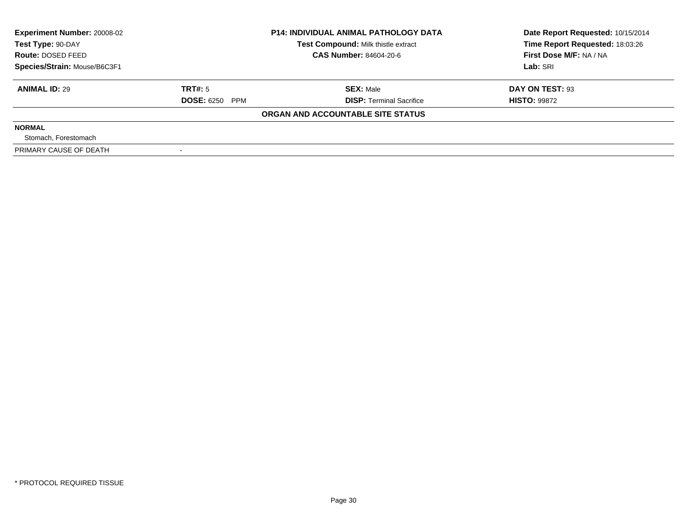| Experiment Number: 20008-02<br>Test Type: 90-DAY<br>Route: DOSED FEED | <b>P14: INDIVIDUAL ANIMAL PATHOLOGY DATA</b><br>Test Compound: Milk thistle extract<br>CAS Number: 84604-20-6 |                                   | Date Report Requested: 10/15/2014<br>Time Report Requested: 18:03:26<br>First Dose M/F: NA / NA |  |
|-----------------------------------------------------------------------|---------------------------------------------------------------------------------------------------------------|-----------------------------------|-------------------------------------------------------------------------------------------------|--|
| Species/Strain: Mouse/B6C3F1                                          |                                                                                                               |                                   | Lab: SRI                                                                                        |  |
| <b>ANIMAL ID: 29</b>                                                  | TRT#: 5                                                                                                       | <b>SEX: Male</b>                  | DAY ON TEST: 93                                                                                 |  |
|                                                                       | <b>DOSE: 6250 PPM</b>                                                                                         | <b>DISP:</b> Terminal Sacrifice   | <b>HISTO: 99872</b>                                                                             |  |
|                                                                       |                                                                                                               | ORGAN AND ACCOUNTABLE SITE STATUS |                                                                                                 |  |
| <b>NORMAL</b>                                                         |                                                                                                               |                                   |                                                                                                 |  |
| Stomach, Forestomach                                                  |                                                                                                               |                                   |                                                                                                 |  |
| PRIMARY CAUSE OF DEATH                                                |                                                                                                               |                                   |                                                                                                 |  |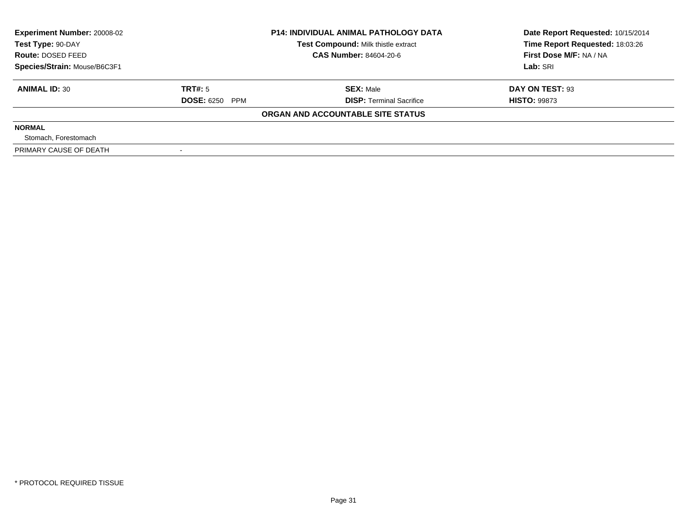| <b>Experiment Number: 20008-02</b><br>Test Type: 90-DAY |                       | <b>P14: INDIVIDUAL ANIMAL PATHOLOGY DATA</b><br>Test Compound: Milk thistle extract | Date Report Requested: 10/15/2014<br>Time Report Requested: 18:03:26 |
|---------------------------------------------------------|-----------------------|-------------------------------------------------------------------------------------|----------------------------------------------------------------------|
| <b>Route: DOSED FEED</b>                                |                       | <b>CAS Number: 84604-20-6</b>                                                       | First Dose M/F: NA / NA                                              |
| Species/Strain: Mouse/B6C3F1                            |                       |                                                                                     | Lab: SRI                                                             |
| <b>ANIMAL ID: 30</b>                                    | TRT#: 5               | <b>SEX: Male</b>                                                                    | DAY ON TEST: 93                                                      |
|                                                         | <b>DOSE: 6250 PPM</b> | <b>DISP: Terminal Sacrifice</b>                                                     | <b>HISTO: 99873</b>                                                  |
|                                                         |                       | ORGAN AND ACCOUNTABLE SITE STATUS                                                   |                                                                      |
| <b>NORMAL</b>                                           |                       |                                                                                     |                                                                      |
| Stomach, Forestomach                                    |                       |                                                                                     |                                                                      |
| PRIMARY CAUSE OF DEATH                                  |                       |                                                                                     |                                                                      |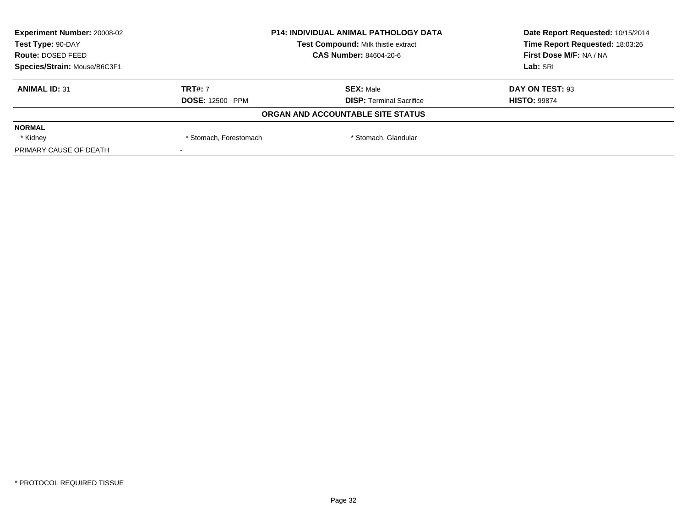| <b>Experiment Number: 20008-02</b> | <b>P14: INDIVIDUAL ANIMAL PATHOLOGY DATA</b><br>Test Compound: Milk thistle extract<br><b>CAS Number: 84604-20-6</b> |                                   | Date Report Requested: 10/15/2014 |
|------------------------------------|----------------------------------------------------------------------------------------------------------------------|-----------------------------------|-----------------------------------|
| Test Type: 90-DAY                  |                                                                                                                      |                                   | Time Report Requested: 18:03:26   |
| Route: DOSED FEED                  |                                                                                                                      |                                   | First Dose M/F: NA / NA           |
| Species/Strain: Mouse/B6C3F1       |                                                                                                                      |                                   | Lab: SRI                          |
| <b>ANIMAL ID: 31</b>               | <b>TRT#: 7</b>                                                                                                       | <b>SEX: Male</b>                  | DAY ON TEST: 93                   |
|                                    | <b>DOSE: 12500 PPM</b>                                                                                               | <b>DISP: Terminal Sacrifice</b>   | <b>HISTO: 99874</b>               |
|                                    |                                                                                                                      | ORGAN AND ACCOUNTABLE SITE STATUS |                                   |
| <b>NORMAL</b>                      |                                                                                                                      |                                   |                                   |
| * Kidney                           | * Stomach, Glandular<br>* Stomach, Forestomach                                                                       |                                   |                                   |
| PRIMARY CAUSE OF DEATH             |                                                                                                                      |                                   |                                   |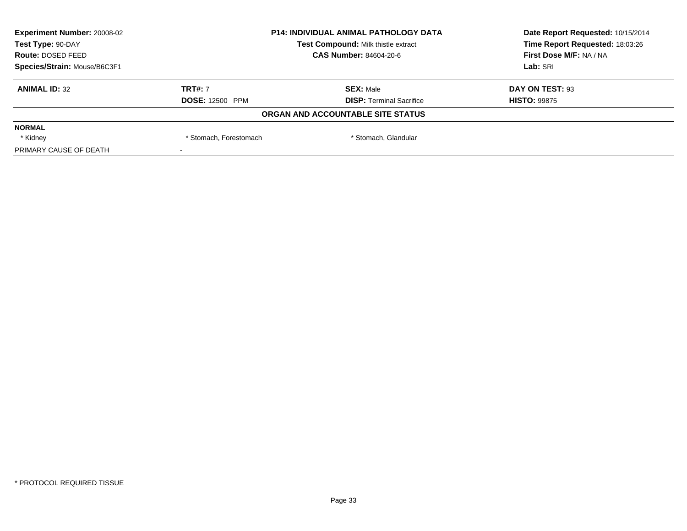| <b>Experiment Number: 20008-02</b> | <b>P14: INDIVIDUAL ANIMAL PATHOLOGY DATA</b><br>Test Compound: Milk thistle extract |                                   | Date Report Requested: 10/15/2014 |
|------------------------------------|-------------------------------------------------------------------------------------|-----------------------------------|-----------------------------------|
| Test Type: 90-DAY                  |                                                                                     |                                   | Time Report Requested: 18:03:26   |
| Route: DOSED FEED                  |                                                                                     | <b>CAS Number: 84604-20-6</b>     | First Dose M/F: NA / NA           |
| Species/Strain: Mouse/B6C3F1       |                                                                                     |                                   | Lab: SRI                          |
| <b>ANIMAL ID: 32</b>               | <b>TRT#: 7</b>                                                                      | <b>SEX: Male</b>                  | DAY ON TEST: 93                   |
|                                    | <b>DOSE: 12500 PPM</b>                                                              | <b>DISP: Terminal Sacrifice</b>   | <b>HISTO: 99875</b>               |
|                                    |                                                                                     | ORGAN AND ACCOUNTABLE SITE STATUS |                                   |
| <b>NORMAL</b>                      |                                                                                     |                                   |                                   |
| * Kidney                           | * Stomach, Glandular<br>* Stomach, Forestomach                                      |                                   |                                   |
| PRIMARY CAUSE OF DEATH             |                                                                                     |                                   |                                   |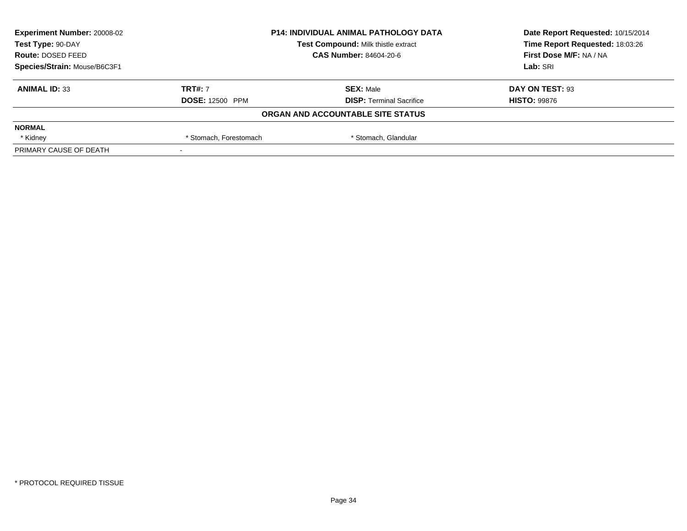| <b>Experiment Number: 20008-02</b> | <b>P14: INDIVIDUAL ANIMAL PATHOLOGY DATA</b><br>Test Compound: Milk thistle extract |                                   | Date Report Requested: 10/15/2014 |
|------------------------------------|-------------------------------------------------------------------------------------|-----------------------------------|-----------------------------------|
| Test Type: 90-DAY                  |                                                                                     |                                   | Time Report Requested: 18:03:26   |
| Route: DOSED FEED                  |                                                                                     | <b>CAS Number: 84604-20-6</b>     |                                   |
| Species/Strain: Mouse/B6C3F1       |                                                                                     |                                   | Lab: SRI                          |
| <b>ANIMAL ID: 33</b>               | <b>TRT#: 7</b>                                                                      | <b>SEX: Male</b>                  | DAY ON TEST: 93                   |
|                                    | <b>DOSE: 12500 PPM</b>                                                              | <b>DISP: Terminal Sacrifice</b>   | <b>HISTO: 99876</b>               |
|                                    |                                                                                     | ORGAN AND ACCOUNTABLE SITE STATUS |                                   |
| <b>NORMAL</b>                      |                                                                                     |                                   |                                   |
| * Kidney                           | * Stomach, Glandular<br>* Stomach, Forestomach                                      |                                   |                                   |
| PRIMARY CAUSE OF DEATH             |                                                                                     |                                   |                                   |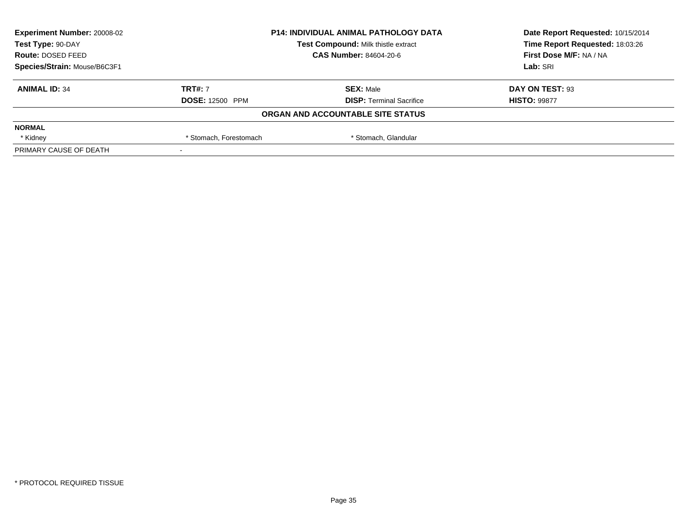| <b>Experiment Number: 20008-02</b> | <b>P14: INDIVIDUAL ANIMAL PATHOLOGY DATA</b><br>Test Compound: Milk thistle extract<br><b>CAS Number: 84604-20-6</b> |                                   | Date Report Requested: 10/15/2014 |
|------------------------------------|----------------------------------------------------------------------------------------------------------------------|-----------------------------------|-----------------------------------|
| Test Type: 90-DAY                  |                                                                                                                      |                                   | Time Report Requested: 18:03:26   |
| Route: DOSED FEED                  |                                                                                                                      |                                   | First Dose M/F: NA / NA           |
| Species/Strain: Mouse/B6C3F1       |                                                                                                                      |                                   | Lab: SRI                          |
| <b>ANIMAL ID: 34</b>               | <b>TRT#: 7</b>                                                                                                       | <b>SEX: Male</b>                  | DAY ON TEST: 93                   |
|                                    | <b>DOSE: 12500 PPM</b>                                                                                               | <b>DISP: Terminal Sacrifice</b>   | <b>HISTO: 99877</b>               |
|                                    |                                                                                                                      | ORGAN AND ACCOUNTABLE SITE STATUS |                                   |
| <b>NORMAL</b>                      |                                                                                                                      |                                   |                                   |
| * Kidney                           | * Stomach, Glandular<br>* Stomach, Forestomach                                                                       |                                   |                                   |
| PRIMARY CAUSE OF DEATH             |                                                                                                                      |                                   |                                   |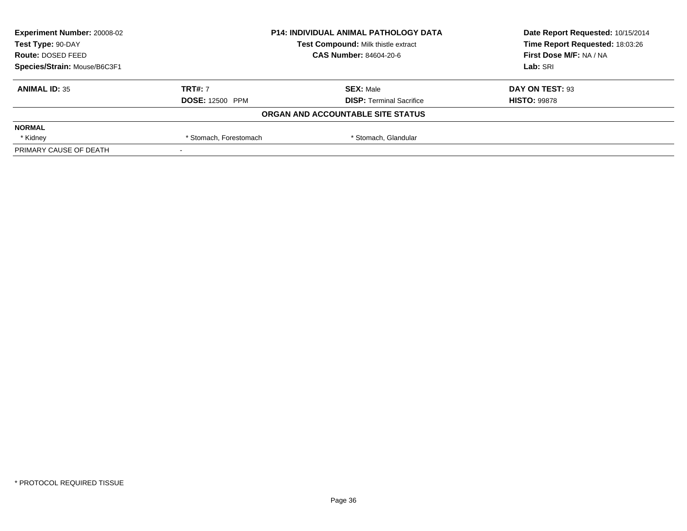| <b>Experiment Number: 20008-02</b> | <b>P14: INDIVIDUAL ANIMAL PATHOLOGY DATA</b><br>Test Compound: Milk thistle extract<br><b>CAS Number: 84604-20-6</b> |                                   | Date Report Requested: 10/15/2014<br>Time Report Requested: 18:03:26<br>First Dose M/F: NA / NA |
|------------------------------------|----------------------------------------------------------------------------------------------------------------------|-----------------------------------|-------------------------------------------------------------------------------------------------|
| Test Type: 90-DAY                  |                                                                                                                      |                                   |                                                                                                 |
| Route: DOSED FEED                  |                                                                                                                      |                                   |                                                                                                 |
| Species/Strain: Mouse/B6C3F1       |                                                                                                                      |                                   | Lab: SRI                                                                                        |
| <b>ANIMAL ID: 35</b>               | <b>TRT#: 7</b>                                                                                                       | <b>SEX: Male</b>                  | DAY ON TEST: 93                                                                                 |
|                                    | <b>DOSE: 12500 PPM</b>                                                                                               | <b>DISP: Terminal Sacrifice</b>   | <b>HISTO: 99878</b>                                                                             |
|                                    |                                                                                                                      | ORGAN AND ACCOUNTABLE SITE STATUS |                                                                                                 |
| <b>NORMAL</b>                      |                                                                                                                      |                                   |                                                                                                 |
| * Kidney                           | * Stomach, Forestomach                                                                                               | * Stomach, Glandular              |                                                                                                 |
| PRIMARY CAUSE OF DEATH             |                                                                                                                      |                                   |                                                                                                 |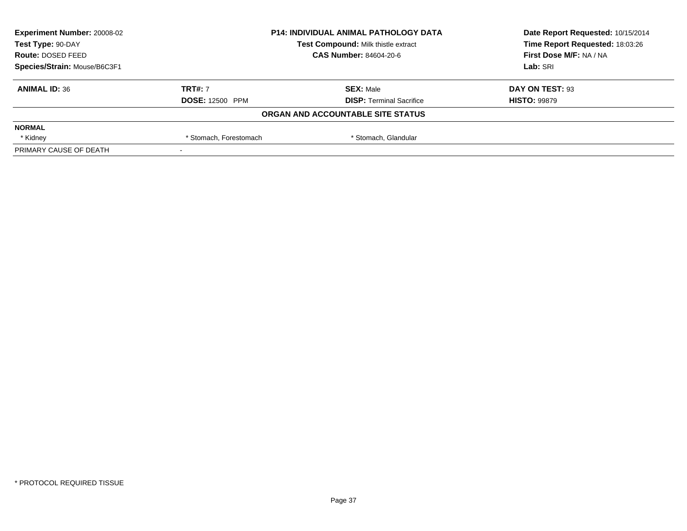| <b>Experiment Number: 20008-02</b> | <b>P14: INDIVIDUAL ANIMAL PATHOLOGY DATA</b><br>Test Compound: Milk thistle extract<br><b>CAS Number: 84604-20-6</b> |                                   | Date Report Requested: 10/15/2014 |
|------------------------------------|----------------------------------------------------------------------------------------------------------------------|-----------------------------------|-----------------------------------|
| Test Type: 90-DAY                  |                                                                                                                      |                                   | Time Report Requested: 18:03:26   |
| Route: DOSED FEED                  |                                                                                                                      |                                   | First Dose M/F: NA / NA           |
| Species/Strain: Mouse/B6C3F1       |                                                                                                                      |                                   | Lab: SRI                          |
| <b>ANIMAL ID: 36</b>               | <b>TRT#: 7</b>                                                                                                       | <b>SEX: Male</b>                  | DAY ON TEST: 93                   |
|                                    | <b>DOSE: 12500 PPM</b>                                                                                               | <b>DISP: Terminal Sacrifice</b>   | <b>HISTO: 99879</b>               |
|                                    |                                                                                                                      | ORGAN AND ACCOUNTABLE SITE STATUS |                                   |
| <b>NORMAL</b>                      |                                                                                                                      |                                   |                                   |
| * Kidney                           | * Stomach, Forestomach                                                                                               | * Stomach, Glandular              |                                   |
| PRIMARY CAUSE OF DEATH             |                                                                                                                      |                                   |                                   |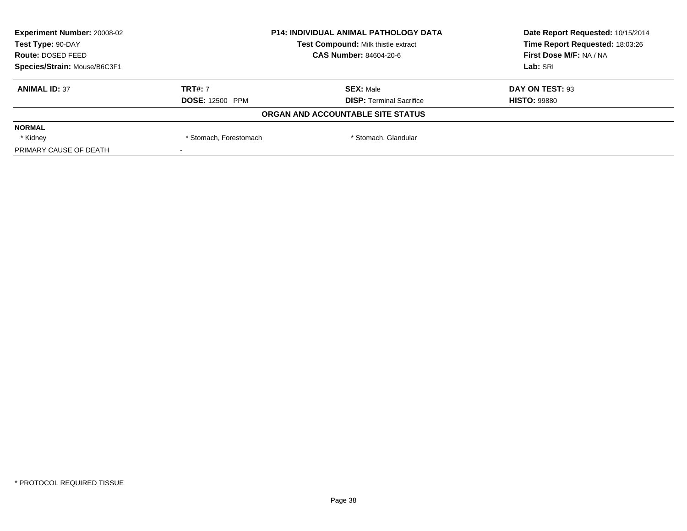| <b>Experiment Number: 20008-02</b> | <b>P14: INDIVIDUAL ANIMAL PATHOLOGY DATA</b><br>Test Compound: Milk thistle extract<br><b>CAS Number: 84604-20-6</b> |                                   | Date Report Requested: 10/15/2014 |
|------------------------------------|----------------------------------------------------------------------------------------------------------------------|-----------------------------------|-----------------------------------|
| Test Type: 90-DAY                  |                                                                                                                      |                                   | Time Report Requested: 18:03:26   |
| Route: DOSED FEED                  |                                                                                                                      |                                   | First Dose M/F: NA / NA           |
| Species/Strain: Mouse/B6C3F1       |                                                                                                                      |                                   | Lab: SRI                          |
| <b>ANIMAL ID: 37</b>               | <b>TRT#: 7</b>                                                                                                       | <b>SEX: Male</b>                  | DAY ON TEST: 93                   |
|                                    | <b>DOSE: 12500 PPM</b>                                                                                               | <b>DISP: Terminal Sacrifice</b>   | <b>HISTO: 99880</b>               |
|                                    |                                                                                                                      | ORGAN AND ACCOUNTABLE SITE STATUS |                                   |
| <b>NORMAL</b>                      |                                                                                                                      |                                   |                                   |
| * Kidney                           | * Stomach, Forestomach                                                                                               | * Stomach, Glandular              |                                   |
| PRIMARY CAUSE OF DEATH             |                                                                                                                      |                                   |                                   |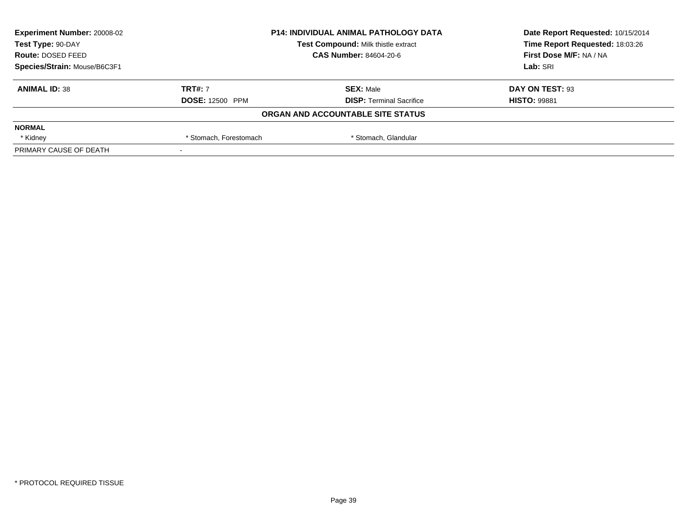| <b>Experiment Number: 20008-02</b> | <b>P14: INDIVIDUAL ANIMAL PATHOLOGY DATA</b><br>Test Compound: Milk thistle extract |                                   | Date Report Requested: 10/15/2014 |
|------------------------------------|-------------------------------------------------------------------------------------|-----------------------------------|-----------------------------------|
| Test Type: 90-DAY                  |                                                                                     |                                   | Time Report Requested: 18:03:26   |
| Route: DOSED FEED                  |                                                                                     | <b>CAS Number: 84604-20-6</b>     | First Dose M/F: NA / NA           |
| Species/Strain: Mouse/B6C3F1       |                                                                                     |                                   | Lab: SRI                          |
| <b>ANIMAL ID: 38</b>               | <b>TRT#: 7</b>                                                                      | <b>SEX: Male</b>                  | DAY ON TEST: 93                   |
|                                    | <b>DOSE: 12500 PPM</b>                                                              | <b>DISP:</b> Terminal Sacrifice   | <b>HISTO: 99881</b>               |
|                                    |                                                                                     | ORGAN AND ACCOUNTABLE SITE STATUS |                                   |
| <b>NORMAL</b>                      |                                                                                     |                                   |                                   |
| * Kidney                           | * Stomach, Glandular<br>* Stomach, Forestomach                                      |                                   |                                   |
| PRIMARY CAUSE OF DEATH             |                                                                                     |                                   |                                   |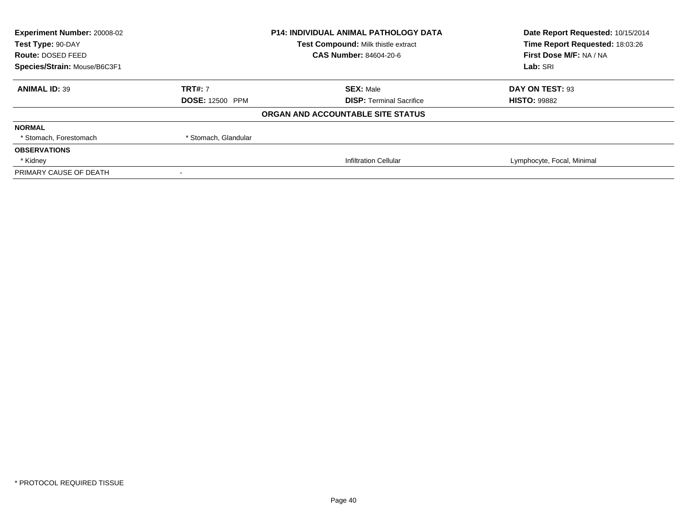| <b>Experiment Number: 20008-02</b><br>Test Type: 90-DAY | <b>P14: INDIVIDUAL ANIMAL PATHOLOGY DATA</b><br>Test Compound: Milk thistle extract |                                   | Date Report Requested: 10/15/2014<br>Time Report Requested: 18:03:26 |
|---------------------------------------------------------|-------------------------------------------------------------------------------------|-----------------------------------|----------------------------------------------------------------------|
| Route: DOSED FEED                                       |                                                                                     | <b>CAS Number: 84604-20-6</b>     | First Dose M/F: NA / NA                                              |
| Species/Strain: Mouse/B6C3F1                            |                                                                                     |                                   | Lab: SRI                                                             |
| <b>ANIMAL ID: 39</b>                                    | <b>TRT#: 7</b>                                                                      | <b>SEX: Male</b>                  | DAY ON TEST: 93                                                      |
|                                                         | <b>DOSE: 12500 PPM</b>                                                              | <b>DISP: Terminal Sacrifice</b>   | <b>HISTO: 99882</b>                                                  |
|                                                         |                                                                                     | ORGAN AND ACCOUNTABLE SITE STATUS |                                                                      |
| <b>NORMAL</b>                                           |                                                                                     |                                   |                                                                      |
| * Stomach, Forestomach                                  | * Stomach, Glandular                                                                |                                   |                                                                      |
| <b>OBSERVATIONS</b>                                     |                                                                                     |                                   |                                                                      |
| * Kidney                                                |                                                                                     | <b>Infiltration Cellular</b>      | Lymphocyte, Focal, Minimal                                           |
| PRIMARY CAUSE OF DEATH                                  |                                                                                     |                                   |                                                                      |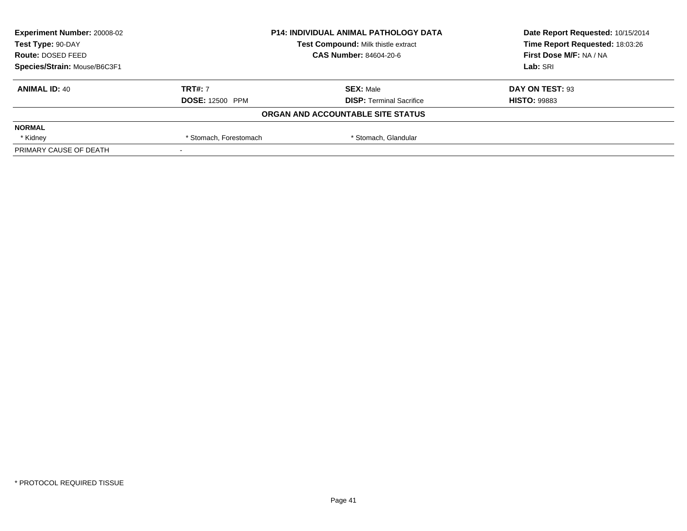| <b>Experiment Number: 20008-02</b> | <b>P14: INDIVIDUAL ANIMAL PATHOLOGY DATA</b><br>Test Compound: Milk thistle extract |                                   | Date Report Requested: 10/15/2014 |
|------------------------------------|-------------------------------------------------------------------------------------|-----------------------------------|-----------------------------------|
| Test Type: 90-DAY                  |                                                                                     |                                   | Time Report Requested: 18:03:26   |
| Route: DOSED FEED                  |                                                                                     | <b>CAS Number: 84604-20-6</b>     | First Dose M/F: NA / NA           |
| Species/Strain: Mouse/B6C3F1       |                                                                                     |                                   | Lab: SRI                          |
| <b>ANIMAL ID: 40</b>               | <b>TRT#: 7</b>                                                                      | <b>SEX: Male</b>                  | DAY ON TEST: 93                   |
|                                    | <b>DOSE: 12500 PPM</b>                                                              | <b>DISP: Terminal Sacrifice</b>   | <b>HISTO: 99883</b>               |
|                                    |                                                                                     | ORGAN AND ACCOUNTABLE SITE STATUS |                                   |
| <b>NORMAL</b>                      |                                                                                     |                                   |                                   |
| * Kidney                           | * Stomach, Forestomach                                                              | * Stomach, Glandular              |                                   |
| PRIMARY CAUSE OF DEATH             |                                                                                     |                                   |                                   |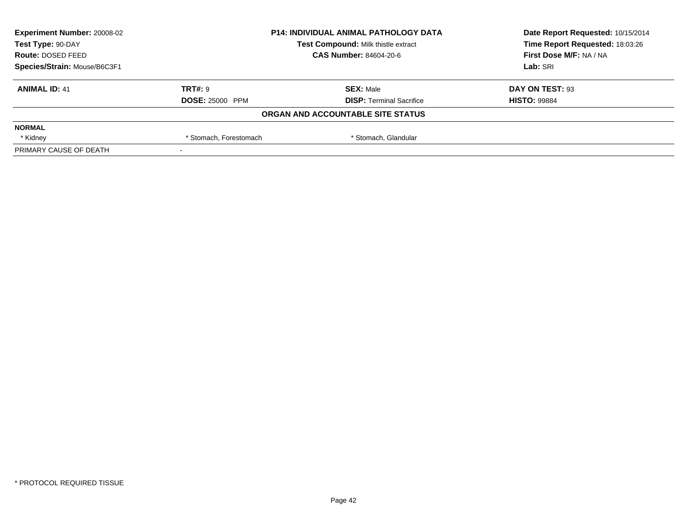| <b>Experiment Number: 20008-02</b> | <b>P14: INDIVIDUAL ANIMAL PATHOLOGY DATA</b><br>Test Compound: Milk thistle extract<br><b>CAS Number: 84604-20-6</b> |                                   | Date Report Requested: 10/15/2014 |
|------------------------------------|----------------------------------------------------------------------------------------------------------------------|-----------------------------------|-----------------------------------|
| Test Type: 90-DAY                  |                                                                                                                      |                                   | Time Report Requested: 18:03:26   |
| Route: DOSED FEED                  |                                                                                                                      |                                   | First Dose M/F: NA / NA           |
| Species/Strain: Mouse/B6C3F1       |                                                                                                                      |                                   | Lab: SRI                          |
| <b>ANIMAL ID: 41</b>               | <b>TRT#: 9</b>                                                                                                       | <b>SEX: Male</b>                  | DAY ON TEST: 93                   |
|                                    | <b>DOSE: 25000 PPM</b>                                                                                               | <b>DISP: Terminal Sacrifice</b>   | <b>HISTO: 99884</b>               |
|                                    |                                                                                                                      | ORGAN AND ACCOUNTABLE SITE STATUS |                                   |
| <b>NORMAL</b>                      |                                                                                                                      |                                   |                                   |
| * Kidney                           | * Stomach, Forestomach                                                                                               | * Stomach, Glandular              |                                   |
| PRIMARY CAUSE OF DEATH             |                                                                                                                      |                                   |                                   |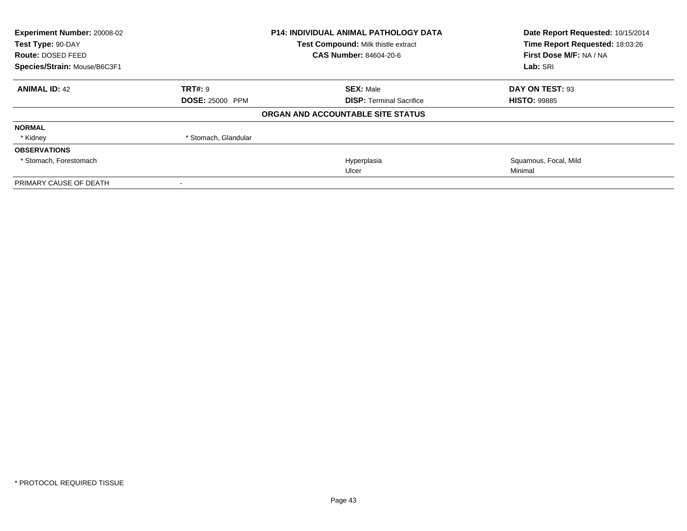| Experiment Number: 20008-02<br>Test Type: 90-DAY |                        | <b>P14: INDIVIDUAL ANIMAL PATHOLOGY DATA</b> | Date Report Requested: 10/15/2014<br>Time Report Requested: 18:03:26 |  |
|--------------------------------------------------|------------------------|----------------------------------------------|----------------------------------------------------------------------|--|
|                                                  |                        | Test Compound: Milk thistle extract          |                                                                      |  |
| Route: DOSED FEED                                |                        | CAS Number: 84604-20-6                       | First Dose M/F: NA / NA                                              |  |
| Species/Strain: Mouse/B6C3F1                     |                        |                                              | Lab: SRI                                                             |  |
| <b>ANIMAL ID: 42</b>                             | <b>TRT#: 9</b>         | <b>SEX: Male</b>                             | DAY ON TEST: 93                                                      |  |
|                                                  | <b>DOSE: 25000 PPM</b> | <b>DISP: Terminal Sacrifice</b>              | <b>HISTO: 99885</b>                                                  |  |
|                                                  |                        | ORGAN AND ACCOUNTABLE SITE STATUS            |                                                                      |  |
| <b>NORMAL</b>                                    |                        |                                              |                                                                      |  |
| * Kidney                                         | * Stomach, Glandular   |                                              |                                                                      |  |
| <b>OBSERVATIONS</b>                              |                        |                                              |                                                                      |  |
| * Stomach, Forestomach                           |                        | Hyperplasia                                  | Squamous, Focal, Mild                                                |  |
|                                                  |                        | Ulcer                                        | Minimal                                                              |  |
| PRIMARY CAUSE OF DEATH                           |                        |                                              |                                                                      |  |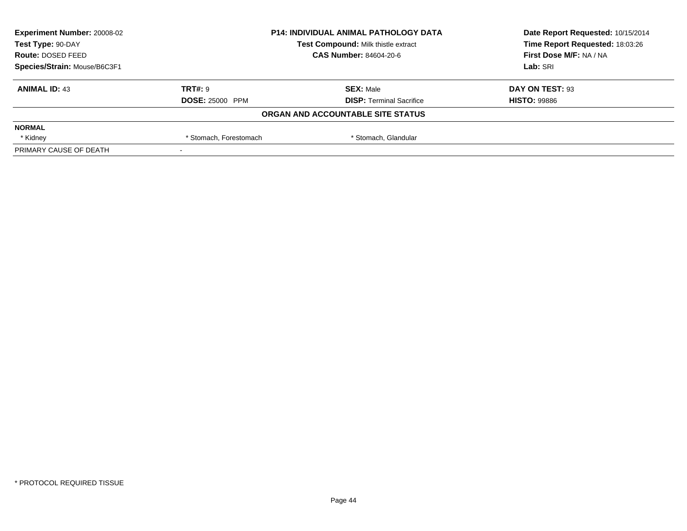| <b>Experiment Number: 20008-02</b> | <b>P14: INDIVIDUAL ANIMAL PATHOLOGY DATA</b><br>Test Compound: Milk thistle extract |                                   | Date Report Requested: 10/15/2014 |
|------------------------------------|-------------------------------------------------------------------------------------|-----------------------------------|-----------------------------------|
| Test Type: 90-DAY                  |                                                                                     |                                   | Time Report Requested: 18:03:26   |
| Route: DOSED FEED                  |                                                                                     | CAS Number: 84604-20-6            | First Dose M/F: NA / NA           |
| Species/Strain: Mouse/B6C3F1       |                                                                                     |                                   | Lab: SRI                          |
| <b>ANIMAL ID: 43</b>               | TRT#: 9                                                                             | <b>SEX: Male</b>                  | DAY ON TEST: 93                   |
|                                    | <b>DOSE: 25000 PPM</b>                                                              | <b>DISP: Terminal Sacrifice</b>   | <b>HISTO: 99886</b>               |
|                                    |                                                                                     | ORGAN AND ACCOUNTABLE SITE STATUS |                                   |
| <b>NORMAL</b>                      |                                                                                     |                                   |                                   |
| * Kidney                           | * Stomach, Forestomach                                                              | * Stomach, Glandular              |                                   |
| PRIMARY CAUSE OF DEATH             |                                                                                     |                                   |                                   |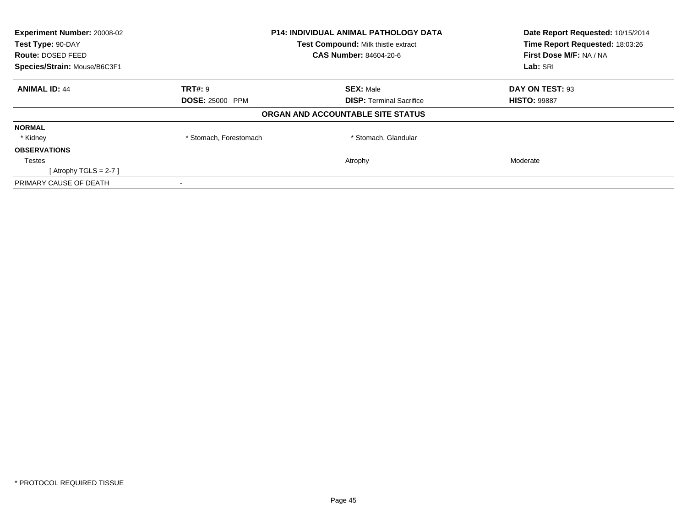| Experiment Number: 20008-02<br>Test Type: 90-DAY |                        | <b>P14: INDIVIDUAL ANIMAL PATHOLOGY DATA</b> | Date Report Requested: 10/15/2014<br>Time Report Requested: 18:03:26 |
|--------------------------------------------------|------------------------|----------------------------------------------|----------------------------------------------------------------------|
|                                                  |                        | Test Compound: Milk thistle extract          |                                                                      |
| Route: DOSED FEED                                |                        | <b>CAS Number: 84604-20-6</b>                | First Dose M/F: NA / NA                                              |
| Species/Strain: Mouse/B6C3F1                     |                        |                                              | Lab: SRI                                                             |
| <b>ANIMAL ID: 44</b>                             | <b>TRT#: 9</b>         | <b>SEX: Male</b>                             | DAY ON TEST: 93                                                      |
|                                                  | <b>DOSE: 25000 PPM</b> | <b>DISP:</b> Terminal Sacrifice              | <b>HISTO: 99887</b>                                                  |
|                                                  |                        | ORGAN AND ACCOUNTABLE SITE STATUS            |                                                                      |
| <b>NORMAL</b>                                    |                        |                                              |                                                                      |
| * Kidney                                         | * Stomach, Forestomach | * Stomach, Glandular                         |                                                                      |
| <b>OBSERVATIONS</b>                              |                        |                                              |                                                                      |
| Testes                                           |                        | Atrophy                                      | Moderate                                                             |
| [Atrophy TGLS = 2-7]                             |                        |                                              |                                                                      |
| PRIMARY CAUSE OF DEATH                           |                        |                                              |                                                                      |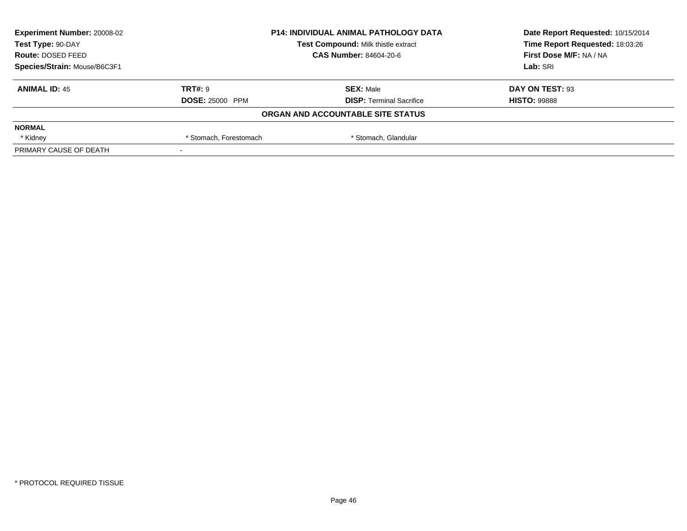| <b>Experiment Number: 20008-02</b> | <b>P14: INDIVIDUAL ANIMAL PATHOLOGY DATA</b><br>Test Compound: Milk thistle extract<br>CAS Number: 84604-20-6 |                                   | Date Report Requested: 10/15/2014 |
|------------------------------------|---------------------------------------------------------------------------------------------------------------|-----------------------------------|-----------------------------------|
| Test Type: 90-DAY                  |                                                                                                               |                                   | Time Report Requested: 18:03:26   |
| Route: DOSED FEED                  |                                                                                                               |                                   | First Dose M/F: NA / NA           |
| Species/Strain: Mouse/B6C3F1       |                                                                                                               |                                   | Lab: SRI                          |
| <b>ANIMAL ID: 45</b>               | TRT#: 9                                                                                                       | <b>SEX: Male</b>                  | DAY ON TEST: 93                   |
|                                    | <b>DOSE: 25000 PPM</b>                                                                                        | <b>DISP: Terminal Sacrifice</b>   | <b>HISTO: 99888</b>               |
|                                    |                                                                                                               | ORGAN AND ACCOUNTABLE SITE STATUS |                                   |
| <b>NORMAL</b>                      |                                                                                                               |                                   |                                   |
| * Kidney                           | * Stomach, Forestomach                                                                                        | * Stomach, Glandular              |                                   |
| PRIMARY CAUSE OF DEATH             |                                                                                                               |                                   |                                   |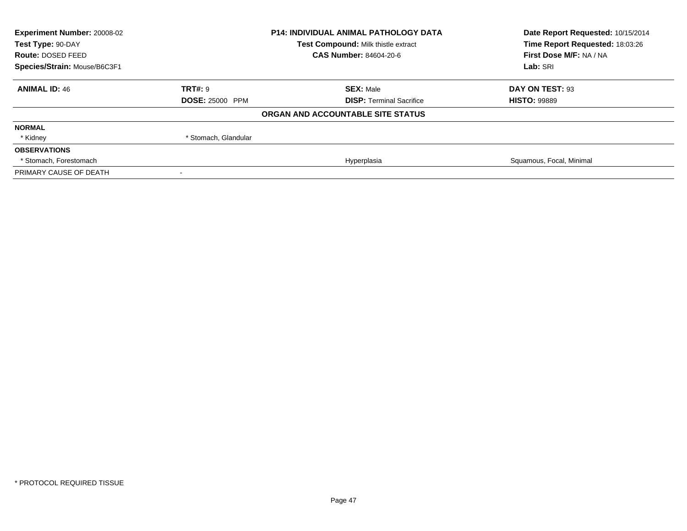| Experiment Number: 20008-02<br>P14: INDIVIDUAL ANIMAL PATHOLOGY DATA<br>Test Compound: Milk thistle extract<br>Test Type: 90-DAY |                        |                                   | Date Report Requested: 10/15/2014 |  |
|----------------------------------------------------------------------------------------------------------------------------------|------------------------|-----------------------------------|-----------------------------------|--|
|                                                                                                                                  |                        | Time Report Requested: 18:03:26   |                                   |  |
| Route: DOSED FEED                                                                                                                |                        | <b>CAS Number: 84604-20-6</b>     | First Dose M/F: NA / NA           |  |
| Species/Strain: Mouse/B6C3F1                                                                                                     |                        |                                   | Lab: SRI                          |  |
| <b>ANIMAL ID: 46</b>                                                                                                             | TRT#: 9                | <b>SEX: Male</b>                  | DAY ON TEST: 93                   |  |
|                                                                                                                                  | <b>DOSE: 25000 PPM</b> | <b>DISP:</b> Terminal Sacrifice   | <b>HISTO: 99889</b>               |  |
|                                                                                                                                  |                        | ORGAN AND ACCOUNTABLE SITE STATUS |                                   |  |
| <b>NORMAL</b>                                                                                                                    |                        |                                   |                                   |  |
| * Kidney                                                                                                                         | * Stomach, Glandular   |                                   |                                   |  |
| <b>OBSERVATIONS</b>                                                                                                              |                        |                                   |                                   |  |
| * Stomach. Forestomach                                                                                                           |                        | Hyperplasia                       | Squamous, Focal, Minimal          |  |
| PRIMARY CAUSE OF DEATH                                                                                                           |                        |                                   |                                   |  |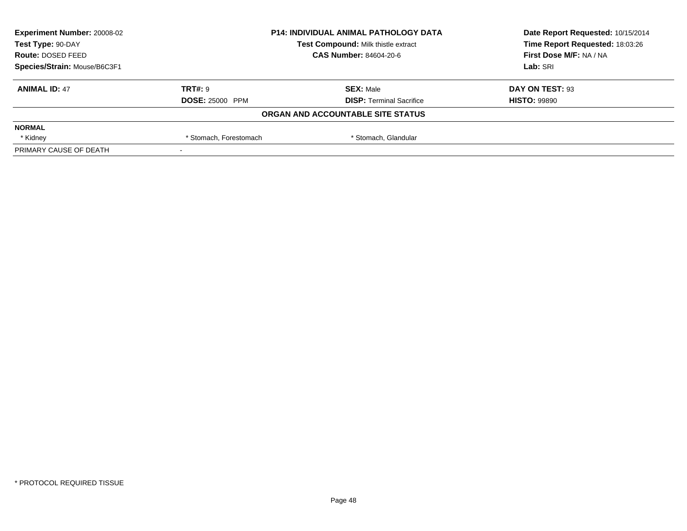| <b>Experiment Number: 20008-02</b> | <b>P14: INDIVIDUAL ANIMAL PATHOLOGY DATA</b><br>Test Compound: Milk thistle extract<br><b>CAS Number: 84604-20-6</b> |                                   | Date Report Requested: 10/15/2014 |
|------------------------------------|----------------------------------------------------------------------------------------------------------------------|-----------------------------------|-----------------------------------|
| Test Type: 90-DAY                  |                                                                                                                      |                                   | Time Report Requested: 18:03:26   |
| Route: DOSED FEED                  |                                                                                                                      |                                   | First Dose M/F: NA / NA           |
| Species/Strain: Mouse/B6C3F1       |                                                                                                                      |                                   | Lab: SRI                          |
| <b>ANIMAL ID: 47</b>               | <b>TRT#: 9</b>                                                                                                       | <b>SEX: Male</b>                  | DAY ON TEST: 93                   |
|                                    | <b>DOSE: 25000 PPM</b>                                                                                               | <b>DISP: Terminal Sacrifice</b>   | <b>HISTO: 99890</b>               |
|                                    |                                                                                                                      | ORGAN AND ACCOUNTABLE SITE STATUS |                                   |
| <b>NORMAL</b>                      |                                                                                                                      |                                   |                                   |
| * Kidney                           | * Stomach, Forestomach                                                                                               | * Stomach, Glandular              |                                   |
| PRIMARY CAUSE OF DEATH             |                                                                                                                      |                                   |                                   |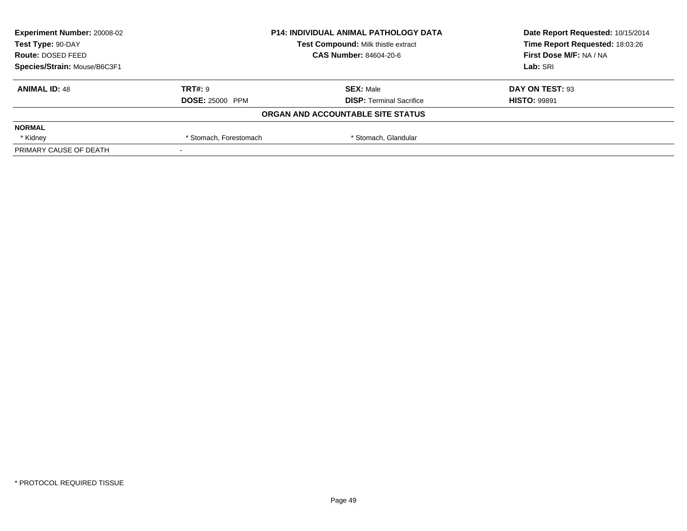| <b>Experiment Number: 20008-02</b> | <b>P14: INDIVIDUAL ANIMAL PATHOLOGY DATA</b><br>Test Compound: Milk thistle extract<br><b>CAS Number: 84604-20-6</b> |                                   | Date Report Requested: 10/15/2014 |
|------------------------------------|----------------------------------------------------------------------------------------------------------------------|-----------------------------------|-----------------------------------|
| Test Type: 90-DAY                  |                                                                                                                      |                                   | Time Report Requested: 18:03:26   |
| Route: DOSED FEED                  |                                                                                                                      |                                   | First Dose M/F: NA / NA           |
| Species/Strain: Mouse/B6C3F1       |                                                                                                                      |                                   | Lab: SRI                          |
| <b>ANIMAL ID: 48</b>               | <b>TRT#: 9</b>                                                                                                       | <b>SEX: Male</b>                  | DAY ON TEST: 93                   |
|                                    | <b>DOSE: 25000 PPM</b>                                                                                               | <b>DISP: Terminal Sacrifice</b>   | <b>HISTO: 99891</b>               |
|                                    |                                                                                                                      | ORGAN AND ACCOUNTABLE SITE STATUS |                                   |
| <b>NORMAL</b>                      |                                                                                                                      |                                   |                                   |
| * Kidney                           | * Stomach, Forestomach                                                                                               | * Stomach, Glandular              |                                   |
| PRIMARY CAUSE OF DEATH             |                                                                                                                      |                                   |                                   |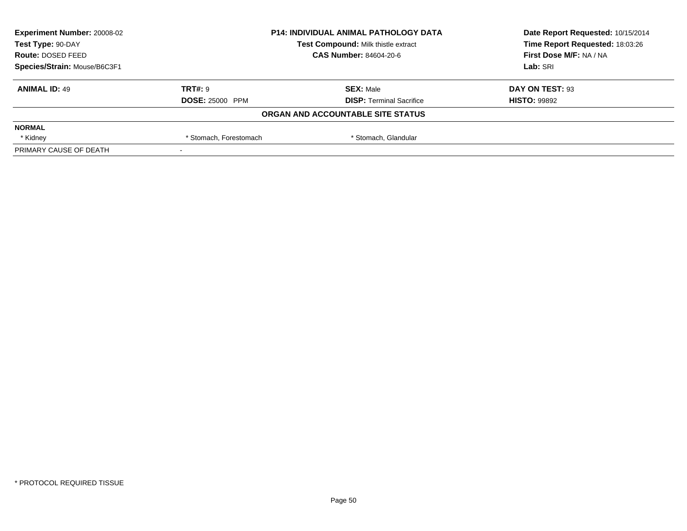| <b>Experiment Number: 20008-02</b> | <b>P14: INDIVIDUAL ANIMAL PATHOLOGY DATA</b><br>Test Compound: Milk thistle extract<br>CAS Number: 84604-20-6 |                                   | Date Report Requested: 10/15/2014 |
|------------------------------------|---------------------------------------------------------------------------------------------------------------|-----------------------------------|-----------------------------------|
| Test Type: 90-DAY                  |                                                                                                               |                                   | Time Report Requested: 18:03:26   |
| Route: DOSED FEED                  |                                                                                                               |                                   | First Dose M/F: NA / NA           |
| Species/Strain: Mouse/B6C3F1       |                                                                                                               |                                   | Lab: SRI                          |
| <b>ANIMAL ID: 49</b>               | TRT#: 9                                                                                                       | <b>SEX: Male</b>                  | DAY ON TEST: 93                   |
|                                    | <b>DOSE: 25000 PPM</b>                                                                                        | <b>DISP: Terminal Sacrifice</b>   | <b>HISTO: 99892</b>               |
|                                    |                                                                                                               | ORGAN AND ACCOUNTABLE SITE STATUS |                                   |
| <b>NORMAL</b>                      |                                                                                                               |                                   |                                   |
| * Kidney                           | * Stomach, Forestomach                                                                                        | * Stomach, Glandular              |                                   |
| PRIMARY CAUSE OF DEATH             |                                                                                                               |                                   |                                   |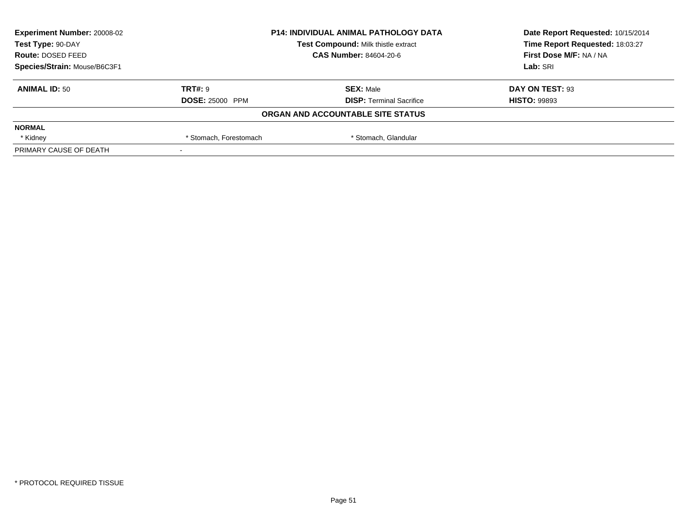| <b>Experiment Number: 20008-02</b> | <b>P14: INDIVIDUAL ANIMAL PATHOLOGY DATA</b><br>Test Compound: Milk thistle extract<br><b>CAS Number: 84604-20-6</b> |                                   | Date Report Requested: 10/15/2014 |
|------------------------------------|----------------------------------------------------------------------------------------------------------------------|-----------------------------------|-----------------------------------|
| Test Type: 90-DAY                  |                                                                                                                      |                                   | Time Report Requested: 18:03:27   |
| Route: DOSED FEED                  |                                                                                                                      |                                   | First Dose M/F: NA / NA           |
| Species/Strain: Mouse/B6C3F1       |                                                                                                                      |                                   | Lab: SRI                          |
| <b>ANIMAL ID: 50</b>               | <b>TRT#: 9</b>                                                                                                       | <b>SEX: Male</b>                  | DAY ON TEST: 93                   |
|                                    | <b>DOSE: 25000 PPM</b>                                                                                               | <b>DISP: Terminal Sacrifice</b>   | <b>HISTO: 99893</b>               |
|                                    |                                                                                                                      | ORGAN AND ACCOUNTABLE SITE STATUS |                                   |
| <b>NORMAL</b>                      |                                                                                                                      |                                   |                                   |
| * Kidney                           | * Stomach, Forestomach                                                                                               | * Stomach, Glandular              |                                   |
| PRIMARY CAUSE OF DEATH             |                                                                                                                      |                                   |                                   |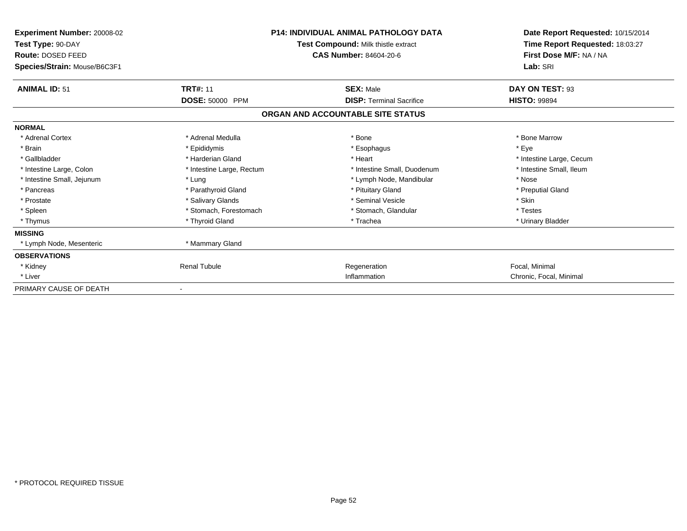| Experiment Number: 20008-02<br>Test Type: 90-DAY<br>Route: DOSED FEED | <b>P14: INDIVIDUAL ANIMAL PATHOLOGY DATA</b><br>Test Compound: Milk thistle extract<br><b>CAS Number: 84604-20-6</b> |                                   | Date Report Requested: 10/15/2014<br>Time Report Requested: 18:03:27<br>First Dose M/F: NA / NA |  |
|-----------------------------------------------------------------------|----------------------------------------------------------------------------------------------------------------------|-----------------------------------|-------------------------------------------------------------------------------------------------|--|
| Species/Strain: Mouse/B6C3F1                                          |                                                                                                                      |                                   | Lab: SRI                                                                                        |  |
| <b>ANIMAL ID: 51</b>                                                  | <b>TRT#: 11</b>                                                                                                      | <b>SEX: Male</b>                  | DAY ON TEST: 93                                                                                 |  |
|                                                                       | DOSE: 50000 PPM                                                                                                      | <b>DISP: Terminal Sacrifice</b>   | <b>HISTO: 99894</b>                                                                             |  |
|                                                                       |                                                                                                                      | ORGAN AND ACCOUNTABLE SITE STATUS |                                                                                                 |  |
| <b>NORMAL</b>                                                         |                                                                                                                      |                                   |                                                                                                 |  |
| * Adrenal Cortex                                                      | * Adrenal Medulla                                                                                                    | * Bone                            | * Bone Marrow                                                                                   |  |
| * Brain                                                               | * Epididymis                                                                                                         | * Esophagus                       | * Eye                                                                                           |  |
| * Gallbladder                                                         | * Harderian Gland                                                                                                    | * Heart                           | * Intestine Large, Cecum                                                                        |  |
| * Intestine Large, Colon                                              | * Intestine Large, Rectum                                                                                            | * Intestine Small, Duodenum       | * Intestine Small, Ileum                                                                        |  |
| * Intestine Small, Jejunum                                            | * Lung                                                                                                               | * Lymph Node, Mandibular          | * Nose                                                                                          |  |
| * Pancreas                                                            | * Parathyroid Gland                                                                                                  | * Pituitary Gland                 | * Preputial Gland                                                                               |  |
| * Prostate                                                            | * Salivary Glands                                                                                                    | * Seminal Vesicle                 | * Skin                                                                                          |  |
| * Spleen                                                              | * Stomach, Forestomach                                                                                               | * Stomach, Glandular              | * Testes                                                                                        |  |
| * Thymus                                                              | * Thyroid Gland                                                                                                      | * Trachea                         | * Urinary Bladder                                                                               |  |
| <b>MISSING</b>                                                        |                                                                                                                      |                                   |                                                                                                 |  |
| * Lymph Node, Mesenteric                                              | * Mammary Gland                                                                                                      |                                   |                                                                                                 |  |
| <b>OBSERVATIONS</b>                                                   |                                                                                                                      |                                   |                                                                                                 |  |
| * Kidney                                                              | <b>Renal Tubule</b>                                                                                                  | Regeneration                      | Focal, Minimal                                                                                  |  |
| * Liver                                                               |                                                                                                                      | Inflammation                      | Chronic, Focal, Minimal                                                                         |  |
| PRIMARY CAUSE OF DEATH                                                |                                                                                                                      |                                   |                                                                                                 |  |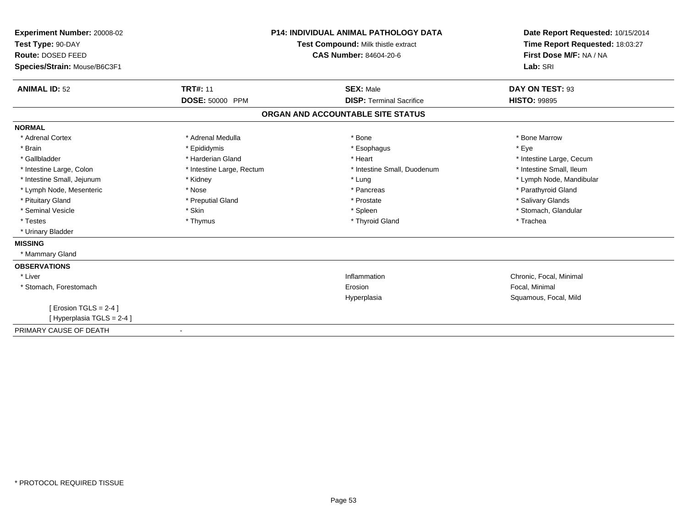| <b>Experiment Number: 20008-02</b><br>Test Type: 90-DAY<br>Route: DOSED FEED<br>Species/Strain: Mouse/B6C3F1 | <b>P14: INDIVIDUAL ANIMAL PATHOLOGY DATA</b><br>Test Compound: Milk thistle extract<br><b>CAS Number: 84604-20-6</b> |                                                     | Date Report Requested: 10/15/2014<br>Time Report Requested: 18:03:27<br>First Dose M/F: NA / NA<br>Lab: SRI |
|--------------------------------------------------------------------------------------------------------------|----------------------------------------------------------------------------------------------------------------------|-----------------------------------------------------|-------------------------------------------------------------------------------------------------------------|
| <b>ANIMAL ID: 52</b>                                                                                         | <b>TRT#: 11</b><br>DOSE: 50000 PPM                                                                                   | <b>SEX: Male</b><br><b>DISP: Terminal Sacrifice</b> | DAY ON TEST: 93<br><b>HISTO: 99895</b>                                                                      |
|                                                                                                              |                                                                                                                      |                                                     |                                                                                                             |
|                                                                                                              |                                                                                                                      | ORGAN AND ACCOUNTABLE SITE STATUS                   |                                                                                                             |
| <b>NORMAL</b>                                                                                                |                                                                                                                      |                                                     |                                                                                                             |
| * Adrenal Cortex                                                                                             | * Adrenal Medulla                                                                                                    | * Bone                                              | * Bone Marrow                                                                                               |
| * Brain                                                                                                      | * Epididymis                                                                                                         | * Esophagus                                         | * Eye                                                                                                       |
| * Gallbladder                                                                                                | * Harderian Gland                                                                                                    | * Heart                                             | * Intestine Large, Cecum                                                                                    |
| * Intestine Large, Colon                                                                                     | * Intestine Large, Rectum                                                                                            | * Intestine Small. Duodenum                         | * Intestine Small, Ileum                                                                                    |
| * Intestine Small, Jejunum                                                                                   | * Kidney                                                                                                             | * Lung                                              | * Lymph Node, Mandibular                                                                                    |
| * Lymph Node, Mesenteric                                                                                     | * Nose                                                                                                               | * Pancreas                                          | * Parathyroid Gland                                                                                         |
| * Pituitary Gland                                                                                            | * Preputial Gland                                                                                                    | * Prostate                                          | * Salivary Glands                                                                                           |
| * Seminal Vesicle                                                                                            | * Skin                                                                                                               | * Spleen                                            | * Stomach, Glandular                                                                                        |
| * Testes                                                                                                     | * Thymus                                                                                                             | * Thyroid Gland                                     | * Trachea                                                                                                   |
| * Urinary Bladder                                                                                            |                                                                                                                      |                                                     |                                                                                                             |
| <b>MISSING</b>                                                                                               |                                                                                                                      |                                                     |                                                                                                             |
| * Mammary Gland                                                                                              |                                                                                                                      |                                                     |                                                                                                             |
| <b>OBSERVATIONS</b>                                                                                          |                                                                                                                      |                                                     |                                                                                                             |
| * Liver                                                                                                      |                                                                                                                      | Inflammation                                        | Chronic, Focal, Minimal                                                                                     |
| * Stomach, Forestomach                                                                                       |                                                                                                                      | Erosion                                             | Focal, Minimal                                                                                              |
|                                                                                                              |                                                                                                                      | Hyperplasia                                         | Squamous, Focal, Mild                                                                                       |
| [ Erosion TGLS = $2-4$ ]                                                                                     |                                                                                                                      |                                                     |                                                                                                             |
| [Hyperplasia TGLS = 2-4]                                                                                     |                                                                                                                      |                                                     |                                                                                                             |
| PRIMARY CAUSE OF DEATH                                                                                       |                                                                                                                      |                                                     |                                                                                                             |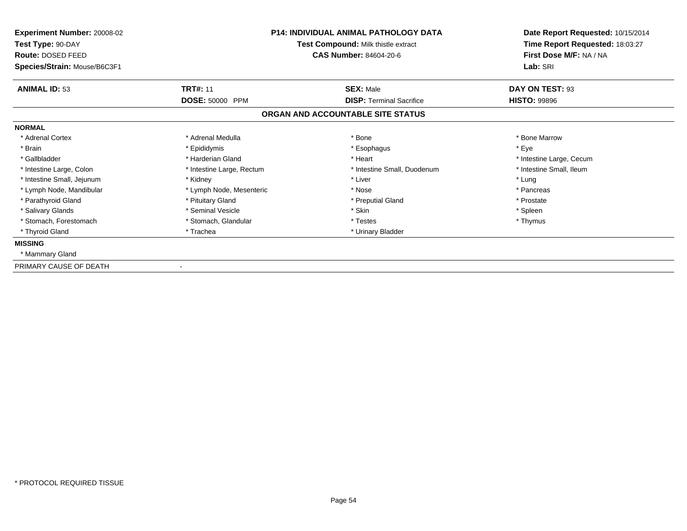| <b>Experiment Number: 20008-02</b><br>Test Type: 90-DAY<br>Route: DOSED FEED<br>Species/Strain: Mouse/B6C3F1 | <b>P14: INDIVIDUAL ANIMAL PATHOLOGY DATA</b><br>Test Compound: Milk thistle extract<br><b>CAS Number: 84604-20-6</b> |                                   | Date Report Requested: 10/15/2014<br>Time Report Requested: 18:03:27<br>First Dose M/F: NA / NA<br>Lab: SRI |
|--------------------------------------------------------------------------------------------------------------|----------------------------------------------------------------------------------------------------------------------|-----------------------------------|-------------------------------------------------------------------------------------------------------------|
| <b>ANIMAL ID: 53</b>                                                                                         | <b>TRT#: 11</b>                                                                                                      | <b>SEX: Male</b>                  | DAY ON TEST: 93                                                                                             |
|                                                                                                              | <b>DOSE: 50000 PPM</b>                                                                                               | <b>DISP: Terminal Sacrifice</b>   | <b>HISTO: 99896</b>                                                                                         |
|                                                                                                              |                                                                                                                      | ORGAN AND ACCOUNTABLE SITE STATUS |                                                                                                             |
| <b>NORMAL</b>                                                                                                |                                                                                                                      |                                   |                                                                                                             |
| * Adrenal Cortex                                                                                             | * Adrenal Medulla                                                                                                    | * Bone                            | * Bone Marrow                                                                                               |
| * Brain                                                                                                      | * Epididymis                                                                                                         | * Esophagus                       | * Eye                                                                                                       |
| * Gallbladder                                                                                                | * Harderian Gland                                                                                                    | * Heart                           | * Intestine Large, Cecum                                                                                    |
| * Intestine Large, Colon                                                                                     | * Intestine Large, Rectum                                                                                            | * Intestine Small, Duodenum       | * Intestine Small, Ileum                                                                                    |
| * Intestine Small, Jejunum                                                                                   | * Kidney                                                                                                             | * Liver                           | * Lung                                                                                                      |
| * Lymph Node, Mandibular                                                                                     | * Lymph Node, Mesenteric                                                                                             | * Nose                            | * Pancreas                                                                                                  |
| * Parathyroid Gland                                                                                          | * Pituitary Gland                                                                                                    | * Preputial Gland                 | * Prostate                                                                                                  |
| * Salivary Glands                                                                                            | * Seminal Vesicle                                                                                                    | * Skin                            | * Spleen                                                                                                    |
| * Stomach, Forestomach                                                                                       | * Stomach, Glandular                                                                                                 | * Testes                          | * Thymus                                                                                                    |
| * Thyroid Gland                                                                                              | * Trachea                                                                                                            | * Urinary Bladder                 |                                                                                                             |
| <b>MISSING</b>                                                                                               |                                                                                                                      |                                   |                                                                                                             |
| * Mammary Gland                                                                                              |                                                                                                                      |                                   |                                                                                                             |
| PRIMARY CAUSE OF DEATH                                                                                       |                                                                                                                      |                                   |                                                                                                             |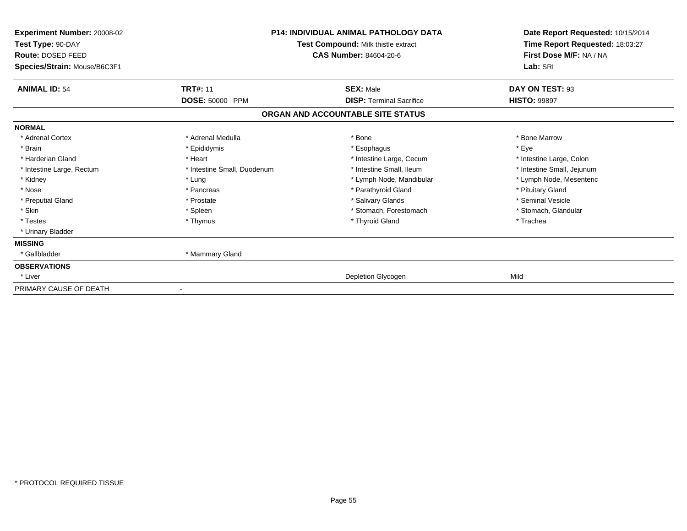| Experiment Number: 20008-02<br>Test Type: 90-DAY<br>Route: DOSED FEED<br>Species/Strain: Mouse/B6C3F1 | <b>P14: INDIVIDUAL ANIMAL PATHOLOGY DATA</b><br>Test Compound: Milk thistle extract<br><b>CAS Number: 84604-20-6</b> |                                   | Date Report Requested: 10/15/2014<br>Time Report Requested: 18:03:27<br>First Dose M/F: NA / NA<br>Lab: SRI |  |
|-------------------------------------------------------------------------------------------------------|----------------------------------------------------------------------------------------------------------------------|-----------------------------------|-------------------------------------------------------------------------------------------------------------|--|
| <b>ANIMAL ID: 54</b>                                                                                  | <b>TRT#: 11</b>                                                                                                      | <b>SEX: Male</b>                  | DAY ON TEST: 93                                                                                             |  |
|                                                                                                       | <b>DOSE: 50000 PPM</b>                                                                                               | <b>DISP: Terminal Sacrifice</b>   | <b>HISTO: 99897</b>                                                                                         |  |
|                                                                                                       |                                                                                                                      | ORGAN AND ACCOUNTABLE SITE STATUS |                                                                                                             |  |
| <b>NORMAL</b>                                                                                         |                                                                                                                      |                                   |                                                                                                             |  |
| * Adrenal Cortex                                                                                      | * Adrenal Medulla                                                                                                    | * Bone                            | * Bone Marrow                                                                                               |  |
| * Brain                                                                                               | * Epididymis                                                                                                         | * Esophagus                       | * Eye                                                                                                       |  |
| * Harderian Gland                                                                                     | * Heart                                                                                                              | * Intestine Large, Cecum          | * Intestine Large, Colon                                                                                    |  |
| * Intestine Large, Rectum                                                                             | * Intestine Small, Duodenum                                                                                          | * Intestine Small, Ileum          | * Intestine Small, Jejunum                                                                                  |  |
| * Kidney                                                                                              | * Lung                                                                                                               | * Lymph Node, Mandibular          | * Lymph Node, Mesenteric                                                                                    |  |
| * Nose                                                                                                | * Pancreas                                                                                                           | * Parathyroid Gland               | * Pituitary Gland                                                                                           |  |
| * Preputial Gland                                                                                     | * Prostate                                                                                                           | * Salivary Glands                 | * Seminal Vesicle                                                                                           |  |
| * Skin                                                                                                | * Spleen                                                                                                             | * Stomach, Forestomach            | * Stomach, Glandular                                                                                        |  |
| * Testes                                                                                              | * Thymus                                                                                                             | * Thyroid Gland                   | * Trachea                                                                                                   |  |
| * Urinary Bladder                                                                                     |                                                                                                                      |                                   |                                                                                                             |  |
| <b>MISSING</b>                                                                                        |                                                                                                                      |                                   |                                                                                                             |  |
| * Gallbladder                                                                                         | * Mammary Gland                                                                                                      |                                   |                                                                                                             |  |
| <b>OBSERVATIONS</b>                                                                                   |                                                                                                                      |                                   |                                                                                                             |  |
| * Liver                                                                                               |                                                                                                                      | Depletion Glycogen                | Mild                                                                                                        |  |
| PRIMARY CAUSE OF DEATH                                                                                |                                                                                                                      |                                   |                                                                                                             |  |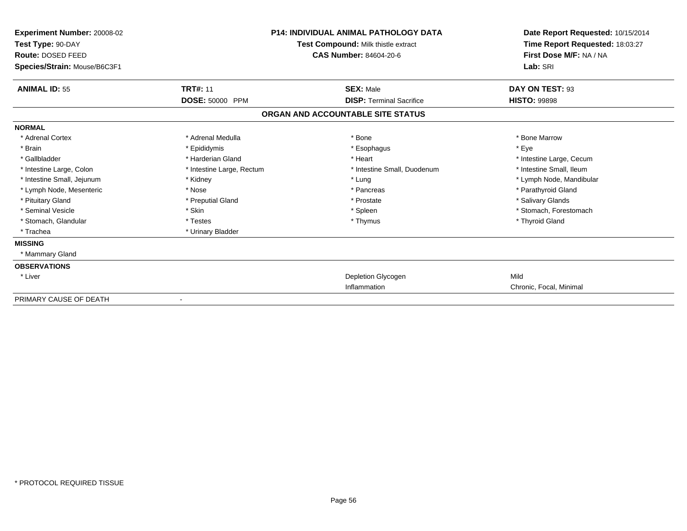| <b>Experiment Number: 20008-02</b><br>Test Type: 90-DAY<br>Route: DOSED FEED<br>Species/Strain: Mouse/B6C3F1 | <b>P14: INDIVIDUAL ANIMAL PATHOLOGY DATA</b><br>Test Compound: Milk thistle extract<br><b>CAS Number: 84604-20-6</b> |                                   | Date Report Requested: 10/15/2014<br>Time Report Requested: 18:03:27<br>First Dose M/F: NA / NA<br>Lab: SRI |
|--------------------------------------------------------------------------------------------------------------|----------------------------------------------------------------------------------------------------------------------|-----------------------------------|-------------------------------------------------------------------------------------------------------------|
| <b>ANIMAL ID: 55</b>                                                                                         | <b>TRT#: 11</b>                                                                                                      | <b>SEX: Male</b>                  | DAY ON TEST: 93                                                                                             |
|                                                                                                              | DOSE: 50000 PPM                                                                                                      | <b>DISP: Terminal Sacrifice</b>   | <b>HISTO: 99898</b>                                                                                         |
|                                                                                                              |                                                                                                                      | ORGAN AND ACCOUNTABLE SITE STATUS |                                                                                                             |
| <b>NORMAL</b>                                                                                                |                                                                                                                      |                                   |                                                                                                             |
| * Adrenal Cortex                                                                                             | * Adrenal Medulla                                                                                                    | * Bone                            | * Bone Marrow                                                                                               |
| * Brain                                                                                                      | * Epididymis                                                                                                         | * Esophagus                       | * Eve                                                                                                       |
| * Gallbladder                                                                                                | * Harderian Gland                                                                                                    | * Heart                           | * Intestine Large, Cecum                                                                                    |
| * Intestine Large, Colon                                                                                     | * Intestine Large, Rectum                                                                                            | * Intestine Small, Duodenum       | * Intestine Small, Ileum                                                                                    |
| * Intestine Small, Jejunum                                                                                   | * Kidney                                                                                                             | * Lung                            | * Lymph Node, Mandibular                                                                                    |
| * Lymph Node, Mesenteric                                                                                     | * Nose                                                                                                               | * Pancreas                        | * Parathyroid Gland                                                                                         |
| * Pituitary Gland                                                                                            | * Preputial Gland                                                                                                    | * Prostate                        | * Salivary Glands                                                                                           |
| * Seminal Vesicle                                                                                            | * Skin                                                                                                               | * Spleen                          | * Stomach, Forestomach                                                                                      |
| * Stomach, Glandular                                                                                         | * Testes                                                                                                             | * Thymus                          | * Thyroid Gland                                                                                             |
| * Trachea                                                                                                    | * Urinary Bladder                                                                                                    |                                   |                                                                                                             |
| <b>MISSING</b>                                                                                               |                                                                                                                      |                                   |                                                                                                             |
| * Mammary Gland                                                                                              |                                                                                                                      |                                   |                                                                                                             |
| <b>OBSERVATIONS</b>                                                                                          |                                                                                                                      |                                   |                                                                                                             |
| * Liver                                                                                                      |                                                                                                                      | Depletion Glycogen                | Mild                                                                                                        |
|                                                                                                              |                                                                                                                      | Inflammation                      | Chronic, Focal, Minimal                                                                                     |
| PRIMARY CAUSE OF DEATH                                                                                       |                                                                                                                      |                                   |                                                                                                             |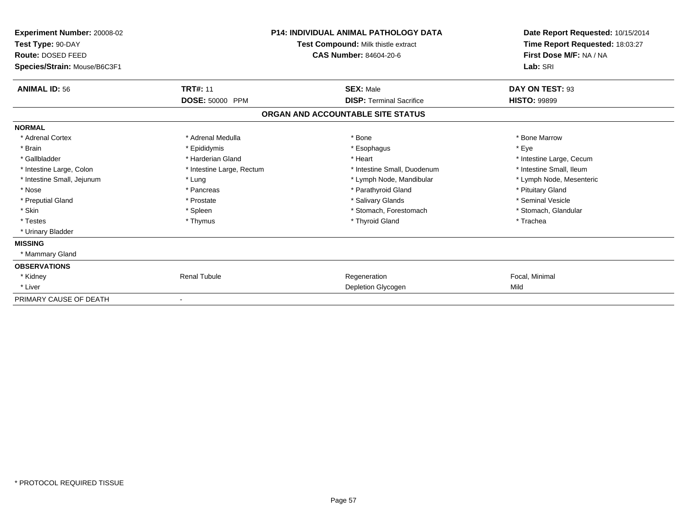| Experiment Number: 20008-02<br>Test Type: 90-DAY<br>Route: DOSED FEED<br>Species/Strain: Mouse/B6C3F1 | <b>P14: INDIVIDUAL ANIMAL PATHOLOGY DATA</b><br>Test Compound: Milk thistle extract<br>CAS Number: 84604-20-6 |                                   | Date Report Requested: 10/15/2014<br>Time Report Requested: 18:03:27<br>First Dose M/F: NA / NA<br>Lab: SRI |  |
|-------------------------------------------------------------------------------------------------------|---------------------------------------------------------------------------------------------------------------|-----------------------------------|-------------------------------------------------------------------------------------------------------------|--|
| <b>ANIMAL ID: 56</b>                                                                                  | <b>TRT#: 11</b>                                                                                               | <b>SEX: Male</b>                  | DAY ON TEST: 93                                                                                             |  |
|                                                                                                       | <b>DOSE: 50000 PPM</b>                                                                                        | <b>DISP:</b> Terminal Sacrifice   | <b>HISTO: 99899</b>                                                                                         |  |
|                                                                                                       |                                                                                                               | ORGAN AND ACCOUNTABLE SITE STATUS |                                                                                                             |  |
| <b>NORMAL</b>                                                                                         |                                                                                                               |                                   |                                                                                                             |  |
| * Adrenal Cortex                                                                                      | * Adrenal Medulla                                                                                             | * Bone                            | * Bone Marrow                                                                                               |  |
| * Brain                                                                                               | * Epididymis                                                                                                  | * Esophagus                       | * Eye                                                                                                       |  |
| * Gallbladder                                                                                         | * Harderian Gland                                                                                             | * Heart                           | * Intestine Large, Cecum                                                                                    |  |
| * Intestine Large, Colon                                                                              | * Intestine Large, Rectum                                                                                     | * Intestine Small, Duodenum       | * Intestine Small. Ileum                                                                                    |  |
| * Intestine Small, Jejunum                                                                            | * Lung                                                                                                        | * Lymph Node, Mandibular          | * Lymph Node, Mesenteric                                                                                    |  |
| * Nose                                                                                                | * Pancreas                                                                                                    | * Parathyroid Gland               | * Pituitary Gland                                                                                           |  |
| * Preputial Gland                                                                                     | * Prostate                                                                                                    | * Salivary Glands                 | * Seminal Vesicle                                                                                           |  |
| * Skin                                                                                                | * Spleen                                                                                                      | * Stomach, Forestomach            | * Stomach, Glandular                                                                                        |  |
| * Testes                                                                                              | * Thymus                                                                                                      | * Thyroid Gland                   | * Trachea                                                                                                   |  |
| * Urinary Bladder                                                                                     |                                                                                                               |                                   |                                                                                                             |  |
| <b>MISSING</b>                                                                                        |                                                                                                               |                                   |                                                                                                             |  |
| * Mammary Gland                                                                                       |                                                                                                               |                                   |                                                                                                             |  |
| <b>OBSERVATIONS</b>                                                                                   |                                                                                                               |                                   |                                                                                                             |  |
| * Kidney                                                                                              | <b>Renal Tubule</b>                                                                                           | Regeneration                      | Focal, Minimal                                                                                              |  |
| * Liver                                                                                               |                                                                                                               | Depletion Glycogen                | Mild                                                                                                        |  |
| PRIMARY CAUSE OF DEATH                                                                                |                                                                                                               |                                   |                                                                                                             |  |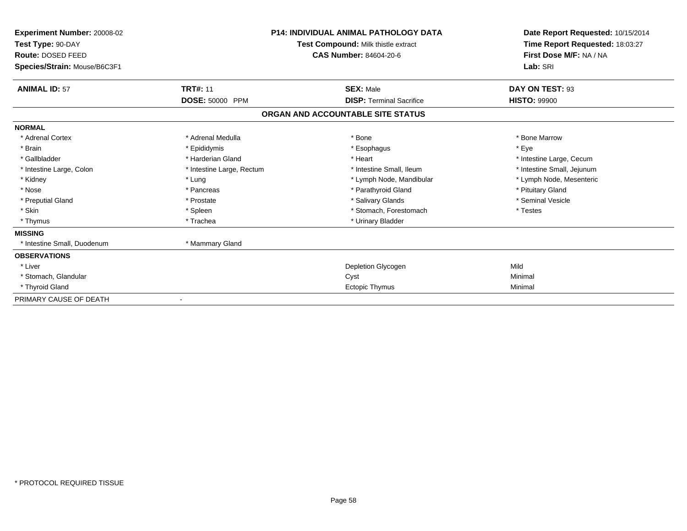| Experiment Number: 20008-02<br>Test Type: 90-DAY<br>Route: DOSED FEED<br>Species/Strain: Mouse/B6C3F1 | <b>P14: INDIVIDUAL ANIMAL PATHOLOGY DATA</b><br>Test Compound: Milk thistle extract<br>CAS Number: 84604-20-6 |                                   | Date Report Requested: 10/15/2014<br>Time Report Requested: 18:03:27<br>First Dose M/F: NA / NA<br>Lab: SRI |  |
|-------------------------------------------------------------------------------------------------------|---------------------------------------------------------------------------------------------------------------|-----------------------------------|-------------------------------------------------------------------------------------------------------------|--|
| <b>ANIMAL ID: 57</b>                                                                                  | <b>TRT#: 11</b>                                                                                               | <b>SEX: Male</b>                  | DAY ON TEST: 93                                                                                             |  |
|                                                                                                       | <b>DOSE: 50000 PPM</b>                                                                                        | <b>DISP:</b> Terminal Sacrifice   | <b>HISTO: 99900</b>                                                                                         |  |
|                                                                                                       |                                                                                                               | ORGAN AND ACCOUNTABLE SITE STATUS |                                                                                                             |  |
| <b>NORMAL</b>                                                                                         |                                                                                                               |                                   |                                                                                                             |  |
| * Adrenal Cortex                                                                                      | * Adrenal Medulla                                                                                             | * Bone                            | * Bone Marrow                                                                                               |  |
| * Brain                                                                                               | * Epididymis                                                                                                  | * Esophagus                       | * Eye                                                                                                       |  |
| * Gallbladder                                                                                         | * Harderian Gland                                                                                             | * Heart                           | * Intestine Large, Cecum                                                                                    |  |
| * Intestine Large, Colon                                                                              | * Intestine Large, Rectum                                                                                     | * Intestine Small, Ileum          | * Intestine Small, Jejunum                                                                                  |  |
| * Kidney                                                                                              | * Lung                                                                                                        | * Lymph Node, Mandibular          | * Lymph Node, Mesenteric                                                                                    |  |
| * Nose                                                                                                | * Pancreas                                                                                                    | * Parathyroid Gland               | * Pituitary Gland                                                                                           |  |
| * Preputial Gland                                                                                     | * Prostate                                                                                                    | * Salivary Glands                 | * Seminal Vesicle                                                                                           |  |
| * Skin                                                                                                | * Spleen                                                                                                      | * Stomach, Forestomach            | * Testes                                                                                                    |  |
| * Thymus                                                                                              | * Trachea                                                                                                     | * Urinary Bladder                 |                                                                                                             |  |
| <b>MISSING</b>                                                                                        |                                                                                                               |                                   |                                                                                                             |  |
| * Intestine Small, Duodenum                                                                           | * Mammary Gland                                                                                               |                                   |                                                                                                             |  |
| <b>OBSERVATIONS</b>                                                                                   |                                                                                                               |                                   |                                                                                                             |  |
| * Liver                                                                                               |                                                                                                               | Depletion Glycogen                | Mild                                                                                                        |  |
| * Stomach, Glandular                                                                                  |                                                                                                               | Cyst                              | Minimal                                                                                                     |  |
| * Thyroid Gland                                                                                       |                                                                                                               | <b>Ectopic Thymus</b>             | Minimal                                                                                                     |  |
| PRIMARY CAUSE OF DEATH                                                                                |                                                                                                               |                                   |                                                                                                             |  |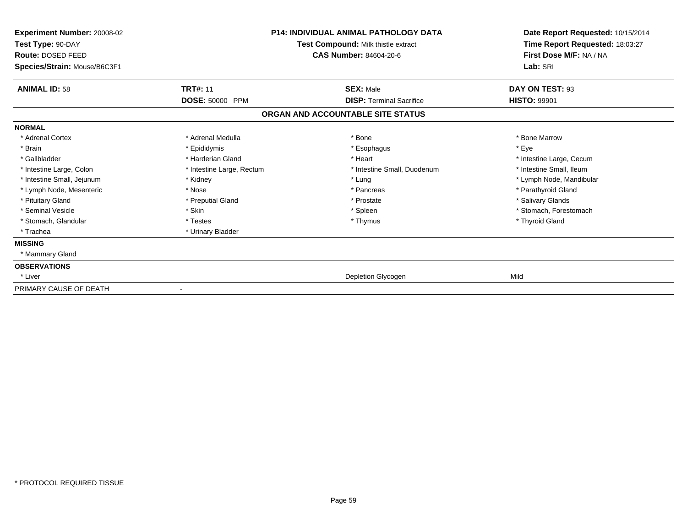| Experiment Number: 20008-02<br>Test Type: 90-DAY<br>Route: DOSED FEED<br>Species/Strain: Mouse/B6C3F1 | <b>P14: INDIVIDUAL ANIMAL PATHOLOGY DATA</b><br>Test Compound: Milk thistle extract<br><b>CAS Number: 84604-20-6</b> |                                   | Date Report Requested: 10/15/2014<br>Time Report Requested: 18:03:27<br>First Dose M/F: NA / NA<br>Lab: SRI |  |
|-------------------------------------------------------------------------------------------------------|----------------------------------------------------------------------------------------------------------------------|-----------------------------------|-------------------------------------------------------------------------------------------------------------|--|
| <b>ANIMAL ID: 58</b>                                                                                  | <b>TRT#: 11</b>                                                                                                      | <b>SEX: Male</b>                  | DAY ON TEST: 93                                                                                             |  |
|                                                                                                       | DOSE: 50000 PPM                                                                                                      | <b>DISP: Terminal Sacrifice</b>   | <b>HISTO: 99901</b>                                                                                         |  |
|                                                                                                       |                                                                                                                      | ORGAN AND ACCOUNTABLE SITE STATUS |                                                                                                             |  |
| <b>NORMAL</b>                                                                                         |                                                                                                                      |                                   |                                                                                                             |  |
| * Adrenal Cortex                                                                                      | * Adrenal Medulla                                                                                                    | * Bone                            | * Bone Marrow                                                                                               |  |
| * Brain                                                                                               | * Epididymis                                                                                                         | * Esophagus                       | * Eye                                                                                                       |  |
| * Gallbladder                                                                                         | * Harderian Gland                                                                                                    | * Heart                           | * Intestine Large, Cecum                                                                                    |  |
| * Intestine Large, Colon                                                                              | * Intestine Large, Rectum                                                                                            | * Intestine Small, Duodenum       | * Intestine Small. Ileum                                                                                    |  |
| * Intestine Small, Jejunum                                                                            | * Kidney                                                                                                             | * Lung                            | * Lymph Node, Mandibular                                                                                    |  |
| * Lymph Node, Mesenteric                                                                              | * Nose                                                                                                               | * Pancreas                        | * Parathyroid Gland                                                                                         |  |
| * Pituitary Gland                                                                                     | * Preputial Gland                                                                                                    | * Prostate                        | * Salivary Glands                                                                                           |  |
| * Seminal Vesicle                                                                                     | * Skin                                                                                                               | * Spleen                          | * Stomach, Forestomach                                                                                      |  |
| * Stomach, Glandular                                                                                  | * Testes                                                                                                             | * Thymus                          | * Thyroid Gland                                                                                             |  |
| * Trachea                                                                                             | * Urinary Bladder                                                                                                    |                                   |                                                                                                             |  |
| <b>MISSING</b>                                                                                        |                                                                                                                      |                                   |                                                                                                             |  |
| * Mammary Gland                                                                                       |                                                                                                                      |                                   |                                                                                                             |  |
| <b>OBSERVATIONS</b>                                                                                   |                                                                                                                      |                                   |                                                                                                             |  |
| * Liver                                                                                               |                                                                                                                      | Depletion Glycogen                | Mild                                                                                                        |  |
| PRIMARY CAUSE OF DEATH                                                                                |                                                                                                                      |                                   |                                                                                                             |  |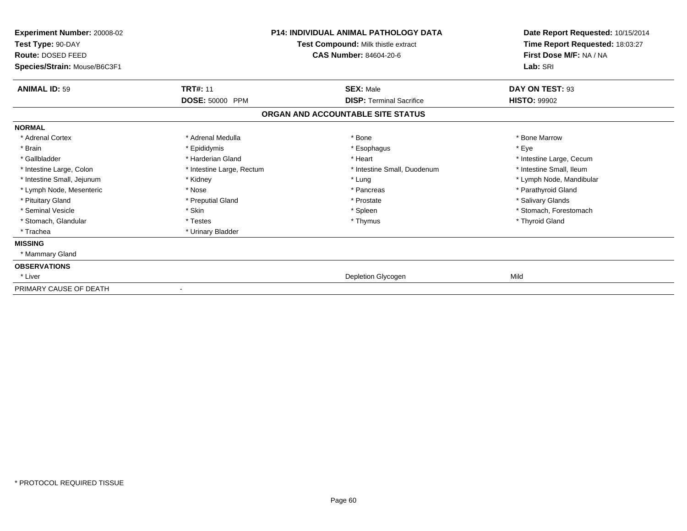| Experiment Number: 20008-02<br>Test Type: 90-DAY<br>Route: DOSED FEED<br>Species/Strain: Mouse/B6C3F1 | <b>P14: INDIVIDUAL ANIMAL PATHOLOGY DATA</b><br>Test Compound: Milk thistle extract<br><b>CAS Number: 84604-20-6</b> |                                   | Date Report Requested: 10/15/2014<br>Time Report Requested: 18:03:27<br>First Dose M/F: NA / NA<br>Lab: SRI |
|-------------------------------------------------------------------------------------------------------|----------------------------------------------------------------------------------------------------------------------|-----------------------------------|-------------------------------------------------------------------------------------------------------------|
| <b>ANIMAL ID: 59</b>                                                                                  | <b>TRT#: 11</b>                                                                                                      | <b>SEX: Male</b>                  | DAY ON TEST: 93                                                                                             |
|                                                                                                       | <b>DOSE: 50000 PPM</b>                                                                                               | <b>DISP: Terminal Sacrifice</b>   | <b>HISTO: 99902</b>                                                                                         |
|                                                                                                       |                                                                                                                      | ORGAN AND ACCOUNTABLE SITE STATUS |                                                                                                             |
| <b>NORMAL</b>                                                                                         |                                                                                                                      |                                   |                                                                                                             |
| * Adrenal Cortex                                                                                      | * Adrenal Medulla                                                                                                    | * Bone                            | * Bone Marrow                                                                                               |
| * Brain                                                                                               | * Epididymis                                                                                                         | * Esophagus                       | * Eye                                                                                                       |
| * Gallbladder                                                                                         | * Harderian Gland                                                                                                    | * Heart                           | * Intestine Large, Cecum                                                                                    |
| * Intestine Large, Colon                                                                              | * Intestine Large, Rectum                                                                                            | * Intestine Small, Duodenum       | * Intestine Small, Ileum                                                                                    |
| * Intestine Small, Jejunum                                                                            | * Kidney                                                                                                             | * Lung                            | * Lymph Node, Mandibular                                                                                    |
| * Lymph Node, Mesenteric                                                                              | * Nose                                                                                                               | * Pancreas                        | * Parathyroid Gland                                                                                         |
| * Pituitary Gland                                                                                     | * Preputial Gland                                                                                                    | * Prostate                        | * Salivary Glands                                                                                           |
| * Seminal Vesicle                                                                                     | * Skin                                                                                                               | * Spleen                          | * Stomach, Forestomach                                                                                      |
| * Stomach, Glandular                                                                                  | * Testes                                                                                                             | * Thymus                          | * Thyroid Gland                                                                                             |
| * Trachea                                                                                             | * Urinary Bladder                                                                                                    |                                   |                                                                                                             |
| <b>MISSING</b>                                                                                        |                                                                                                                      |                                   |                                                                                                             |
| * Mammary Gland                                                                                       |                                                                                                                      |                                   |                                                                                                             |
| <b>OBSERVATIONS</b>                                                                                   |                                                                                                                      |                                   |                                                                                                             |
| * Liver                                                                                               |                                                                                                                      | Depletion Glycogen                | Mild                                                                                                        |
| PRIMARY CAUSE OF DEATH                                                                                | $\blacksquare$                                                                                                       |                                   |                                                                                                             |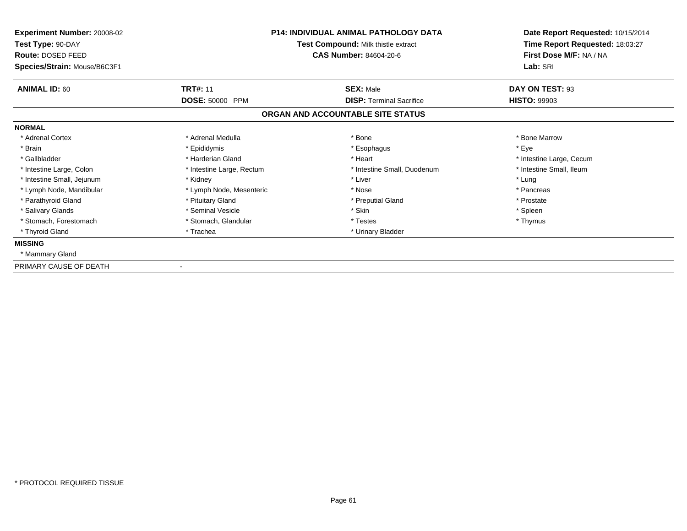| Experiment Number: 20008-02<br>Test Type: 90-DAY<br>Route: DOSED FEED<br>Species/Strain: Mouse/B6C3F1 | <b>P14: INDIVIDUAL ANIMAL PATHOLOGY DATA</b><br>Test Compound: Milk thistle extract<br><b>CAS Number: 84604-20-6</b> |                                   | Date Report Requested: 10/15/2014<br>Time Report Requested: 18:03:27<br>First Dose M/F: NA / NA<br>Lab: SRI |
|-------------------------------------------------------------------------------------------------------|----------------------------------------------------------------------------------------------------------------------|-----------------------------------|-------------------------------------------------------------------------------------------------------------|
| <b>ANIMAL ID: 60</b>                                                                                  | <b>TRT#: 11</b>                                                                                                      | <b>SEX: Male</b>                  | DAY ON TEST: 93                                                                                             |
|                                                                                                       | DOSE: 50000 PPM                                                                                                      | <b>DISP: Terminal Sacrifice</b>   | <b>HISTO: 99903</b>                                                                                         |
|                                                                                                       |                                                                                                                      | ORGAN AND ACCOUNTABLE SITE STATUS |                                                                                                             |
| <b>NORMAL</b>                                                                                         |                                                                                                                      |                                   |                                                                                                             |
| * Adrenal Cortex                                                                                      | * Adrenal Medulla                                                                                                    | * Bone                            | * Bone Marrow                                                                                               |
| * Brain                                                                                               | * Epididymis                                                                                                         | * Esophagus                       | * Eye                                                                                                       |
| * Gallbladder                                                                                         | * Harderian Gland                                                                                                    | * Heart                           | * Intestine Large, Cecum                                                                                    |
| * Intestine Large, Colon                                                                              | * Intestine Large, Rectum                                                                                            | * Intestine Small, Duodenum       | * Intestine Small, Ileum                                                                                    |
| * Intestine Small, Jejunum                                                                            | * Kidney                                                                                                             | * Liver                           | * Lung                                                                                                      |
| * Lymph Node, Mandibular                                                                              | * Lymph Node, Mesenteric                                                                                             | * Nose                            | * Pancreas                                                                                                  |
| * Parathyroid Gland                                                                                   | * Pituitary Gland                                                                                                    | * Preputial Gland                 | * Prostate                                                                                                  |
| * Salivary Glands                                                                                     | * Seminal Vesicle                                                                                                    | * Skin                            | * Spleen                                                                                                    |
| * Stomach, Forestomach                                                                                | * Stomach, Glandular                                                                                                 | * Testes                          | * Thymus                                                                                                    |
| * Thyroid Gland                                                                                       | * Trachea                                                                                                            | * Urinary Bladder                 |                                                                                                             |
| <b>MISSING</b>                                                                                        |                                                                                                                      |                                   |                                                                                                             |
| * Mammary Gland                                                                                       |                                                                                                                      |                                   |                                                                                                             |
| PRIMARY CAUSE OF DEATH                                                                                |                                                                                                                      |                                   |                                                                                                             |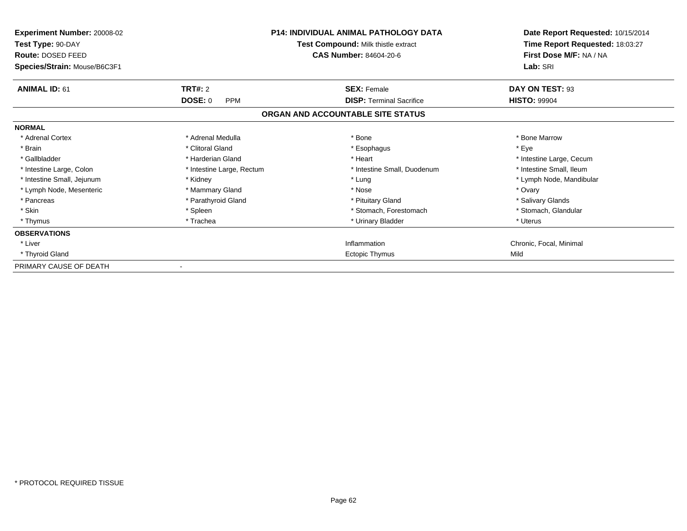| Experiment Number: 20008-02<br>Test Type: 90-DAY<br>Route: DOSED FEED<br>Species/Strain: Mouse/B6C3F1 |                              | <b>P14: INDIVIDUAL ANIMAL PATHOLOGY DATA</b><br>Test Compound: Milk thistle extract<br><b>CAS Number: 84604-20-6</b> | Date Report Requested: 10/15/2014<br>Time Report Requested: 18:03:27<br>First Dose M/F: NA / NA<br>Lab: SRI |
|-------------------------------------------------------------------------------------------------------|------------------------------|----------------------------------------------------------------------------------------------------------------------|-------------------------------------------------------------------------------------------------------------|
| <b>ANIMAL ID: 61</b>                                                                                  | TRT#: 2                      | <b>SEX: Female</b>                                                                                                   | DAY ON TEST: 93                                                                                             |
|                                                                                                       | <b>DOSE: 0</b><br><b>PPM</b> | <b>DISP: Terminal Sacrifice</b>                                                                                      | <b>HISTO: 99904</b>                                                                                         |
|                                                                                                       |                              | ORGAN AND ACCOUNTABLE SITE STATUS                                                                                    |                                                                                                             |
| <b>NORMAL</b>                                                                                         |                              |                                                                                                                      |                                                                                                             |
| * Adrenal Cortex                                                                                      | * Adrenal Medulla            | * Bone                                                                                                               | * Bone Marrow                                                                                               |
| * Brain                                                                                               | * Clitoral Gland             | * Esophagus                                                                                                          | * Eye                                                                                                       |
| * Gallbladder                                                                                         | * Harderian Gland            | * Heart                                                                                                              | * Intestine Large, Cecum                                                                                    |
| * Intestine Large, Colon                                                                              | * Intestine Large, Rectum    | * Intestine Small, Duodenum                                                                                          | * Intestine Small, Ileum                                                                                    |
| * Intestine Small, Jejunum                                                                            | * Kidney                     | * Lung                                                                                                               | * Lymph Node, Mandibular                                                                                    |
| * Lymph Node, Mesenteric                                                                              | * Mammary Gland              | * Nose                                                                                                               | * Ovary                                                                                                     |
| * Pancreas                                                                                            | * Parathyroid Gland          | * Pituitary Gland                                                                                                    | * Salivary Glands                                                                                           |
| * Skin                                                                                                | * Spleen                     | * Stomach, Forestomach                                                                                               | * Stomach, Glandular                                                                                        |
| * Thymus                                                                                              | * Trachea                    | * Urinary Bladder                                                                                                    | * Uterus                                                                                                    |
| <b>OBSERVATIONS</b>                                                                                   |                              |                                                                                                                      |                                                                                                             |
| * Liver                                                                                               |                              | Inflammation                                                                                                         | Chronic, Focal, Minimal                                                                                     |
| * Thyroid Gland                                                                                       |                              | Ectopic Thymus                                                                                                       | Mild                                                                                                        |
| PRIMARY CAUSE OF DEATH                                                                                |                              |                                                                                                                      |                                                                                                             |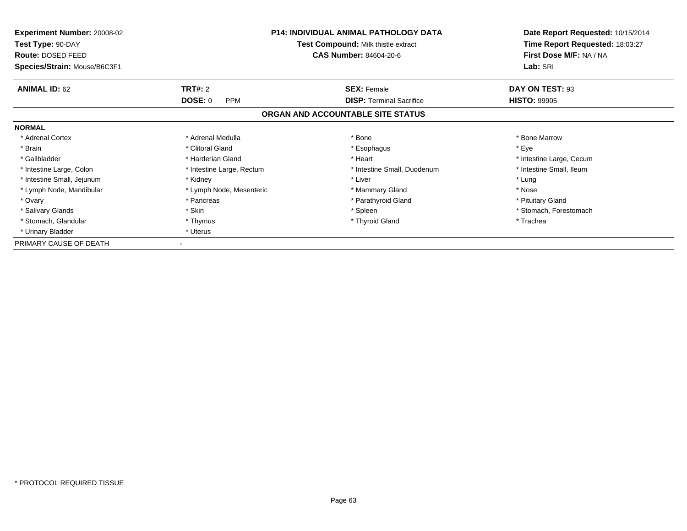| Experiment Number: 20008-02<br>Test Type: 90-DAY |                              | <b>P14: INDIVIDUAL ANIMAL PATHOLOGY DATA</b><br>Test Compound: Milk thistle extract | Date Report Requested: 10/15/2014<br>Time Report Requested: 18:03:27 |
|--------------------------------------------------|------------------------------|-------------------------------------------------------------------------------------|----------------------------------------------------------------------|
| Route: DOSED FEED                                |                              | <b>CAS Number: 84604-20-6</b>                                                       | First Dose M/F: NA / NA                                              |
| Species/Strain: Mouse/B6C3F1                     |                              |                                                                                     | Lab: SRI                                                             |
| <b>ANIMAL ID: 62</b>                             | <b>TRT#: 2</b>               | <b>SEX: Female</b>                                                                  | DAY ON TEST: 93                                                      |
|                                                  | <b>DOSE: 0</b><br><b>PPM</b> | <b>DISP:</b> Terminal Sacrifice                                                     | <b>HISTO: 99905</b>                                                  |
|                                                  |                              | ORGAN AND ACCOUNTABLE SITE STATUS                                                   |                                                                      |
| <b>NORMAL</b>                                    |                              |                                                                                     |                                                                      |
| * Adrenal Cortex                                 | * Adrenal Medulla            | * Bone                                                                              | * Bone Marrow                                                        |
| * Brain                                          | * Clitoral Gland             | * Esophagus                                                                         | * Eye                                                                |
| * Gallbladder                                    | * Harderian Gland            | * Heart                                                                             | * Intestine Large, Cecum                                             |
| * Intestine Large, Colon                         | * Intestine Large, Rectum    | * Intestine Small, Duodenum                                                         | * Intestine Small, Ileum                                             |
| * Intestine Small, Jejunum                       | * Kidney                     | * Liver                                                                             | * Lung                                                               |
| * Lymph Node, Mandibular                         | * Lymph Node, Mesenteric     | * Mammary Gland                                                                     | * Nose                                                               |
| * Ovary                                          | * Pancreas                   | * Parathyroid Gland                                                                 | * Pituitary Gland                                                    |
| * Salivary Glands                                | * Skin                       | * Spleen                                                                            | * Stomach, Forestomach                                               |
| * Stomach, Glandular                             | * Thymus                     | * Thyroid Gland                                                                     | * Trachea                                                            |
| * Urinary Bladder                                | * Uterus                     |                                                                                     |                                                                      |
| PRIMARY CAUSE OF DEATH                           |                              |                                                                                     |                                                                      |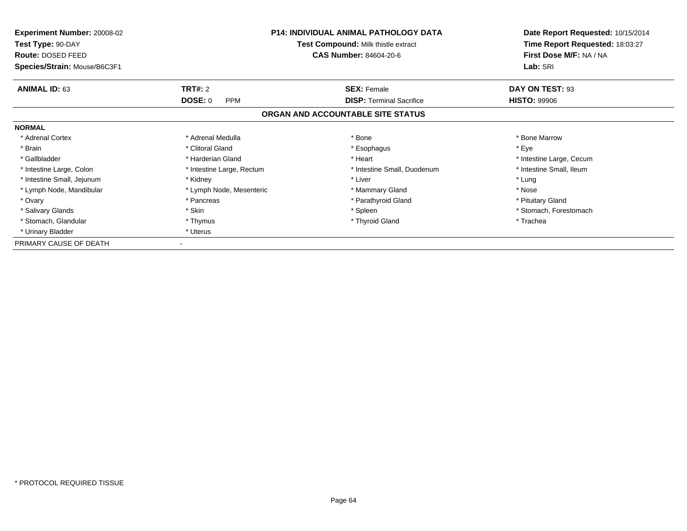| <b>Experiment Number: 20008-02</b><br>Test Type: 90-DAY<br>Route: DOSED FEED | <b>P14: INDIVIDUAL ANIMAL PATHOLOGY DATA</b><br><b>Test Compound: Milk thistle extract</b> |                                           | Date Report Requested: 10/15/2014<br>Time Report Requested: 18:03:27<br>First Dose M/F: NA / NA |  |
|------------------------------------------------------------------------------|--------------------------------------------------------------------------------------------|-------------------------------------------|-------------------------------------------------------------------------------------------------|--|
| Species/Strain: Mouse/B6C3F1                                                 |                                                                                            | <b>CAS Number: 84604-20-6</b><br>Lab: SRI |                                                                                                 |  |
| <b>ANIMAL ID: 63</b>                                                         | <b>TRT#: 2</b>                                                                             | <b>SEX: Female</b>                        | DAY ON TEST: 93                                                                                 |  |
|                                                                              | <b>DOSE: 0</b><br><b>PPM</b>                                                               | <b>DISP:</b> Terminal Sacrifice           | <b>HISTO: 99906</b>                                                                             |  |
|                                                                              |                                                                                            | ORGAN AND ACCOUNTABLE SITE STATUS         |                                                                                                 |  |
| <b>NORMAL</b>                                                                |                                                                                            |                                           |                                                                                                 |  |
| * Adrenal Cortex                                                             | * Adrenal Medulla                                                                          | * Bone                                    | * Bone Marrow                                                                                   |  |
| * Brain                                                                      | * Clitoral Gland                                                                           | * Esophagus                               | * Eye                                                                                           |  |
| * Gallbladder                                                                | * Harderian Gland                                                                          | * Heart                                   | * Intestine Large, Cecum                                                                        |  |
| * Intestine Large, Colon                                                     | * Intestine Large, Rectum                                                                  | * Intestine Small, Duodenum               | * Intestine Small, Ileum                                                                        |  |
| * Intestine Small, Jejunum                                                   | * Kidney                                                                                   | * Liver                                   | * Lung                                                                                          |  |
| * Lymph Node, Mandibular                                                     | * Lymph Node, Mesenteric                                                                   | * Mammary Gland                           | * Nose                                                                                          |  |
| * Ovary                                                                      | * Pancreas                                                                                 | * Parathyroid Gland                       | * Pituitary Gland                                                                               |  |
| * Salivary Glands                                                            | * Skin                                                                                     | * Spleen                                  | * Stomach, Forestomach                                                                          |  |
| * Stomach, Glandular                                                         | * Thymus                                                                                   | * Thyroid Gland                           | * Trachea                                                                                       |  |
| * Urinary Bladder                                                            | * Uterus                                                                                   |                                           |                                                                                                 |  |
| PRIMARY CAUSE OF DEATH                                                       |                                                                                            |                                           |                                                                                                 |  |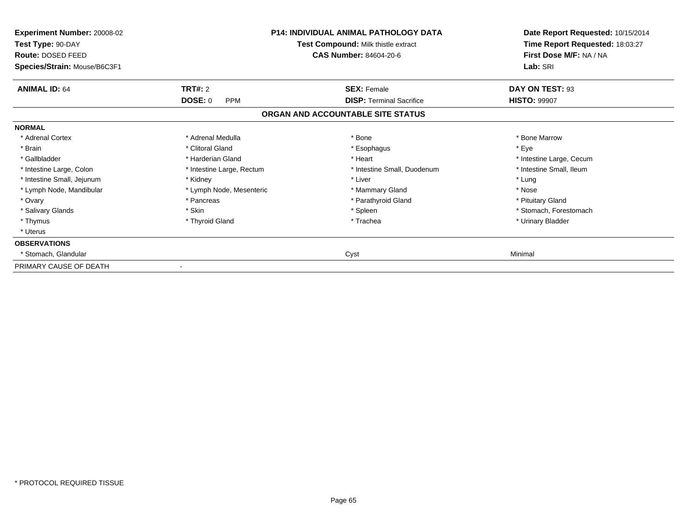| Experiment Number: 20008-02<br>Test Type: 90-DAY<br>Route: DOSED FEED<br>Species/Strain: Mouse/B6C3F1 |                           | <b>P14: INDIVIDUAL ANIMAL PATHOLOGY DATA</b><br>Test Compound: Milk thistle extract<br><b>CAS Number: 84604-20-6</b> | Date Report Requested: 10/15/2014<br>Time Report Requested: 18:03:27<br>First Dose M/F: NA / NA<br>Lab: SRI |
|-------------------------------------------------------------------------------------------------------|---------------------------|----------------------------------------------------------------------------------------------------------------------|-------------------------------------------------------------------------------------------------------------|
| <b>ANIMAL ID: 64</b>                                                                                  | TRT#: 2                   | <b>SEX: Female</b>                                                                                                   | DAY ON TEST: 93                                                                                             |
|                                                                                                       | DOSE: 0<br><b>PPM</b>     | <b>DISP: Terminal Sacrifice</b>                                                                                      | <b>HISTO: 99907</b>                                                                                         |
|                                                                                                       |                           | ORGAN AND ACCOUNTABLE SITE STATUS                                                                                    |                                                                                                             |
| <b>NORMAL</b>                                                                                         |                           |                                                                                                                      |                                                                                                             |
| * Adrenal Cortex                                                                                      | * Adrenal Medulla         | * Bone                                                                                                               | * Bone Marrow                                                                                               |
| * Brain                                                                                               | * Clitoral Gland          | * Esophagus                                                                                                          | * Eye                                                                                                       |
| * Gallbladder                                                                                         | * Harderian Gland         | * Heart                                                                                                              | * Intestine Large, Cecum                                                                                    |
| * Intestine Large, Colon                                                                              | * Intestine Large, Rectum | * Intestine Small, Duodenum                                                                                          | * Intestine Small, Ileum                                                                                    |
| * Intestine Small, Jejunum                                                                            | * Kidney                  | * Liver                                                                                                              | * Lung                                                                                                      |
| * Lymph Node, Mandibular                                                                              | * Lymph Node, Mesenteric  | * Mammary Gland                                                                                                      | * Nose                                                                                                      |
| * Ovary                                                                                               | * Pancreas                | * Parathyroid Gland                                                                                                  | * Pituitary Gland                                                                                           |
| * Salivary Glands                                                                                     | * Skin                    | * Spleen                                                                                                             | * Stomach, Forestomach                                                                                      |
| * Thymus                                                                                              | * Thyroid Gland           | * Trachea                                                                                                            | * Urinary Bladder                                                                                           |
| * Uterus                                                                                              |                           |                                                                                                                      |                                                                                                             |
| <b>OBSERVATIONS</b>                                                                                   |                           |                                                                                                                      |                                                                                                             |
| Stomach, Glandular                                                                                    |                           | Cyst                                                                                                                 | Minimal                                                                                                     |
| PRIMARY CAUSE OF DEATH                                                                                |                           |                                                                                                                      |                                                                                                             |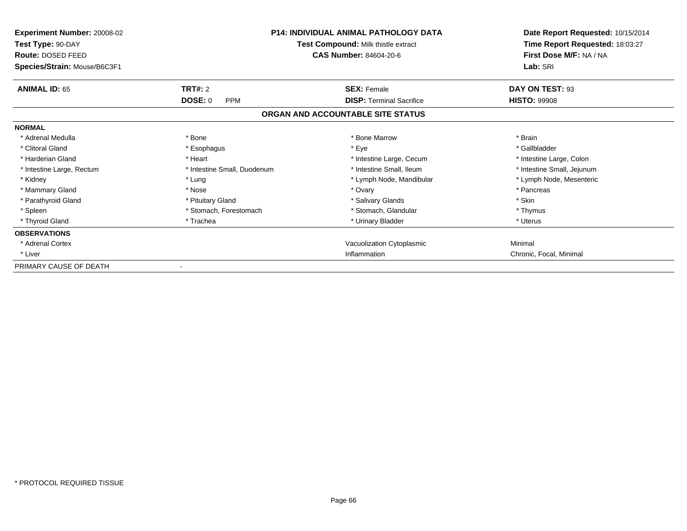| <b>Experiment Number: 20008-02</b><br>Test Type: 90-DAY<br>Route: DOSED FEED<br>Species/Strain: Mouse/B6C3F1 |                              | <b>P14: INDIVIDUAL ANIMAL PATHOLOGY DATA</b><br>Test Compound: Milk thistle extract<br><b>CAS Number: 84604-20-6</b> | Date Report Requested: 10/15/2014<br>Time Report Requested: 18:03:27<br>First Dose M/F: NA / NA<br>Lab: SRI |
|--------------------------------------------------------------------------------------------------------------|------------------------------|----------------------------------------------------------------------------------------------------------------------|-------------------------------------------------------------------------------------------------------------|
| <b>ANIMAL ID: 65</b>                                                                                         | TRT#: 2                      | <b>SEX: Female</b>                                                                                                   | DAY ON TEST: 93                                                                                             |
|                                                                                                              | <b>DOSE: 0</b><br><b>PPM</b> | <b>DISP: Terminal Sacrifice</b>                                                                                      | <b>HISTO: 99908</b>                                                                                         |
|                                                                                                              |                              | ORGAN AND ACCOUNTABLE SITE STATUS                                                                                    |                                                                                                             |
| <b>NORMAL</b>                                                                                                |                              |                                                                                                                      |                                                                                                             |
| * Adrenal Medulla                                                                                            | * Bone                       | * Bone Marrow                                                                                                        | * Brain                                                                                                     |
| * Clitoral Gland                                                                                             | * Esophagus                  | * Eye                                                                                                                | * Gallbladder                                                                                               |
| * Harderian Gland                                                                                            | * Heart                      | * Intestine Large, Cecum                                                                                             | * Intestine Large, Colon                                                                                    |
| * Intestine Large, Rectum                                                                                    | * Intestine Small, Duodenum  | * Intestine Small, Ileum                                                                                             | * Intestine Small, Jejunum                                                                                  |
| * Kidney                                                                                                     | * Lung                       | * Lymph Node, Mandibular                                                                                             | * Lymph Node, Mesenteric                                                                                    |
| * Mammary Gland                                                                                              | * Nose                       | * Ovary                                                                                                              | * Pancreas                                                                                                  |
| * Parathyroid Gland                                                                                          | * Pituitary Gland            | * Salivary Glands                                                                                                    | * Skin                                                                                                      |
| * Spleen                                                                                                     | * Stomach, Forestomach       | * Stomach, Glandular                                                                                                 | * Thymus                                                                                                    |
| * Thyroid Gland                                                                                              | * Trachea                    | * Urinary Bladder                                                                                                    | * Uterus                                                                                                    |
| <b>OBSERVATIONS</b>                                                                                          |                              |                                                                                                                      |                                                                                                             |
| * Adrenal Cortex                                                                                             |                              | Vacuolization Cytoplasmic                                                                                            | Minimal                                                                                                     |
| * Liver                                                                                                      |                              | Inflammation                                                                                                         | Chronic, Focal, Minimal                                                                                     |
| PRIMARY CAUSE OF DEATH                                                                                       |                              |                                                                                                                      |                                                                                                             |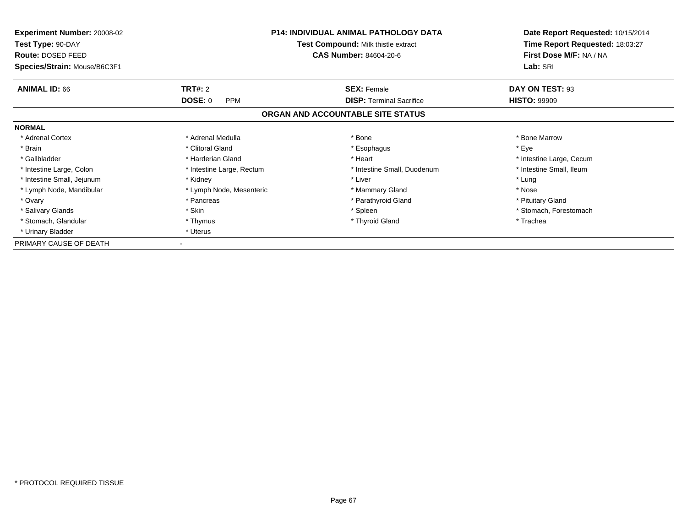| Experiment Number: 20008-02<br>Test Type: 90-DAY | <b>P14: INDIVIDUAL ANIMAL PATHOLOGY DATA</b><br>Test Compound: Milk thistle extract |                                   | Date Report Requested: 10/15/2014<br>Time Report Requested: 18:03:27 |
|--------------------------------------------------|-------------------------------------------------------------------------------------|-----------------------------------|----------------------------------------------------------------------|
| Route: DOSED FEED                                |                                                                                     | <b>CAS Number: 84604-20-6</b>     | First Dose M/F: NA / NA                                              |
| Species/Strain: Mouse/B6C3F1                     |                                                                                     |                                   | Lab: SRI                                                             |
| <b>ANIMAL ID: 66</b>                             | <b>TRT#: 2</b>                                                                      | <b>SEX: Female</b>                | DAY ON TEST: 93                                                      |
|                                                  | <b>DOSE: 0</b><br><b>PPM</b>                                                        | <b>DISP:</b> Terminal Sacrifice   | <b>HISTO: 99909</b>                                                  |
|                                                  |                                                                                     | ORGAN AND ACCOUNTABLE SITE STATUS |                                                                      |
| <b>NORMAL</b>                                    |                                                                                     |                                   |                                                                      |
| * Adrenal Cortex                                 | * Adrenal Medulla                                                                   | * Bone                            | * Bone Marrow                                                        |
| * Brain                                          | * Clitoral Gland                                                                    | * Esophagus                       | * Eye                                                                |
| * Gallbladder                                    | * Harderian Gland                                                                   | * Heart                           | * Intestine Large, Cecum                                             |
| * Intestine Large, Colon                         | * Intestine Large, Rectum                                                           | * Intestine Small, Duodenum       | * Intestine Small, Ileum                                             |
| * Intestine Small, Jejunum                       | * Kidney                                                                            | * Liver                           | * Lung                                                               |
| * Lymph Node, Mandibular                         | * Lymph Node, Mesenteric                                                            | * Mammary Gland                   | * Nose                                                               |
| * Ovary                                          | * Pancreas                                                                          | * Parathyroid Gland               | * Pituitary Gland                                                    |
| * Salivary Glands                                | * Skin                                                                              | * Spleen                          | * Stomach, Forestomach                                               |
| * Stomach, Glandular                             | * Thymus                                                                            | * Thyroid Gland                   | * Trachea                                                            |
| * Urinary Bladder                                | * Uterus                                                                            |                                   |                                                                      |
| PRIMARY CAUSE OF DEATH                           |                                                                                     |                                   |                                                                      |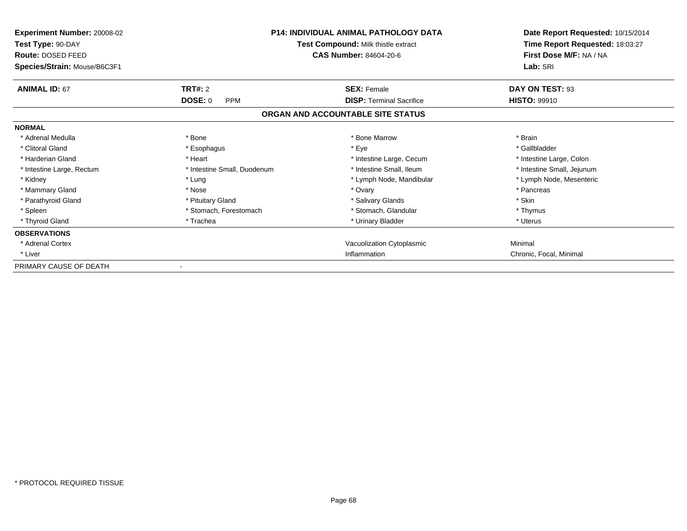| <b>Experiment Number: 20008-02</b><br>Test Type: 90-DAY<br>Route: DOSED FEED<br>Species/Strain: Mouse/B6C3F1 |                              | <b>P14: INDIVIDUAL ANIMAL PATHOLOGY DATA</b><br>Test Compound: Milk thistle extract<br><b>CAS Number: 84604-20-6</b> | Date Report Requested: 10/15/2014<br>Time Report Requested: 18:03:27<br>First Dose M/F: NA / NA<br>Lab: SRI |
|--------------------------------------------------------------------------------------------------------------|------------------------------|----------------------------------------------------------------------------------------------------------------------|-------------------------------------------------------------------------------------------------------------|
| <b>ANIMAL ID: 67</b>                                                                                         | TRT#: 2                      | <b>SEX: Female</b>                                                                                                   | DAY ON TEST: 93                                                                                             |
|                                                                                                              | <b>DOSE: 0</b><br><b>PPM</b> | <b>DISP: Terminal Sacrifice</b>                                                                                      | <b>HISTO: 99910</b>                                                                                         |
|                                                                                                              |                              | ORGAN AND ACCOUNTABLE SITE STATUS                                                                                    |                                                                                                             |
| <b>NORMAL</b>                                                                                                |                              |                                                                                                                      |                                                                                                             |
| * Adrenal Medulla                                                                                            | * Bone                       | * Bone Marrow                                                                                                        | * Brain                                                                                                     |
| * Clitoral Gland                                                                                             | * Esophagus                  | * Eye                                                                                                                | * Gallbladder                                                                                               |
| * Harderian Gland                                                                                            | * Heart                      | * Intestine Large, Cecum                                                                                             | * Intestine Large, Colon                                                                                    |
| * Intestine Large, Rectum                                                                                    | * Intestine Small, Duodenum  | * Intestine Small, Ileum                                                                                             | * Intestine Small, Jejunum                                                                                  |
| * Kidney                                                                                                     | * Lung                       | * Lymph Node, Mandibular                                                                                             | * Lymph Node, Mesenteric                                                                                    |
| * Mammary Gland                                                                                              | * Nose                       | * Ovary                                                                                                              | * Pancreas                                                                                                  |
| * Parathyroid Gland                                                                                          | * Pituitary Gland            | * Salivary Glands                                                                                                    | * Skin                                                                                                      |
| * Spleen                                                                                                     | * Stomach, Forestomach       | * Stomach, Glandular                                                                                                 | * Thymus                                                                                                    |
| * Thyroid Gland                                                                                              | * Trachea                    | * Urinary Bladder                                                                                                    | * Uterus                                                                                                    |
| <b>OBSERVATIONS</b>                                                                                          |                              |                                                                                                                      |                                                                                                             |
| * Adrenal Cortex                                                                                             |                              | Vacuolization Cytoplasmic                                                                                            | Minimal                                                                                                     |
| * Liver                                                                                                      |                              | Inflammation                                                                                                         | Chronic, Focal, Minimal                                                                                     |
| PRIMARY CAUSE OF DEATH                                                                                       |                              |                                                                                                                      |                                                                                                             |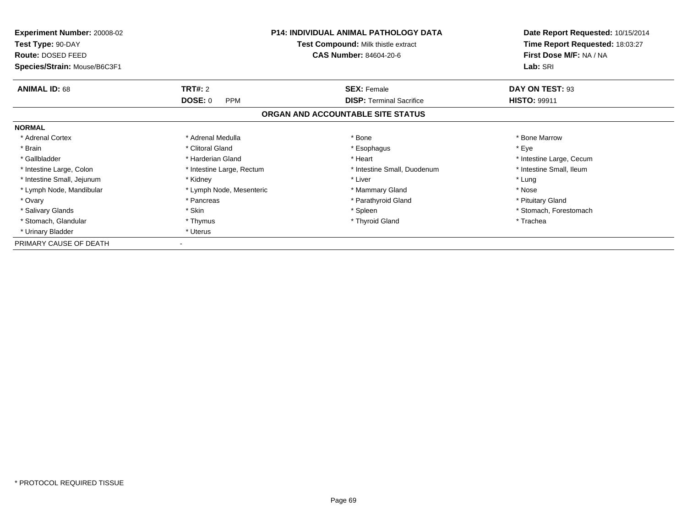| Experiment Number: 20008-02<br>Test Type: 90-DAY<br>Route: DOSED FEED | <b>P14: INDIVIDUAL ANIMAL PATHOLOGY DATA</b><br>Test Compound: Milk thistle extract<br><b>CAS Number: 84604-20-6</b> |                                   | Date Report Requested: 10/15/2014<br>Time Report Requested: 18:03:27<br>First Dose M/F: NA / NA |
|-----------------------------------------------------------------------|----------------------------------------------------------------------------------------------------------------------|-----------------------------------|-------------------------------------------------------------------------------------------------|
| Species/Strain: Mouse/B6C3F1                                          |                                                                                                                      | Lab: SRI                          |                                                                                                 |
| <b>ANIMAL ID: 68</b>                                                  | <b>TRT#: 2</b>                                                                                                       | <b>SEX: Female</b>                | DAY ON TEST: 93                                                                                 |
|                                                                       | <b>DOSE: 0</b><br><b>PPM</b>                                                                                         | <b>DISP:</b> Terminal Sacrifice   | <b>HISTO: 99911</b>                                                                             |
|                                                                       |                                                                                                                      | ORGAN AND ACCOUNTABLE SITE STATUS |                                                                                                 |
| <b>NORMAL</b>                                                         |                                                                                                                      |                                   |                                                                                                 |
| * Adrenal Cortex                                                      | * Adrenal Medulla                                                                                                    | * Bone                            | * Bone Marrow                                                                                   |
| * Brain                                                               | * Clitoral Gland                                                                                                     | * Esophagus                       | * Eye                                                                                           |
| * Gallbladder                                                         | * Harderian Gland                                                                                                    | * Heart                           | * Intestine Large, Cecum                                                                        |
| * Intestine Large, Colon                                              | * Intestine Large, Rectum                                                                                            | * Intestine Small, Duodenum       | * Intestine Small, Ileum                                                                        |
| * Intestine Small, Jejunum                                            | * Kidney                                                                                                             | * Liver                           | * Lung                                                                                          |
| * Lymph Node, Mandibular                                              | * Lymph Node, Mesenteric                                                                                             | * Mammary Gland                   | * Nose                                                                                          |
| * Ovary                                                               | * Pancreas                                                                                                           | * Parathyroid Gland               | * Pituitary Gland                                                                               |
| * Salivary Glands                                                     | * Skin                                                                                                               | * Spleen                          | * Stomach, Forestomach                                                                          |
| * Stomach, Glandular                                                  | * Thymus                                                                                                             | * Thyroid Gland                   | * Trachea                                                                                       |
| * Urinary Bladder                                                     | * Uterus                                                                                                             |                                   |                                                                                                 |
| PRIMARY CAUSE OF DEATH                                                |                                                                                                                      |                                   |                                                                                                 |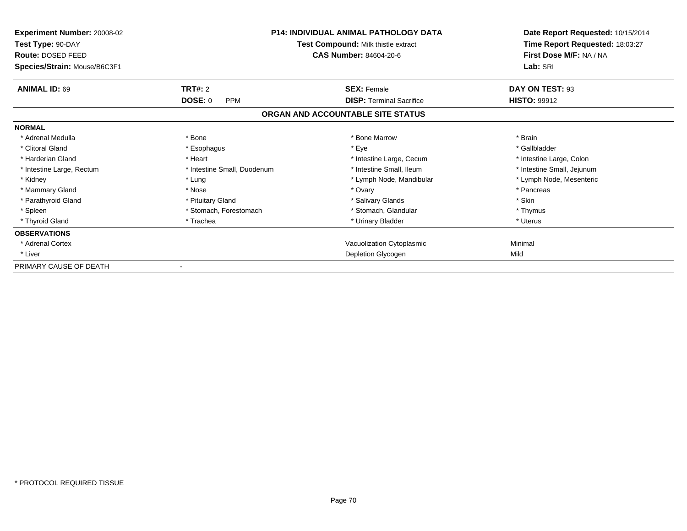| <b>Experiment Number: 20008-02</b><br>Test Type: 90-DAY<br>Route: DOSED FEED<br>Species/Strain: Mouse/B6C3F1 |                              | <b>P14: INDIVIDUAL ANIMAL PATHOLOGY DATA</b><br>Test Compound: Milk thistle extract<br><b>CAS Number: 84604-20-6</b> | Date Report Requested: 10/15/2014<br>Time Report Requested: 18:03:27<br>First Dose M/F: NA / NA<br>Lab: SRI |
|--------------------------------------------------------------------------------------------------------------|------------------------------|----------------------------------------------------------------------------------------------------------------------|-------------------------------------------------------------------------------------------------------------|
| <b>ANIMAL ID: 69</b>                                                                                         | <b>TRT#: 2</b>               | <b>SEX: Female</b>                                                                                                   | DAY ON TEST: 93                                                                                             |
|                                                                                                              | <b>DOSE: 0</b><br><b>PPM</b> | <b>DISP: Terminal Sacrifice</b>                                                                                      | <b>HISTO: 99912</b>                                                                                         |
|                                                                                                              |                              | ORGAN AND ACCOUNTABLE SITE STATUS                                                                                    |                                                                                                             |
| <b>NORMAL</b>                                                                                                |                              |                                                                                                                      |                                                                                                             |
| * Adrenal Medulla                                                                                            | * Bone                       | * Bone Marrow                                                                                                        | * Brain                                                                                                     |
| * Clitoral Gland                                                                                             | * Esophagus                  | * Eye                                                                                                                | * Gallbladder                                                                                               |
| * Harderian Gland                                                                                            | * Heart                      | * Intestine Large, Cecum                                                                                             | * Intestine Large, Colon                                                                                    |
| * Intestine Large, Rectum                                                                                    | * Intestine Small, Duodenum  | * Intestine Small, Ileum                                                                                             | * Intestine Small, Jejunum                                                                                  |
| * Kidney                                                                                                     | * Lung                       | * Lymph Node, Mandibular                                                                                             | * Lymph Node, Mesenteric                                                                                    |
| * Mammary Gland                                                                                              | * Nose                       | * Ovary                                                                                                              | * Pancreas                                                                                                  |
| * Parathyroid Gland                                                                                          | * Pituitary Gland            | * Salivary Glands                                                                                                    | * Skin                                                                                                      |
| * Spleen                                                                                                     | * Stomach, Forestomach       | * Stomach. Glandular                                                                                                 | * Thymus                                                                                                    |
| * Thyroid Gland                                                                                              | * Trachea                    | * Urinary Bladder                                                                                                    | * Uterus                                                                                                    |
| <b>OBSERVATIONS</b>                                                                                          |                              |                                                                                                                      |                                                                                                             |
| * Adrenal Cortex                                                                                             |                              | Vacuolization Cytoplasmic                                                                                            | Minimal                                                                                                     |
| * Liver                                                                                                      |                              | Depletion Glycogen                                                                                                   | Mild                                                                                                        |
| PRIMARY CAUSE OF DEATH                                                                                       |                              |                                                                                                                      |                                                                                                             |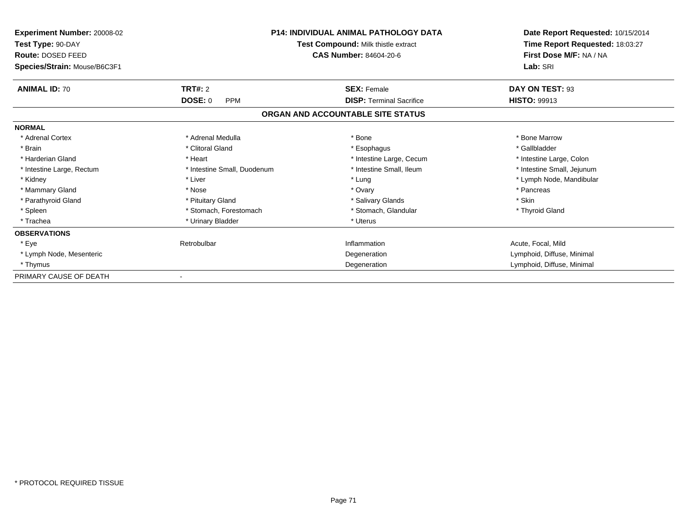| Experiment Number: 20008-02<br>Test Type: 90-DAY<br>Route: DOSED FEED<br>Species/Strain: Mouse/B6C3F1 |                             | <b>P14: INDIVIDUAL ANIMAL PATHOLOGY DATA</b><br>Test Compound: Milk thistle extract<br><b>CAS Number: 84604-20-6</b> | Date Report Requested: 10/15/2014<br>Time Report Requested: 18:03:27<br>First Dose M/F: NA / NA<br>Lab: SRI |
|-------------------------------------------------------------------------------------------------------|-----------------------------|----------------------------------------------------------------------------------------------------------------------|-------------------------------------------------------------------------------------------------------------|
| <b>ANIMAL ID: 70</b>                                                                                  | <b>TRT#: 2</b>              | <b>SEX: Female</b>                                                                                                   | DAY ON TEST: 93                                                                                             |
|                                                                                                       | DOSE: 0<br><b>PPM</b>       | <b>DISP: Terminal Sacrifice</b>                                                                                      | <b>HISTO: 99913</b>                                                                                         |
|                                                                                                       |                             | ORGAN AND ACCOUNTABLE SITE STATUS                                                                                    |                                                                                                             |
| <b>NORMAL</b>                                                                                         |                             |                                                                                                                      |                                                                                                             |
| * Adrenal Cortex                                                                                      | * Adrenal Medulla           | * Bone                                                                                                               | * Bone Marrow                                                                                               |
| * Brain                                                                                               | * Clitoral Gland            | * Esophagus                                                                                                          | * Gallbladder                                                                                               |
| * Harderian Gland                                                                                     | * Heart                     | * Intestine Large, Cecum                                                                                             | * Intestine Large, Colon                                                                                    |
| * Intestine Large, Rectum                                                                             | * Intestine Small, Duodenum | * Intestine Small, Ileum                                                                                             | * Intestine Small, Jejunum                                                                                  |
| * Kidney                                                                                              | * Liver                     | * Lung                                                                                                               | * Lymph Node, Mandibular                                                                                    |
| * Mammary Gland                                                                                       | * Nose                      | * Ovary                                                                                                              | * Pancreas                                                                                                  |
| * Parathyroid Gland                                                                                   | * Pituitary Gland           | * Salivary Glands                                                                                                    | * Skin                                                                                                      |
| * Spleen                                                                                              | * Stomach, Forestomach      | * Stomach, Glandular                                                                                                 | * Thyroid Gland                                                                                             |
| * Trachea                                                                                             | * Urinary Bladder           | * Uterus                                                                                                             |                                                                                                             |
| <b>OBSERVATIONS</b>                                                                                   |                             |                                                                                                                      |                                                                                                             |
| * Eye                                                                                                 | Retrobulbar                 | Inflammation                                                                                                         | Acute, Focal, Mild                                                                                          |
| * Lymph Node, Mesenteric                                                                              |                             | Degeneration                                                                                                         | Lymphoid, Diffuse, Minimal                                                                                  |
| * Thymus                                                                                              |                             | Degeneration                                                                                                         | Lymphoid, Diffuse, Minimal                                                                                  |
| PRIMARY CAUSE OF DEATH                                                                                |                             |                                                                                                                      |                                                                                                             |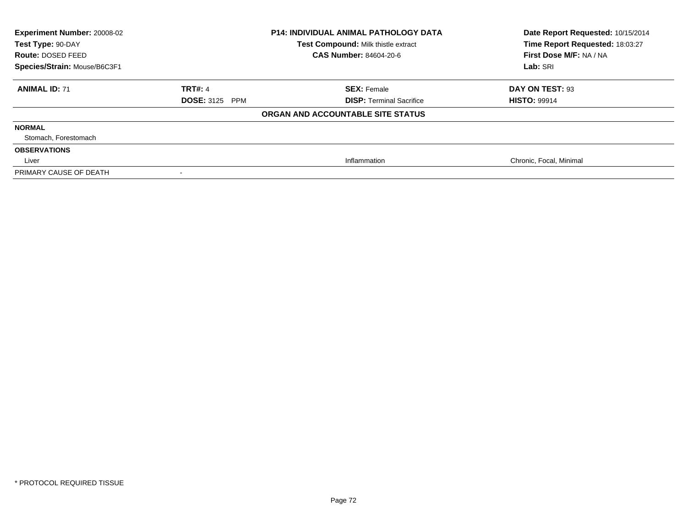| Experiment Number: 20008-02<br>Test Type: 90-DAY<br>Route: DOSED FEED<br>Species/Strain: Mouse/B6C3F1 | <b>P14: INDIVIDUAL ANIMAL PATHOLOGY DATA</b><br>Test Compound: Milk thistle extract<br>CAS Number: 84604-20-6 |                                   | Date Report Requested: 10/15/2014<br>Time Report Requested: 18:03:27<br>First Dose M/F: NA / NA<br>Lab: SRI |
|-------------------------------------------------------------------------------------------------------|---------------------------------------------------------------------------------------------------------------|-----------------------------------|-------------------------------------------------------------------------------------------------------------|
| <b>ANIMAL ID: 71</b>                                                                                  | <b>TRT#: 4</b>                                                                                                | <b>SEX: Female</b>                | DAY ON TEST: 93                                                                                             |
|                                                                                                       | <b>DOSE: 3125 PPM</b>                                                                                         | <b>DISP: Terminal Sacrifice</b>   | <b>HISTO: 99914</b>                                                                                         |
|                                                                                                       |                                                                                                               | ORGAN AND ACCOUNTABLE SITE STATUS |                                                                                                             |
| <b>NORMAL</b>                                                                                         |                                                                                                               |                                   |                                                                                                             |
| Stomach, Forestomach                                                                                  |                                                                                                               |                                   |                                                                                                             |
| <b>OBSERVATIONS</b>                                                                                   |                                                                                                               |                                   |                                                                                                             |
| Liver                                                                                                 |                                                                                                               | Inflammation                      | Chronic, Focal, Minimal                                                                                     |
| PRIMARY CAUSE OF DEATH                                                                                |                                                                                                               |                                   |                                                                                                             |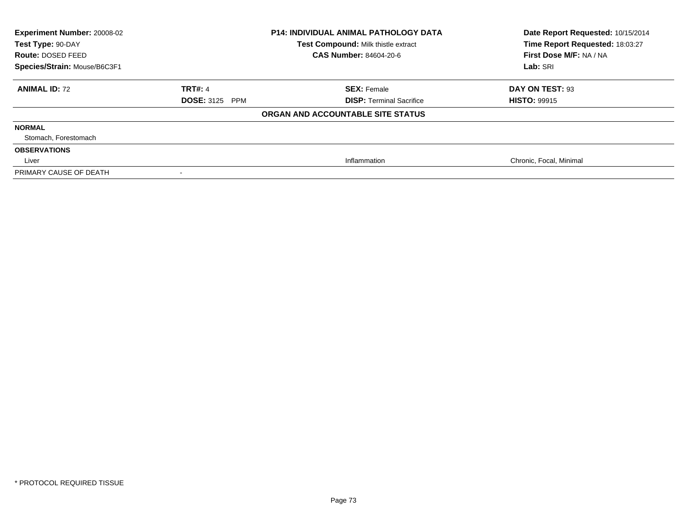| Experiment Number: 20008-02<br>Test Type: 90-DAY<br>Route: DOSED FEED<br>Species/Strain: Mouse/B6C3F1 | <b>P14: INDIVIDUAL ANIMAL PATHOLOGY DATA</b><br>Test Compound: Milk thistle extract<br>CAS Number: 84604-20-6 |                                   | Date Report Requested: 10/15/2014<br>Time Report Requested: 18:03:27<br>First Dose M/F: NA / NA<br>Lab: SRI |
|-------------------------------------------------------------------------------------------------------|---------------------------------------------------------------------------------------------------------------|-----------------------------------|-------------------------------------------------------------------------------------------------------------|
| <b>ANIMAL ID: 72</b>                                                                                  | <b>TRT#: 4</b>                                                                                                | <b>SEX: Female</b>                | DAY ON TEST: 93                                                                                             |
|                                                                                                       | <b>DOSE: 3125 PPM</b>                                                                                         | <b>DISP: Terminal Sacrifice</b>   | <b>HISTO: 99915</b>                                                                                         |
|                                                                                                       |                                                                                                               | ORGAN AND ACCOUNTABLE SITE STATUS |                                                                                                             |
| <b>NORMAL</b>                                                                                         |                                                                                                               |                                   |                                                                                                             |
| Stomach, Forestomach                                                                                  |                                                                                                               |                                   |                                                                                                             |
| <b>OBSERVATIONS</b>                                                                                   |                                                                                                               |                                   |                                                                                                             |
| Liver                                                                                                 |                                                                                                               | Inflammation                      | Chronic, Focal, Minimal                                                                                     |
| PRIMARY CAUSE OF DEATH                                                                                |                                                                                                               |                                   |                                                                                                             |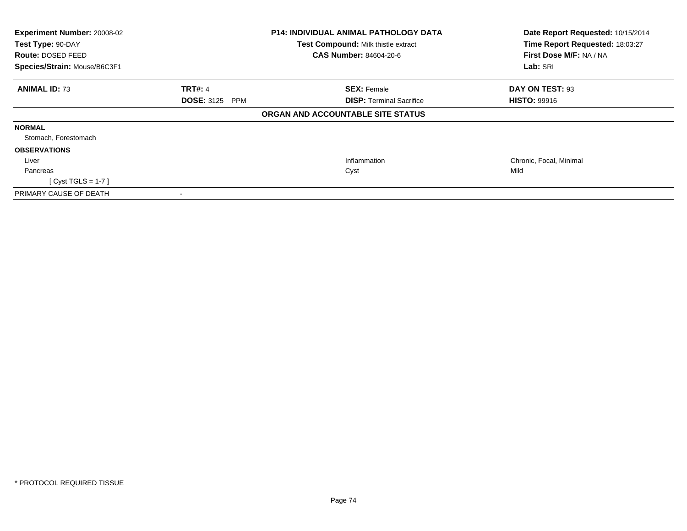| Experiment Number: 20008-02<br>Test Type: 90-DAY<br><b>Route: DOSED FEED</b><br>Species/Strain: Mouse/B6C3F1 |                       | <b>P14: INDIVIDUAL ANIMAL PATHOLOGY DATA</b><br>Test Compound: Milk thistle extract<br>CAS Number: 84604-20-6 | Date Report Requested: 10/15/2014<br>Time Report Requested: 18:03:27<br>First Dose M/F: NA / NA<br>Lab: SRI |
|--------------------------------------------------------------------------------------------------------------|-----------------------|---------------------------------------------------------------------------------------------------------------|-------------------------------------------------------------------------------------------------------------|
| <b>ANIMAL ID: 73</b>                                                                                         | <b>TRT#: 4</b>        | <b>SEX: Female</b>                                                                                            | DAY ON TEST: 93                                                                                             |
|                                                                                                              | <b>DOSE: 3125 PPM</b> | <b>DISP:</b> Terminal Sacrifice                                                                               | <b>HISTO: 99916</b>                                                                                         |
|                                                                                                              |                       | ORGAN AND ACCOUNTABLE SITE STATUS                                                                             |                                                                                                             |
| <b>NORMAL</b>                                                                                                |                       |                                                                                                               |                                                                                                             |
| Stomach, Forestomach                                                                                         |                       |                                                                                                               |                                                                                                             |
| <b>OBSERVATIONS</b>                                                                                          |                       |                                                                                                               |                                                                                                             |
| Liver                                                                                                        |                       | Inflammation                                                                                                  | Chronic, Focal, Minimal                                                                                     |
| Pancreas                                                                                                     |                       | Cyst                                                                                                          | Mild                                                                                                        |
| [Cyst TGLS = $1-7$ ]                                                                                         |                       |                                                                                                               |                                                                                                             |
| PRIMARY CAUSE OF DEATH                                                                                       |                       |                                                                                                               |                                                                                                             |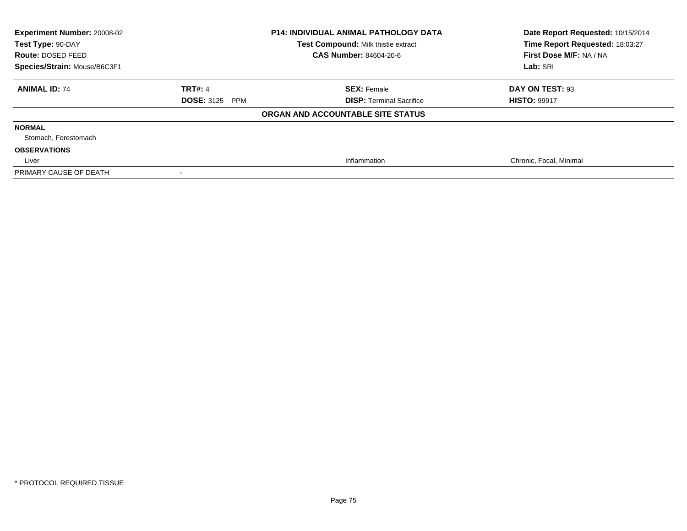| <b>Experiment Number: 20008-02</b><br>Test Type: 90-DAY<br>Route: DOSED FEED |                       | <b>P14: INDIVIDUAL ANIMAL PATHOLOGY DATA</b><br>Test Compound: Milk thistle extract<br><b>CAS Number: 84604-20-6</b> | Date Report Requested: 10/15/2014<br>Time Report Requested: 18:03:27<br>First Dose M/F: NA / NA |
|------------------------------------------------------------------------------|-----------------------|----------------------------------------------------------------------------------------------------------------------|-------------------------------------------------------------------------------------------------|
| Species/Strain: Mouse/B6C3F1                                                 |                       |                                                                                                                      | Lab: SRI                                                                                        |
| <b>ANIMAL ID: 74</b>                                                         | <b>TRT#: 4</b>        | <b>SEX: Female</b>                                                                                                   | DAY ON TEST: 93                                                                                 |
|                                                                              | <b>DOSE: 3125 PPM</b> | <b>DISP: Terminal Sacrifice</b>                                                                                      | <b>HISTO: 99917</b>                                                                             |
|                                                                              |                       | ORGAN AND ACCOUNTABLE SITE STATUS                                                                                    |                                                                                                 |
| <b>NORMAL</b>                                                                |                       |                                                                                                                      |                                                                                                 |
| Stomach, Forestomach                                                         |                       |                                                                                                                      |                                                                                                 |
| <b>OBSERVATIONS</b>                                                          |                       |                                                                                                                      |                                                                                                 |
| Liver                                                                        |                       | Inflammation                                                                                                         | Chronic, Focal, Minimal                                                                         |
| PRIMARY CAUSE OF DEATH                                                       |                       |                                                                                                                      |                                                                                                 |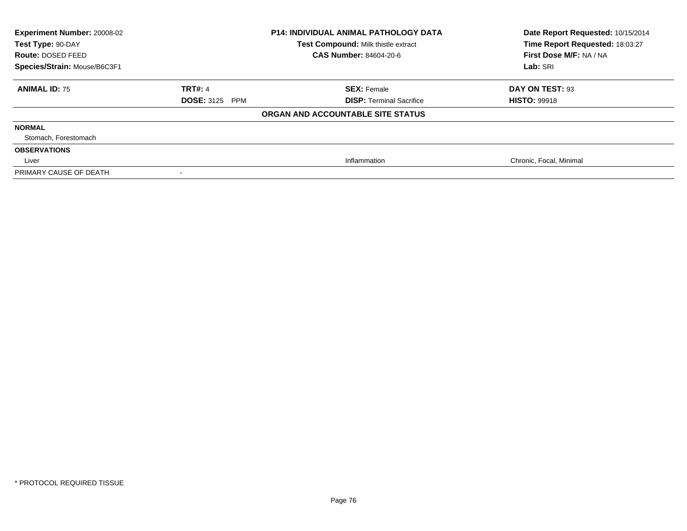| <b>P14: INDIVIDUAL ANIMAL PATHOLOGY DATA</b><br>Experiment Number: 20008-02<br>Test Type: 90-DAY<br>Test Compound: Milk thistle extract<br>CAS Number: 84604-20-6<br>Route: DOSED FEED<br>Species/Strain: Mouse/B6C3F1 |                       | Date Report Requested: 10/15/2014<br>Time Report Requested: 18:03:27<br>First Dose M/F: NA / NA<br>Lab: SRI |                         |
|------------------------------------------------------------------------------------------------------------------------------------------------------------------------------------------------------------------------|-----------------------|-------------------------------------------------------------------------------------------------------------|-------------------------|
| <b>ANIMAL ID: 75</b>                                                                                                                                                                                                   | <b>TRT#: 4</b>        | <b>SEX: Female</b>                                                                                          | DAY ON TEST: 93         |
|                                                                                                                                                                                                                        | <b>DOSE: 3125 PPM</b> | <b>DISP: Terminal Sacrifice</b>                                                                             | <b>HISTO: 99918</b>     |
|                                                                                                                                                                                                                        |                       | ORGAN AND ACCOUNTABLE SITE STATUS                                                                           |                         |
| <b>NORMAL</b>                                                                                                                                                                                                          |                       |                                                                                                             |                         |
| Stomach, Forestomach                                                                                                                                                                                                   |                       |                                                                                                             |                         |
| <b>OBSERVATIONS</b>                                                                                                                                                                                                    |                       |                                                                                                             |                         |
| Liver                                                                                                                                                                                                                  |                       | Inflammation                                                                                                | Chronic, Focal, Minimal |
| PRIMARY CAUSE OF DEATH                                                                                                                                                                                                 |                       |                                                                                                             |                         |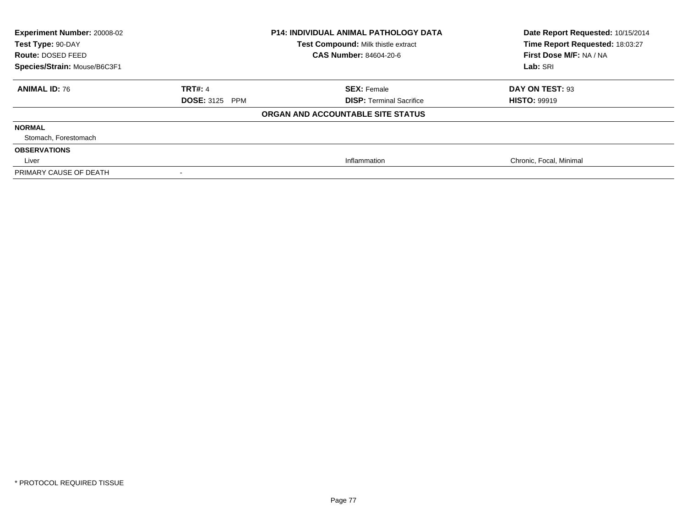| <b>Experiment Number: 20008-02</b><br>Test Type: 90-DAY<br>Route: DOSED FEED |                       | <b>P14: INDIVIDUAL ANIMAL PATHOLOGY DATA</b><br>Test Compound: Milk thistle extract<br><b>CAS Number: 84604-20-6</b> | Date Report Requested: 10/15/2014<br>Time Report Requested: 18:03:27<br>First Dose M/F: NA / NA |
|------------------------------------------------------------------------------|-----------------------|----------------------------------------------------------------------------------------------------------------------|-------------------------------------------------------------------------------------------------|
| Species/Strain: Mouse/B6C3F1                                                 |                       |                                                                                                                      | Lab: SRI                                                                                        |
| <b>ANIMAL ID: 76</b>                                                         | <b>TRT#: 4</b>        | <b>SEX: Female</b>                                                                                                   | DAY ON TEST: 93                                                                                 |
|                                                                              | <b>DOSE: 3125 PPM</b> | <b>DISP: Terminal Sacrifice</b>                                                                                      | <b>HISTO: 99919</b>                                                                             |
|                                                                              |                       | ORGAN AND ACCOUNTABLE SITE STATUS                                                                                    |                                                                                                 |
| <b>NORMAL</b>                                                                |                       |                                                                                                                      |                                                                                                 |
| Stomach, Forestomach                                                         |                       |                                                                                                                      |                                                                                                 |
| <b>OBSERVATIONS</b>                                                          |                       |                                                                                                                      |                                                                                                 |
| Liver                                                                        |                       | Inflammation                                                                                                         | Chronic, Focal, Minimal                                                                         |
| PRIMARY CAUSE OF DEATH                                                       |                       |                                                                                                                      |                                                                                                 |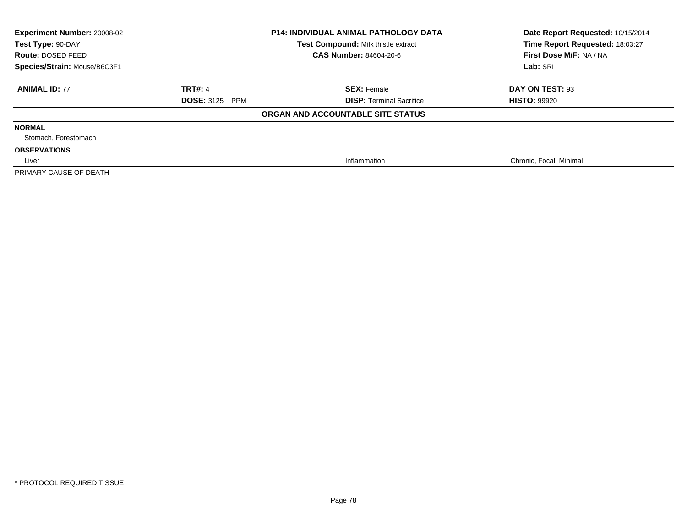| Experiment Number: 20008-02<br>Test Type: 90-DAY<br>Route: DOSED FEED<br>Species/Strain: Mouse/B6C3F1 | <b>P14: INDIVIDUAL ANIMAL PATHOLOGY DATA</b><br>Test Compound: Milk thistle extract<br>CAS Number: 84604-20-6 |                                   | Date Report Requested: 10/15/2014<br>Time Report Requested: 18:03:27<br>First Dose M/F: NA / NA<br>Lab: SRI |
|-------------------------------------------------------------------------------------------------------|---------------------------------------------------------------------------------------------------------------|-----------------------------------|-------------------------------------------------------------------------------------------------------------|
| <b>ANIMAL ID: 77</b>                                                                                  | <b>TRT#: 4</b>                                                                                                | <b>SEX: Female</b>                | DAY ON TEST: 93                                                                                             |
|                                                                                                       | <b>DOSE: 3125 PPM</b>                                                                                         | <b>DISP: Terminal Sacrifice</b>   | <b>HISTO: 99920</b>                                                                                         |
|                                                                                                       |                                                                                                               | ORGAN AND ACCOUNTABLE SITE STATUS |                                                                                                             |
| <b>NORMAL</b>                                                                                         |                                                                                                               |                                   |                                                                                                             |
| Stomach, Forestomach                                                                                  |                                                                                                               |                                   |                                                                                                             |
| <b>OBSERVATIONS</b>                                                                                   |                                                                                                               |                                   |                                                                                                             |
| Liver                                                                                                 |                                                                                                               | Inflammation                      | Chronic, Focal, Minimal                                                                                     |
| PRIMARY CAUSE OF DEATH                                                                                |                                                                                                               |                                   |                                                                                                             |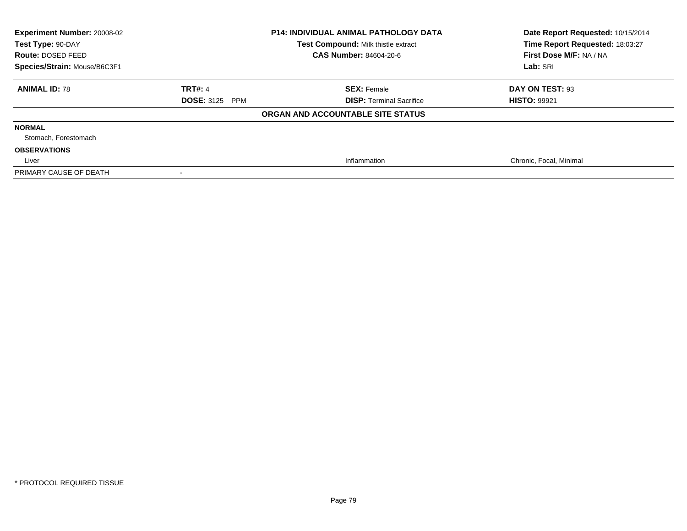| Experiment Number: 20008-02<br>Test Type: 90-DAY<br>Route: DOSED FEED<br>Species/Strain: Mouse/B6C3F1 | <b>P14: INDIVIDUAL ANIMAL PATHOLOGY DATA</b><br>Test Compound: Milk thistle extract<br>CAS Number: 84604-20-6 |                                   | Date Report Requested: 10/15/2014<br>Time Report Requested: 18:03:27<br>First Dose M/F: NA / NA<br>Lab: SRI |
|-------------------------------------------------------------------------------------------------------|---------------------------------------------------------------------------------------------------------------|-----------------------------------|-------------------------------------------------------------------------------------------------------------|
| <b>ANIMAL ID: 78</b>                                                                                  | <b>TRT#: 4</b>                                                                                                | <b>SEX: Female</b>                | DAY ON TEST: 93                                                                                             |
|                                                                                                       | <b>DOSE: 3125 PPM</b>                                                                                         | <b>DISP: Terminal Sacrifice</b>   | <b>HISTO: 99921</b>                                                                                         |
|                                                                                                       |                                                                                                               | ORGAN AND ACCOUNTABLE SITE STATUS |                                                                                                             |
| <b>NORMAL</b>                                                                                         |                                                                                                               |                                   |                                                                                                             |
| Stomach, Forestomach                                                                                  |                                                                                                               |                                   |                                                                                                             |
| <b>OBSERVATIONS</b>                                                                                   |                                                                                                               |                                   |                                                                                                             |
| Liver                                                                                                 |                                                                                                               | Inflammation                      | Chronic, Focal, Minimal                                                                                     |
| PRIMARY CAUSE OF DEATH                                                                                |                                                                                                               |                                   |                                                                                                             |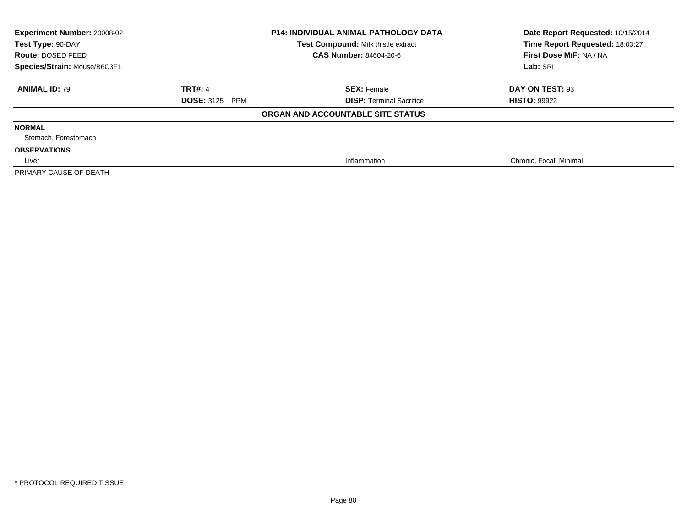| Experiment Number: 20008-02<br>Test Type: 90-DAY<br>Route: DOSED FEED<br>Species/Strain: Mouse/B6C3F1 | <b>P14: INDIVIDUAL ANIMAL PATHOLOGY DATA</b><br>Test Compound: Milk thistle extract<br>CAS Number: 84604-20-6 |                                   | Date Report Requested: 10/15/2014<br>Time Report Requested: 18:03:27<br>First Dose M/F: NA / NA<br>Lab: SRI |
|-------------------------------------------------------------------------------------------------------|---------------------------------------------------------------------------------------------------------------|-----------------------------------|-------------------------------------------------------------------------------------------------------------|
| <b>ANIMAL ID: 79</b>                                                                                  | <b>TRT#: 4</b>                                                                                                | <b>SEX: Female</b>                | DAY ON TEST: 93                                                                                             |
|                                                                                                       | <b>DOSE: 3125 PPM</b>                                                                                         | <b>DISP: Terminal Sacrifice</b>   | <b>HISTO: 99922</b>                                                                                         |
|                                                                                                       |                                                                                                               | ORGAN AND ACCOUNTABLE SITE STATUS |                                                                                                             |
| <b>NORMAL</b>                                                                                         |                                                                                                               |                                   |                                                                                                             |
| Stomach, Forestomach                                                                                  |                                                                                                               |                                   |                                                                                                             |
| <b>OBSERVATIONS</b>                                                                                   |                                                                                                               |                                   |                                                                                                             |
| Liver                                                                                                 |                                                                                                               | Inflammation                      | Chronic, Focal, Minimal                                                                                     |
| PRIMARY CAUSE OF DEATH                                                                                |                                                                                                               |                                   |                                                                                                             |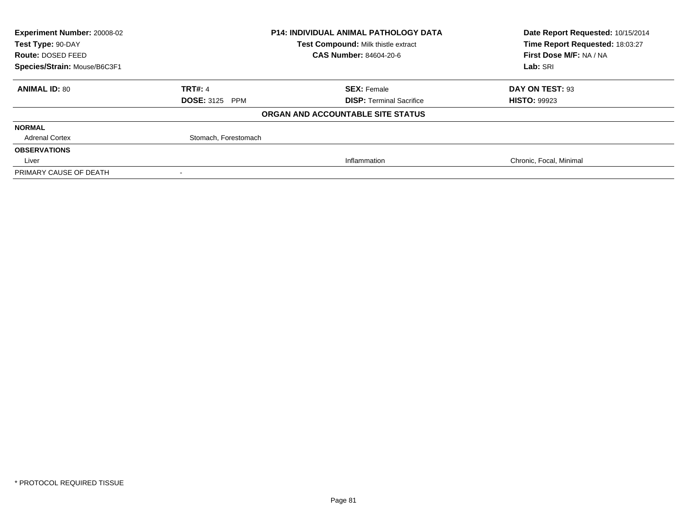| Experiment Number: 20008-02  |                                     | <b>P14: INDIVIDUAL ANIMAL PATHOLOGY DATA</b> | Date Report Requested: 10/15/2014 |
|------------------------------|-------------------------------------|----------------------------------------------|-----------------------------------|
| Test Type: 90-DAY            | Test Compound: Milk thistle extract |                                              | Time Report Requested: 18:03:27   |
| Route: DOSED FEED            |                                     | <b>CAS Number: 84604-20-6</b>                | First Dose M/F: NA / NA           |
| Species/Strain: Mouse/B6C3F1 |                                     |                                              | Lab: SRI                          |
| <b>ANIMAL ID: 80</b>         | <b>TRT#: 4</b>                      | <b>SEX: Female</b>                           | DAY ON TEST: 93                   |
|                              | <b>DOSE: 3125 PPM</b>               | <b>DISP: Terminal Sacrifice</b>              | <b>HISTO: 99923</b>               |
|                              |                                     | ORGAN AND ACCOUNTABLE SITE STATUS            |                                   |
| <b>NORMAL</b>                |                                     |                                              |                                   |
| <b>Adrenal Cortex</b>        | Stomach, Forestomach                |                                              |                                   |
| <b>OBSERVATIONS</b>          |                                     |                                              |                                   |
| Liver                        |                                     | Inflammation                                 | Chronic, Focal, Minimal           |
| PRIMARY CAUSE OF DEATH       |                                     |                                              |                                   |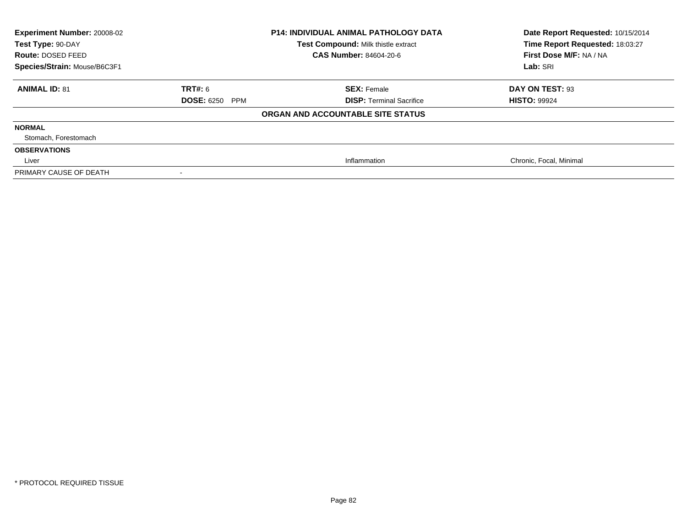| Experiment Number: 20008-02<br>Test Type: 90-DAY<br>Route: DOSED FEED<br>Species/Strain: Mouse/B6C3F1 | <b>P14: INDIVIDUAL ANIMAL PATHOLOGY DATA</b><br>Test Compound: Milk thistle extract<br>CAS Number: 84604-20-6 |                                   | Date Report Requested: 10/15/2014<br>Time Report Requested: 18:03:27<br>First Dose M/F: NA / NA<br>Lab: SRI |
|-------------------------------------------------------------------------------------------------------|---------------------------------------------------------------------------------------------------------------|-----------------------------------|-------------------------------------------------------------------------------------------------------------|
| <b>ANIMAL ID: 81</b>                                                                                  | <b>TRT#: 6</b>                                                                                                | <b>SEX: Female</b>                | DAY ON TEST: 93                                                                                             |
|                                                                                                       | <b>DOSE: 6250 PPM</b>                                                                                         | <b>DISP: Terminal Sacrifice</b>   | <b>HISTO: 99924</b>                                                                                         |
|                                                                                                       |                                                                                                               | ORGAN AND ACCOUNTABLE SITE STATUS |                                                                                                             |
| <b>NORMAL</b>                                                                                         |                                                                                                               |                                   |                                                                                                             |
| Stomach, Forestomach                                                                                  |                                                                                                               |                                   |                                                                                                             |
| <b>OBSERVATIONS</b>                                                                                   |                                                                                                               |                                   |                                                                                                             |
| Liver                                                                                                 |                                                                                                               | Inflammation                      | Chronic, Focal, Minimal                                                                                     |
| PRIMARY CAUSE OF DEATH                                                                                |                                                                                                               |                                   |                                                                                                             |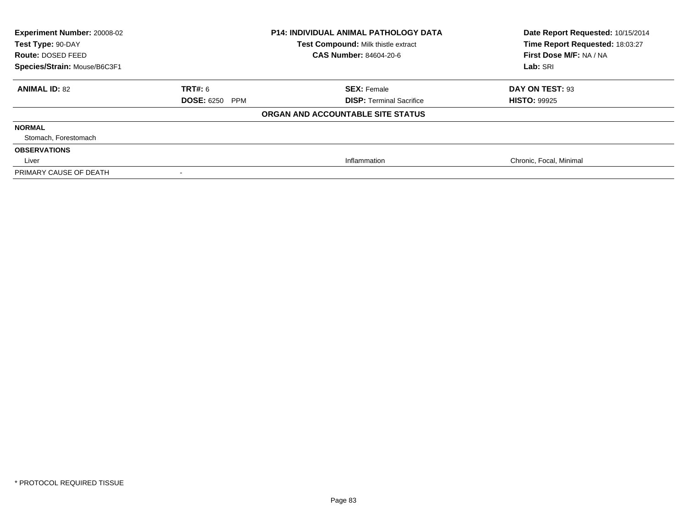| Experiment Number: 20008-02<br>Test Type: 90-DAY<br>Route: DOSED FEED<br>Species/Strain: Mouse/B6C3F1 | <b>P14: INDIVIDUAL ANIMAL PATHOLOGY DATA</b><br>Test Compound: Milk thistle extract<br>CAS Number: 84604-20-6 |                                   | Date Report Requested: 10/15/2014<br>Time Report Requested: 18:03:27<br>First Dose M/F: NA / NA<br>Lab: SRI |
|-------------------------------------------------------------------------------------------------------|---------------------------------------------------------------------------------------------------------------|-----------------------------------|-------------------------------------------------------------------------------------------------------------|
| <b>ANIMAL ID: 82</b>                                                                                  | TRT#: 6                                                                                                       | <b>SEX: Female</b>                | DAY ON TEST: 93                                                                                             |
|                                                                                                       | <b>DOSE: 6250 PPM</b>                                                                                         | <b>DISP: Terminal Sacrifice</b>   | <b>HISTO: 99925</b>                                                                                         |
|                                                                                                       |                                                                                                               | ORGAN AND ACCOUNTABLE SITE STATUS |                                                                                                             |
| <b>NORMAL</b>                                                                                         |                                                                                                               |                                   |                                                                                                             |
| Stomach, Forestomach                                                                                  |                                                                                                               |                                   |                                                                                                             |
| <b>OBSERVATIONS</b>                                                                                   |                                                                                                               |                                   |                                                                                                             |
| Liver                                                                                                 |                                                                                                               | Inflammation                      | Chronic, Focal, Minimal                                                                                     |
| PRIMARY CAUSE OF DEATH                                                                                |                                                                                                               |                                   |                                                                                                             |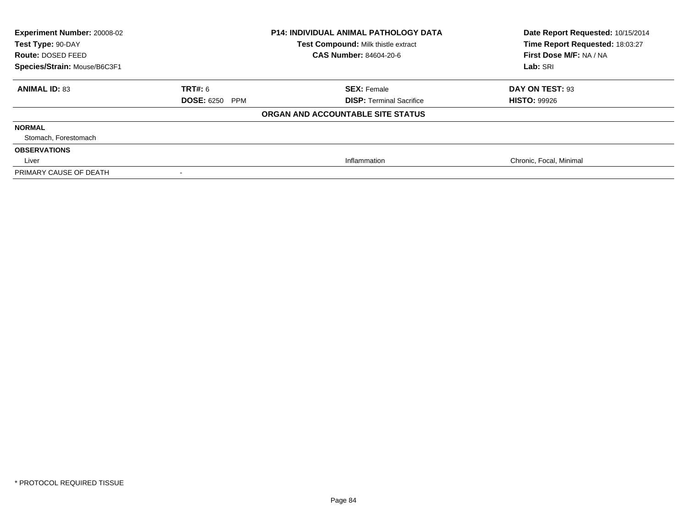| Experiment Number: 20008-02<br>Test Type: 90-DAY<br>Route: DOSED FEED<br>Species/Strain: Mouse/B6C3F1 | <b>P14: INDIVIDUAL ANIMAL PATHOLOGY DATA</b><br>Test Compound: Milk thistle extract<br>CAS Number: 84604-20-6 |                                   | Date Report Requested: 10/15/2014<br>Time Report Requested: 18:03:27<br>First Dose M/F: NA / NA<br>Lab: SRI |
|-------------------------------------------------------------------------------------------------------|---------------------------------------------------------------------------------------------------------------|-----------------------------------|-------------------------------------------------------------------------------------------------------------|
| <b>ANIMAL ID: 83</b>                                                                                  | TRT#: 6                                                                                                       | <b>SEX: Female</b>                | DAY ON TEST: 93                                                                                             |
|                                                                                                       | <b>DOSE: 6250 PPM</b>                                                                                         | <b>DISP: Terminal Sacrifice</b>   | <b>HISTO: 99926</b>                                                                                         |
|                                                                                                       |                                                                                                               | ORGAN AND ACCOUNTABLE SITE STATUS |                                                                                                             |
| <b>NORMAL</b>                                                                                         |                                                                                                               |                                   |                                                                                                             |
| Stomach, Forestomach                                                                                  |                                                                                                               |                                   |                                                                                                             |
| <b>OBSERVATIONS</b>                                                                                   |                                                                                                               |                                   |                                                                                                             |
| Liver                                                                                                 |                                                                                                               | Inflammation                      | Chronic, Focal, Minimal                                                                                     |
| PRIMARY CAUSE OF DEATH                                                                                |                                                                                                               |                                   |                                                                                                             |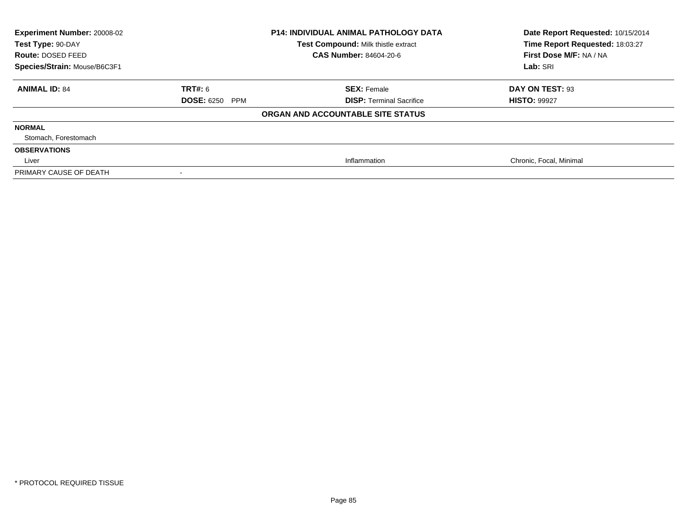| Experiment Number: 20008-02<br>Test Type: 90-DAY<br>Route: DOSED FEED<br>Species/Strain: Mouse/B6C3F1 | <b>P14: INDIVIDUAL ANIMAL PATHOLOGY DATA</b><br>Test Compound: Milk thistle extract<br>CAS Number: 84604-20-6 |                                   | Date Report Requested: 10/15/2014<br>Time Report Requested: 18:03:27<br>First Dose M/F: NA / NA<br>Lab: SRI |
|-------------------------------------------------------------------------------------------------------|---------------------------------------------------------------------------------------------------------------|-----------------------------------|-------------------------------------------------------------------------------------------------------------|
| <b>ANIMAL ID: 84</b>                                                                                  | <b>TRT#: 6</b>                                                                                                | <b>SEX: Female</b>                | DAY ON TEST: 93                                                                                             |
|                                                                                                       | <b>DOSE: 6250 PPM</b>                                                                                         | <b>DISP: Terminal Sacrifice</b>   | <b>HISTO: 99927</b>                                                                                         |
|                                                                                                       |                                                                                                               | ORGAN AND ACCOUNTABLE SITE STATUS |                                                                                                             |
| <b>NORMAL</b>                                                                                         |                                                                                                               |                                   |                                                                                                             |
| Stomach, Forestomach                                                                                  |                                                                                                               |                                   |                                                                                                             |
| <b>OBSERVATIONS</b>                                                                                   |                                                                                                               |                                   |                                                                                                             |
| Liver                                                                                                 |                                                                                                               | Inflammation                      | Chronic, Focal, Minimal                                                                                     |
| PRIMARY CAUSE OF DEATH                                                                                |                                                                                                               |                                   |                                                                                                             |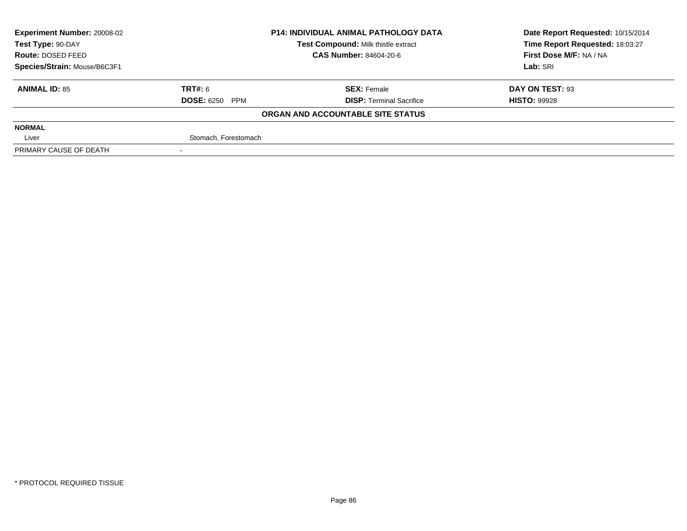| <b>Experiment Number: 20008-02</b> | <b>P14: INDIVIDUAL ANIMAL PATHOLOGY DATA</b> |                                            | Date Report Requested: 10/15/2014 |  |
|------------------------------------|----------------------------------------------|--------------------------------------------|-----------------------------------|--|
| Test Type: 90-DAY                  |                                              | <b>Test Compound: Milk thistle extract</b> | Time Report Requested: 18:03:27   |  |
| Route: DOSED FEED                  |                                              | <b>CAS Number: 84604-20-6</b>              | First Dose M/F: NA / NA           |  |
| Species/Strain: Mouse/B6C3F1       |                                              |                                            | Lab: SRI                          |  |
| <b>ANIMAL ID: 85</b>               | TRT#: 6                                      | <b>SEX: Female</b>                         | DAY ON TEST: 93                   |  |
|                                    | <b>DOSE: 6250 PPM</b>                        | <b>DISP: Terminal Sacrifice</b>            | <b>HISTO: 99928</b>               |  |
|                                    |                                              | ORGAN AND ACCOUNTABLE SITE STATUS          |                                   |  |
| <b>NORMAL</b>                      |                                              |                                            |                                   |  |
| Liver                              | Stomach, Forestomach                         |                                            |                                   |  |
| PRIMARY CAUSE OF DEATH             |                                              |                                            |                                   |  |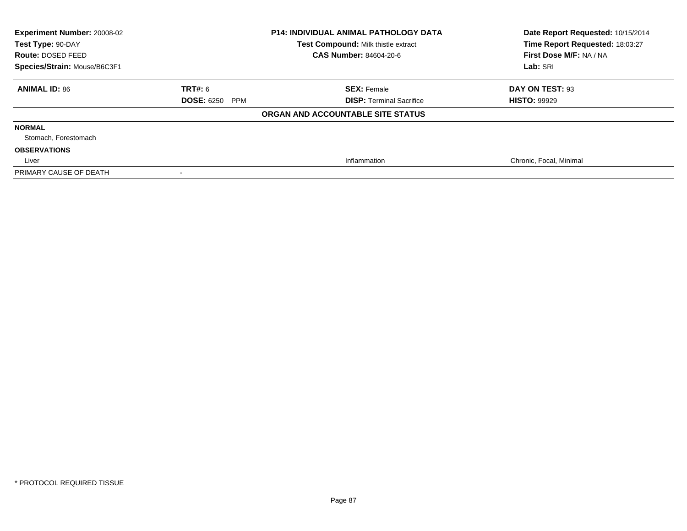| Experiment Number: 20008-02<br>Test Type: 90-DAY<br>Route: DOSED FEED<br>Species/Strain: Mouse/B6C3F1 | <b>P14: INDIVIDUAL ANIMAL PATHOLOGY DATA</b><br>Test Compound: Milk thistle extract<br>CAS Number: 84604-20-6 |                                   | Date Report Requested: 10/15/2014<br>Time Report Requested: 18:03:27<br>First Dose M/F: NA / NA<br>Lab: SRI |
|-------------------------------------------------------------------------------------------------------|---------------------------------------------------------------------------------------------------------------|-----------------------------------|-------------------------------------------------------------------------------------------------------------|
| <b>ANIMAL ID: 86</b>                                                                                  | TRT#: 6                                                                                                       | <b>SEX: Female</b>                | DAY ON TEST: 93                                                                                             |
|                                                                                                       | <b>DOSE: 6250 PPM</b>                                                                                         | <b>DISP: Terminal Sacrifice</b>   | <b>HISTO: 99929</b>                                                                                         |
|                                                                                                       |                                                                                                               | ORGAN AND ACCOUNTABLE SITE STATUS |                                                                                                             |
| <b>NORMAL</b>                                                                                         |                                                                                                               |                                   |                                                                                                             |
| Stomach, Forestomach                                                                                  |                                                                                                               |                                   |                                                                                                             |
| <b>OBSERVATIONS</b>                                                                                   |                                                                                                               |                                   |                                                                                                             |
| Liver                                                                                                 |                                                                                                               | Inflammation                      | Chronic, Focal, Minimal                                                                                     |
| PRIMARY CAUSE OF DEATH                                                                                |                                                                                                               |                                   |                                                                                                             |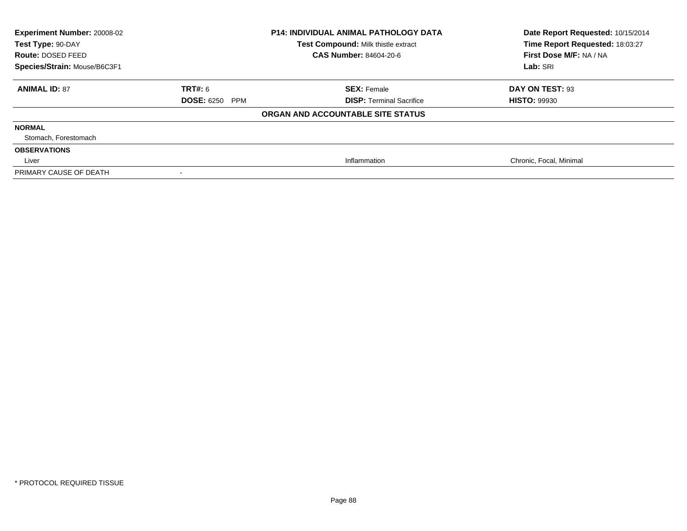| Experiment Number: 20008-02<br>Test Type: 90-DAY<br>Route: DOSED FEED<br>Species/Strain: Mouse/B6C3F1 | <b>P14: INDIVIDUAL ANIMAL PATHOLOGY DATA</b><br>Test Compound: Milk thistle extract<br>CAS Number: 84604-20-6 |                                   | Date Report Requested: 10/15/2014<br>Time Report Requested: 18:03:27<br>First Dose M/F: NA / NA<br>Lab: SRI |
|-------------------------------------------------------------------------------------------------------|---------------------------------------------------------------------------------------------------------------|-----------------------------------|-------------------------------------------------------------------------------------------------------------|
| <b>ANIMAL ID: 87</b>                                                                                  | <b>TRT#: 6</b>                                                                                                | <b>SEX: Female</b>                | DAY ON TEST: 93                                                                                             |
|                                                                                                       | <b>DOSE: 6250 PPM</b>                                                                                         | <b>DISP: Terminal Sacrifice</b>   | <b>HISTO: 99930</b>                                                                                         |
|                                                                                                       |                                                                                                               | ORGAN AND ACCOUNTABLE SITE STATUS |                                                                                                             |
| <b>NORMAL</b>                                                                                         |                                                                                                               |                                   |                                                                                                             |
| Stomach, Forestomach                                                                                  |                                                                                                               |                                   |                                                                                                             |
| <b>OBSERVATIONS</b>                                                                                   |                                                                                                               |                                   |                                                                                                             |
| Liver                                                                                                 |                                                                                                               | Inflammation                      | Chronic, Focal, Minimal                                                                                     |
| PRIMARY CAUSE OF DEATH                                                                                |                                                                                                               |                                   |                                                                                                             |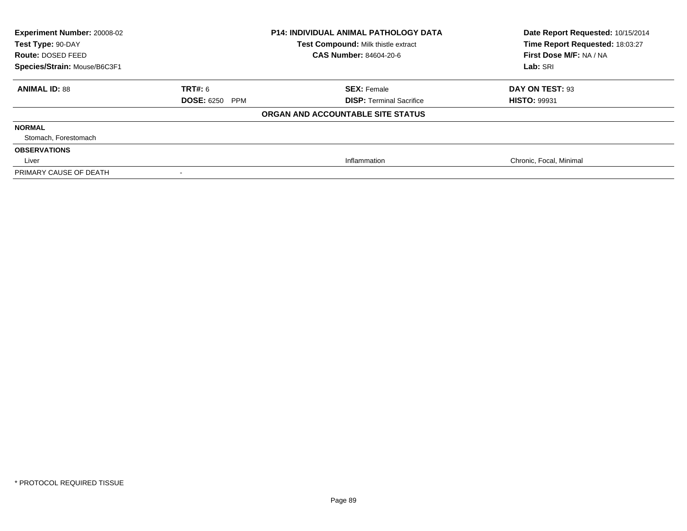| <b>Experiment Number: 20008-02</b><br>Test Type: 90-DAY<br>Route: DOSED FEED |                       | <b>P14: INDIVIDUAL ANIMAL PATHOLOGY DATA</b><br>Test Compound: Milk thistle extract<br><b>CAS Number: 84604-20-6</b> | Date Report Requested: 10/15/2014<br>Time Report Requested: 18:03:27<br>First Dose M/F: NA / NA |
|------------------------------------------------------------------------------|-----------------------|----------------------------------------------------------------------------------------------------------------------|-------------------------------------------------------------------------------------------------|
| Species/Strain: Mouse/B6C3F1                                                 |                       |                                                                                                                      | Lab: SRI                                                                                        |
| <b>ANIMAL ID: 88</b>                                                         | <b>TRT#:</b> 6        | <b>SEX: Female</b>                                                                                                   | DAY ON TEST: 93                                                                                 |
|                                                                              | <b>DOSE: 6250 PPM</b> | <b>DISP: Terminal Sacrifice</b>                                                                                      | <b>HISTO: 99931</b>                                                                             |
|                                                                              |                       | ORGAN AND ACCOUNTABLE SITE STATUS                                                                                    |                                                                                                 |
| <b>NORMAL</b>                                                                |                       |                                                                                                                      |                                                                                                 |
| Stomach, Forestomach                                                         |                       |                                                                                                                      |                                                                                                 |
| <b>OBSERVATIONS</b>                                                          |                       |                                                                                                                      |                                                                                                 |
| Liver                                                                        |                       | Inflammation                                                                                                         | Chronic, Focal, Minimal                                                                         |
| PRIMARY CAUSE OF DEATH                                                       |                       |                                                                                                                      |                                                                                                 |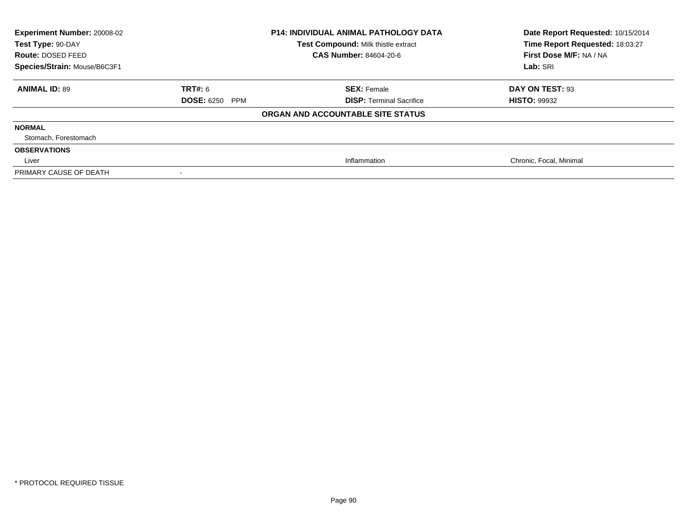| <b>Experiment Number: 20008-02</b><br><b>P14: INDIVIDUAL ANIMAL PATHOLOGY DATA</b><br>Test Compound: Milk thistle extract<br>Test Type: 90-DAY<br><b>CAS Number: 84604-20-6</b><br>Route: DOSED FEED |                       | Date Report Requested: 10/15/2014<br>Time Report Requested: 18:03:27<br>First Dose M/F: NA / NA |                         |  |
|------------------------------------------------------------------------------------------------------------------------------------------------------------------------------------------------------|-----------------------|-------------------------------------------------------------------------------------------------|-------------------------|--|
| Species/Strain: Mouse/B6C3F1                                                                                                                                                                         |                       |                                                                                                 | Lab: SRI                |  |
| <b>ANIMAL ID: 89</b>                                                                                                                                                                                 | TRT#: 6               | <b>SEX: Female</b>                                                                              | DAY ON TEST: 93         |  |
|                                                                                                                                                                                                      | <b>DOSE: 6250 PPM</b> | <b>DISP: Terminal Sacrifice</b>                                                                 | <b>HISTO: 99932</b>     |  |
|                                                                                                                                                                                                      |                       | ORGAN AND ACCOUNTABLE SITE STATUS                                                               |                         |  |
| <b>NORMAL</b>                                                                                                                                                                                        |                       |                                                                                                 |                         |  |
| Stomach, Forestomach                                                                                                                                                                                 |                       |                                                                                                 |                         |  |
| <b>OBSERVATIONS</b>                                                                                                                                                                                  |                       |                                                                                                 |                         |  |
| Liver                                                                                                                                                                                                |                       | Inflammation                                                                                    | Chronic, Focal, Minimal |  |
| PRIMARY CAUSE OF DEATH                                                                                                                                                                               |                       |                                                                                                 |                         |  |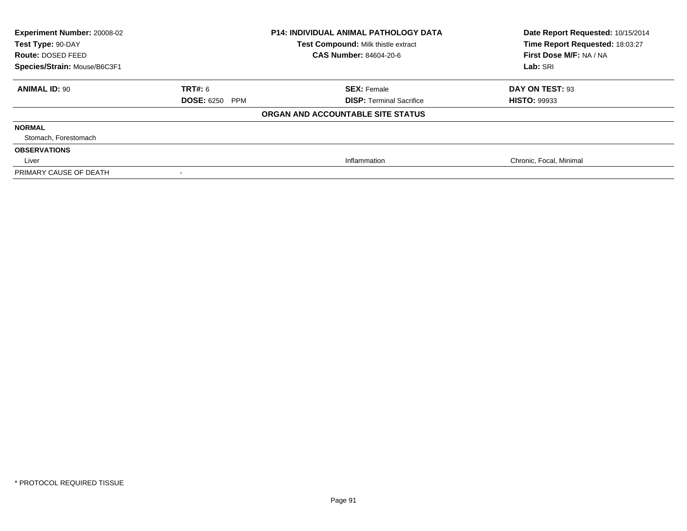| <b>Experiment Number: 20008-02</b><br>Test Type: 90-DAY<br>Route: DOSED FEED |                       | <b>P14: INDIVIDUAL ANIMAL PATHOLOGY DATA</b><br>Test Compound: Milk thistle extract<br><b>CAS Number: 84604-20-6</b> | Date Report Requested: 10/15/2014<br>Time Report Requested: 18:03:27<br>First Dose M/F: NA / NA |  |
|------------------------------------------------------------------------------|-----------------------|----------------------------------------------------------------------------------------------------------------------|-------------------------------------------------------------------------------------------------|--|
| Species/Strain: Mouse/B6C3F1                                                 |                       |                                                                                                                      | Lab: SRI                                                                                        |  |
| <b>ANIMAL ID: 90</b>                                                         | <b>TRT#:</b> 6        | <b>SEX: Female</b>                                                                                                   | DAY ON TEST: 93                                                                                 |  |
|                                                                              | <b>DOSE: 6250 PPM</b> | <b>DISP: Terminal Sacrifice</b>                                                                                      | <b>HISTO: 99933</b>                                                                             |  |
|                                                                              |                       | ORGAN AND ACCOUNTABLE SITE STATUS                                                                                    |                                                                                                 |  |
| <b>NORMAL</b>                                                                |                       |                                                                                                                      |                                                                                                 |  |
| Stomach, Forestomach                                                         |                       |                                                                                                                      |                                                                                                 |  |
| <b>OBSERVATIONS</b>                                                          |                       |                                                                                                                      |                                                                                                 |  |
| Liver                                                                        |                       | Inflammation                                                                                                         | Chronic, Focal, Minimal                                                                         |  |
| PRIMARY CAUSE OF DEATH                                                       |                       |                                                                                                                      |                                                                                                 |  |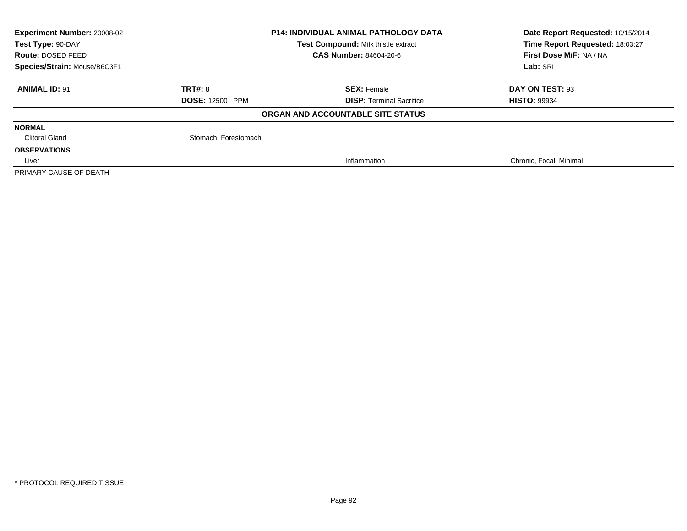| Experiment Number: 20008-02  |                        | <b>P14: INDIVIDUAL ANIMAL PATHOLOGY DATA</b> | Date Report Requested: 10/15/2014 |
|------------------------------|------------------------|----------------------------------------------|-----------------------------------|
| Test Type: 90-DAY            |                        | Test Compound: Milk thistle extract          | Time Report Requested: 18:03:27   |
| Route: DOSED FEED            |                        | <b>CAS Number: 84604-20-6</b>                | First Dose M/F: NA / NA           |
| Species/Strain: Mouse/B6C3F1 |                        |                                              | Lab: SRI                          |
| <b>ANIMAL ID: 91</b>         | TRT#: 8                | <b>SEX: Female</b>                           | DAY ON TEST: 93                   |
|                              | <b>DOSE: 12500 PPM</b> | <b>DISP: Terminal Sacrifice</b>              | <b>HISTO: 99934</b>               |
|                              |                        | ORGAN AND ACCOUNTABLE SITE STATUS            |                                   |
| <b>NORMAL</b>                |                        |                                              |                                   |
| <b>Clitoral Gland</b>        | Stomach, Forestomach   |                                              |                                   |
| <b>OBSERVATIONS</b>          |                        |                                              |                                   |
| Liver                        |                        | Inflammation                                 | Chronic, Focal, Minimal           |
| PRIMARY CAUSE OF DEATH       |                        |                                              |                                   |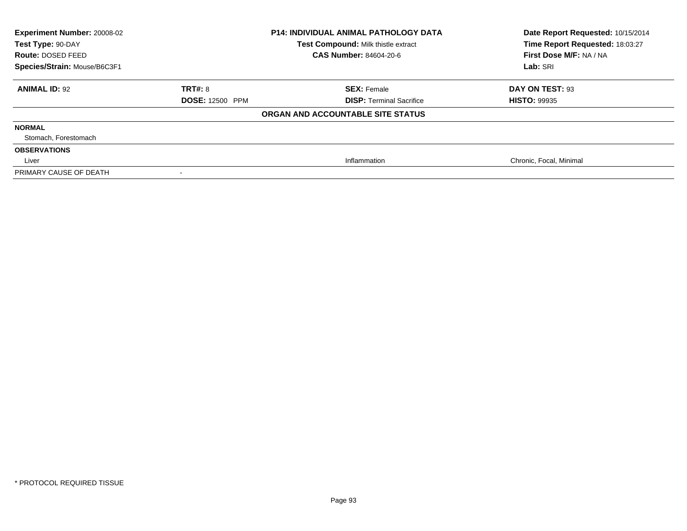| Experiment Number: 20008-02<br>Test Type: 90-DAY<br>Route: DOSED FEED<br>Species/Strain: Mouse/B6C3F1 | <b>P14: INDIVIDUAL ANIMAL PATHOLOGY DATA</b><br>Test Compound: Milk thistle extract<br>CAS Number: 84604-20-6 |                                   | Date Report Requested: 10/15/2014<br>Time Report Requested: 18:03:27<br>First Dose M/F: NA / NA<br>Lab: SRI |
|-------------------------------------------------------------------------------------------------------|---------------------------------------------------------------------------------------------------------------|-----------------------------------|-------------------------------------------------------------------------------------------------------------|
| <b>ANIMAL ID: 92</b>                                                                                  | <b>TRT#: 8</b>                                                                                                | <b>SEX: Female</b>                | DAY ON TEST: 93                                                                                             |
|                                                                                                       | <b>DOSE: 12500 PPM</b>                                                                                        | <b>DISP: Terminal Sacrifice</b>   | <b>HISTO: 99935</b>                                                                                         |
|                                                                                                       |                                                                                                               | ORGAN AND ACCOUNTABLE SITE STATUS |                                                                                                             |
| <b>NORMAL</b>                                                                                         |                                                                                                               |                                   |                                                                                                             |
| Stomach, Forestomach                                                                                  |                                                                                                               |                                   |                                                                                                             |
| <b>OBSERVATIONS</b>                                                                                   |                                                                                                               |                                   |                                                                                                             |
| Liver                                                                                                 |                                                                                                               | Inflammation                      | Chronic, Focal, Minimal                                                                                     |
| PRIMARY CAUSE OF DEATH                                                                                |                                                                                                               |                                   |                                                                                                             |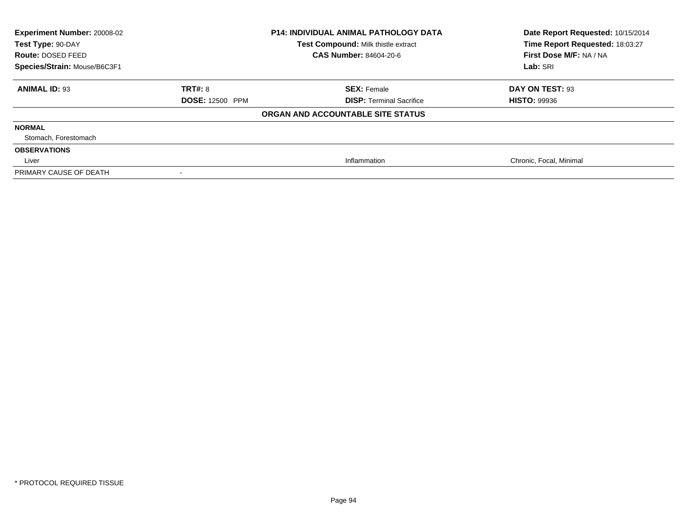| Experiment Number: 20008-02<br>Test Type: 90-DAY<br>Route: DOSED FEED<br>Species/Strain: Mouse/B6C3F1 | <b>P14: INDIVIDUAL ANIMAL PATHOLOGY DATA</b><br>Test Compound: Milk thistle extract<br>CAS Number: 84604-20-6 |                                   | Date Report Requested: 10/15/2014<br>Time Report Requested: 18:03:27<br>First Dose M/F: NA / NA<br>Lab: SRI |
|-------------------------------------------------------------------------------------------------------|---------------------------------------------------------------------------------------------------------------|-----------------------------------|-------------------------------------------------------------------------------------------------------------|
| <b>ANIMAL ID: 93</b>                                                                                  | TRT#: 8                                                                                                       | <b>SEX: Female</b>                | DAY ON TEST: 93                                                                                             |
|                                                                                                       | <b>DOSE: 12500 PPM</b>                                                                                        | <b>DISP: Terminal Sacrifice</b>   | <b>HISTO: 99936</b>                                                                                         |
|                                                                                                       |                                                                                                               | ORGAN AND ACCOUNTABLE SITE STATUS |                                                                                                             |
| <b>NORMAL</b>                                                                                         |                                                                                                               |                                   |                                                                                                             |
| Stomach, Forestomach                                                                                  |                                                                                                               |                                   |                                                                                                             |
| <b>OBSERVATIONS</b>                                                                                   |                                                                                                               |                                   |                                                                                                             |
| Liver                                                                                                 |                                                                                                               | Inflammation                      | Chronic, Focal, Minimal                                                                                     |
| PRIMARY CAUSE OF DEATH                                                                                |                                                                                                               |                                   |                                                                                                             |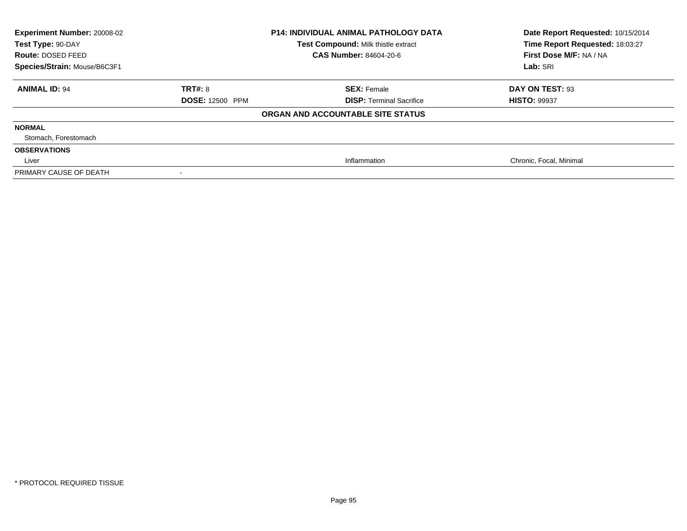| Experiment Number: 20008-02<br>Test Type: 90-DAY<br>Route: DOSED FEED<br>Species/Strain: Mouse/B6C3F1 | <b>P14: INDIVIDUAL ANIMAL PATHOLOGY DATA</b><br>Test Compound: Milk thistle extract<br>CAS Number: 84604-20-6 |                                   | Date Report Requested: 10/15/2014<br>Time Report Requested: 18:03:27<br>First Dose M/F: NA / NA<br>Lab: SRI |
|-------------------------------------------------------------------------------------------------------|---------------------------------------------------------------------------------------------------------------|-----------------------------------|-------------------------------------------------------------------------------------------------------------|
| <b>ANIMAL ID: 94</b>                                                                                  | TRT#: 8                                                                                                       | <b>SEX: Female</b>                | DAY ON TEST: 93                                                                                             |
|                                                                                                       | <b>DOSE: 12500 PPM</b>                                                                                        | <b>DISP: Terminal Sacrifice</b>   | <b>HISTO: 99937</b>                                                                                         |
|                                                                                                       |                                                                                                               | ORGAN AND ACCOUNTABLE SITE STATUS |                                                                                                             |
| <b>NORMAL</b>                                                                                         |                                                                                                               |                                   |                                                                                                             |
| Stomach, Forestomach                                                                                  |                                                                                                               |                                   |                                                                                                             |
| <b>OBSERVATIONS</b>                                                                                   |                                                                                                               |                                   |                                                                                                             |
| Liver                                                                                                 |                                                                                                               | Inflammation                      | Chronic, Focal, Minimal                                                                                     |
| PRIMARY CAUSE OF DEATH                                                                                |                                                                                                               |                                   |                                                                                                             |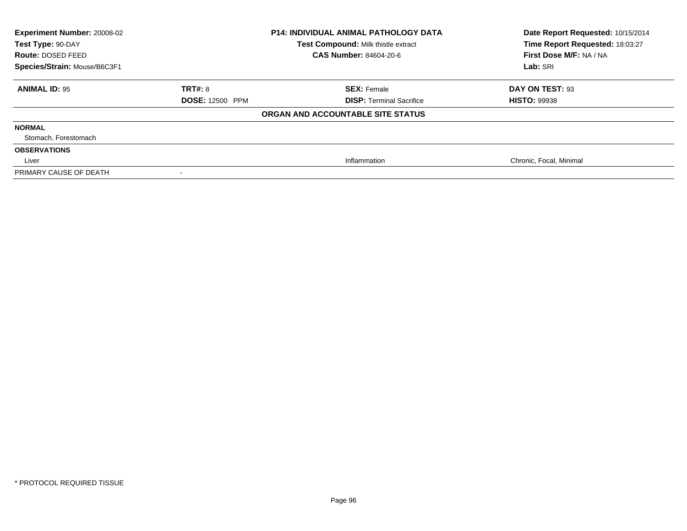| Experiment Number: 20008-02<br>Test Type: 90-DAY<br>Route: DOSED FEED<br>Species/Strain: Mouse/B6C3F1 | <b>P14: INDIVIDUAL ANIMAL PATHOLOGY DATA</b><br>Test Compound: Milk thistle extract<br>CAS Number: 84604-20-6 |                                   | Date Report Requested: 10/15/2014<br>Time Report Requested: 18:03:27<br>First Dose M/F: NA / NA<br>Lab: SRI |
|-------------------------------------------------------------------------------------------------------|---------------------------------------------------------------------------------------------------------------|-----------------------------------|-------------------------------------------------------------------------------------------------------------|
| <b>ANIMAL ID: 95</b>                                                                                  | TRT#: 8                                                                                                       | <b>SEX: Female</b>                | DAY ON TEST: 93                                                                                             |
|                                                                                                       | <b>DOSE: 12500 PPM</b>                                                                                        | <b>DISP: Terminal Sacrifice</b>   | <b>HISTO: 99938</b>                                                                                         |
|                                                                                                       |                                                                                                               | ORGAN AND ACCOUNTABLE SITE STATUS |                                                                                                             |
| <b>NORMAL</b>                                                                                         |                                                                                                               |                                   |                                                                                                             |
| Stomach, Forestomach                                                                                  |                                                                                                               |                                   |                                                                                                             |
| <b>OBSERVATIONS</b>                                                                                   |                                                                                                               |                                   |                                                                                                             |
| Liver                                                                                                 |                                                                                                               | Inflammation                      | Chronic, Focal, Minimal                                                                                     |
| PRIMARY CAUSE OF DEATH                                                                                |                                                                                                               |                                   |                                                                                                             |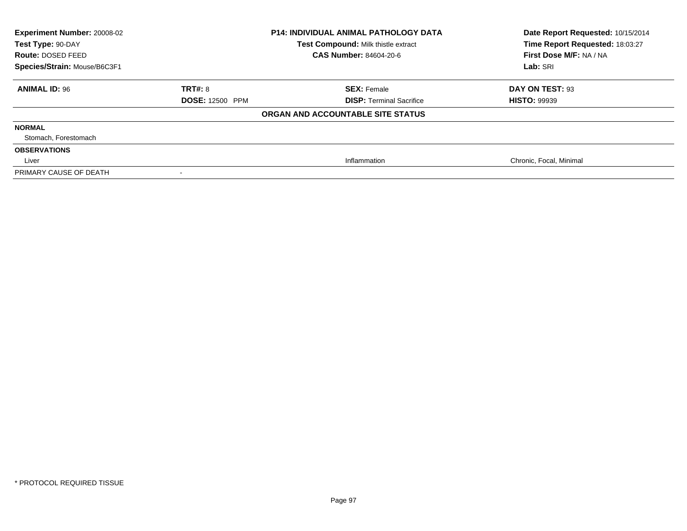| Experiment Number: 20008-02<br>Test Type: 90-DAY<br>Route: DOSED FEED<br>Species/Strain: Mouse/B6C3F1 | <b>P14: INDIVIDUAL ANIMAL PATHOLOGY DATA</b><br>Test Compound: Milk thistle extract<br>CAS Number: 84604-20-6 |                                   | Date Report Requested: 10/15/2014<br>Time Report Requested: 18:03:27<br>First Dose M/F: NA / NA<br>Lab: SRI |
|-------------------------------------------------------------------------------------------------------|---------------------------------------------------------------------------------------------------------------|-----------------------------------|-------------------------------------------------------------------------------------------------------------|
| <b>ANIMAL ID: 96</b>                                                                                  | <b>TRT#: 8</b>                                                                                                | <b>SEX: Female</b>                | DAY ON TEST: 93                                                                                             |
|                                                                                                       | <b>DOSE: 12500 PPM</b>                                                                                        | <b>DISP: Terminal Sacrifice</b>   | <b>HISTO: 99939</b>                                                                                         |
|                                                                                                       |                                                                                                               | ORGAN AND ACCOUNTABLE SITE STATUS |                                                                                                             |
| <b>NORMAL</b>                                                                                         |                                                                                                               |                                   |                                                                                                             |
| Stomach, Forestomach                                                                                  |                                                                                                               |                                   |                                                                                                             |
| <b>OBSERVATIONS</b>                                                                                   |                                                                                                               |                                   |                                                                                                             |
| Liver                                                                                                 |                                                                                                               | Inflammation                      | Chronic, Focal, Minimal                                                                                     |
| PRIMARY CAUSE OF DEATH                                                                                |                                                                                                               |                                   |                                                                                                             |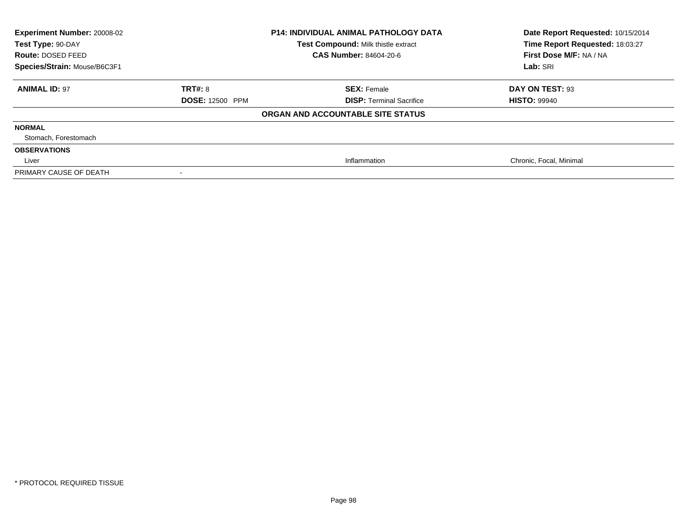| Experiment Number: 20008-02<br>Test Type: 90-DAY<br>Route: DOSED FEED<br>Species/Strain: Mouse/B6C3F1 | <b>P14: INDIVIDUAL ANIMAL PATHOLOGY DATA</b><br>Test Compound: Milk thistle extract<br>CAS Number: 84604-20-6 |                                   | Date Report Requested: 10/15/2014<br>Time Report Requested: 18:03:27<br>First Dose M/F: NA / NA<br>Lab: SRI |
|-------------------------------------------------------------------------------------------------------|---------------------------------------------------------------------------------------------------------------|-----------------------------------|-------------------------------------------------------------------------------------------------------------|
| <b>ANIMAL ID: 97</b>                                                                                  | <b>TRT#: 8</b>                                                                                                | <b>SEX: Female</b>                | DAY ON TEST: 93                                                                                             |
|                                                                                                       | <b>DOSE: 12500 PPM</b>                                                                                        | <b>DISP: Terminal Sacrifice</b>   | <b>HISTO: 99940</b>                                                                                         |
|                                                                                                       |                                                                                                               | ORGAN AND ACCOUNTABLE SITE STATUS |                                                                                                             |
| <b>NORMAL</b>                                                                                         |                                                                                                               |                                   |                                                                                                             |
| Stomach, Forestomach                                                                                  |                                                                                                               |                                   |                                                                                                             |
| <b>OBSERVATIONS</b>                                                                                   |                                                                                                               |                                   |                                                                                                             |
| Liver                                                                                                 |                                                                                                               | Inflammation                      | Chronic, Focal, Minimal                                                                                     |
| PRIMARY CAUSE OF DEATH                                                                                |                                                                                                               |                                   |                                                                                                             |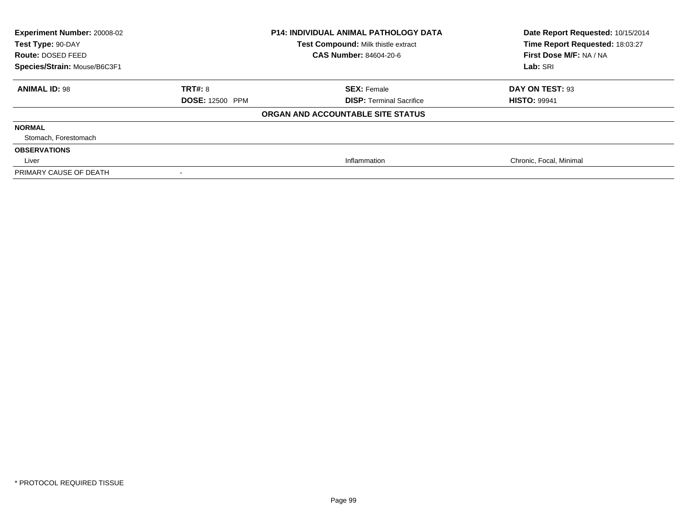| Experiment Number: 20008-02<br>Test Type: 90-DAY<br>Route: DOSED FEED<br>Species/Strain: Mouse/B6C3F1 | <b>P14: INDIVIDUAL ANIMAL PATHOLOGY DATA</b><br>Test Compound: Milk thistle extract<br>CAS Number: 84604-20-6 |                                   | Date Report Requested: 10/15/2014<br>Time Report Requested: 18:03:27<br>First Dose M/F: NA / NA<br>Lab: SRI |
|-------------------------------------------------------------------------------------------------------|---------------------------------------------------------------------------------------------------------------|-----------------------------------|-------------------------------------------------------------------------------------------------------------|
| <b>ANIMAL ID: 98</b>                                                                                  | TRT#: 8                                                                                                       | <b>SEX: Female</b>                | DAY ON TEST: 93                                                                                             |
|                                                                                                       | <b>DOSE: 12500 PPM</b>                                                                                        | <b>DISP: Terminal Sacrifice</b>   | <b>HISTO: 99941</b>                                                                                         |
|                                                                                                       |                                                                                                               | ORGAN AND ACCOUNTABLE SITE STATUS |                                                                                                             |
| <b>NORMAL</b>                                                                                         |                                                                                                               |                                   |                                                                                                             |
| Stomach, Forestomach                                                                                  |                                                                                                               |                                   |                                                                                                             |
| <b>OBSERVATIONS</b>                                                                                   |                                                                                                               |                                   |                                                                                                             |
| Liver                                                                                                 |                                                                                                               | Inflammation                      | Chronic, Focal, Minimal                                                                                     |
| PRIMARY CAUSE OF DEATH                                                                                |                                                                                                               |                                   |                                                                                                             |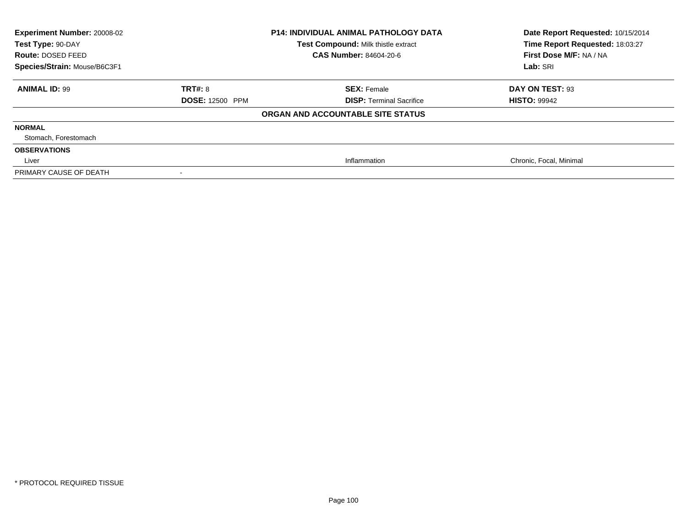| Experiment Number: 20008-02<br>Test Type: 90-DAY<br>Route: DOSED FEED<br>Species/Strain: Mouse/B6C3F1 | <b>P14: INDIVIDUAL ANIMAL PATHOLOGY DATA</b><br>Test Compound: Milk thistle extract<br>CAS Number: 84604-20-6 |                                   | Date Report Requested: 10/15/2014<br>Time Report Requested: 18:03:27<br>First Dose M/F: NA / NA<br>Lab: SRI |
|-------------------------------------------------------------------------------------------------------|---------------------------------------------------------------------------------------------------------------|-----------------------------------|-------------------------------------------------------------------------------------------------------------|
| <b>ANIMAL ID: 99</b>                                                                                  | TRT#: 8                                                                                                       | <b>SEX: Female</b>                | DAY ON TEST: 93                                                                                             |
|                                                                                                       | <b>DOSE: 12500 PPM</b>                                                                                        | <b>DISP: Terminal Sacrifice</b>   | <b>HISTO: 99942</b>                                                                                         |
|                                                                                                       |                                                                                                               | ORGAN AND ACCOUNTABLE SITE STATUS |                                                                                                             |
| <b>NORMAL</b>                                                                                         |                                                                                                               |                                   |                                                                                                             |
| Stomach, Forestomach                                                                                  |                                                                                                               |                                   |                                                                                                             |
| <b>OBSERVATIONS</b>                                                                                   |                                                                                                               |                                   |                                                                                                             |
| Liver                                                                                                 |                                                                                                               | Inflammation                      | Chronic, Focal, Minimal                                                                                     |
| PRIMARY CAUSE OF DEATH                                                                                |                                                                                                               |                                   |                                                                                                             |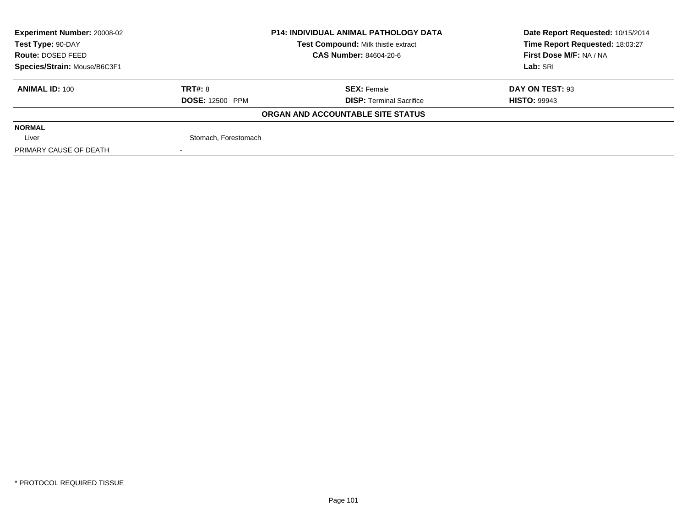| <b>Experiment Number: 20008-02</b> |                               | <b>P14: INDIVIDUAL ANIMAL PATHOLOGY DATA</b> | Date Report Requested: 10/15/2014 |  |
|------------------------------------|-------------------------------|----------------------------------------------|-----------------------------------|--|
| Test Type: 90-DAY                  |                               | <b>Test Compound: Milk thistle extract</b>   | Time Report Requested: 18:03:27   |  |
| Route: DOSED FEED                  | <b>CAS Number: 84604-20-6</b> |                                              | First Dose M/F: NA / NA           |  |
| Species/Strain: Mouse/B6C3F1       |                               |                                              | Lab: SRI                          |  |
| <b>ANIMAL ID: 100</b>              | TRT#: 8                       | <b>SEX: Female</b>                           | DAY ON TEST: 93                   |  |
|                                    | <b>DOSE: 12500 PPM</b>        | <b>DISP: Terminal Sacrifice</b>              | <b>HISTO: 99943</b>               |  |
|                                    |                               | ORGAN AND ACCOUNTABLE SITE STATUS            |                                   |  |
| <b>NORMAL</b>                      |                               |                                              |                                   |  |
| Liver                              | Stomach, Forestomach          |                                              |                                   |  |
| PRIMARY CAUSE OF DEATH             |                               |                                              |                                   |  |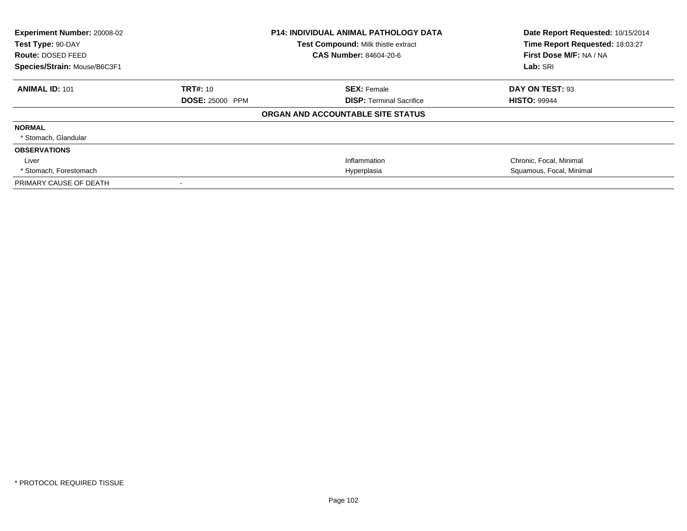| Experiment Number: 20008-02<br>Test Type: 90-DAY<br>Route: DOSED FEED<br>Species/Strain: Mouse/B6C3F1 |                                           | <b>P14: INDIVIDUAL ANIMAL PATHOLOGY DATA</b><br>Test Compound: Milk thistle extract<br>CAS Number: 84604-20-6 | Date Report Requested: 10/15/2014<br>Time Report Requested: 18:03:27<br>First Dose M/F: NA / NA<br>Lab: SRI |
|-------------------------------------------------------------------------------------------------------|-------------------------------------------|---------------------------------------------------------------------------------------------------------------|-------------------------------------------------------------------------------------------------------------|
| <b>ANIMAL ID: 101</b>                                                                                 | <b>TRT#: 10</b><br><b>DOSE: 25000 PPM</b> | <b>SEX: Female</b><br><b>DISP:</b> Terminal Sacrifice                                                         | DAY ON TEST: 93<br><b>HISTO: 99944</b>                                                                      |
|                                                                                                       |                                           | ORGAN AND ACCOUNTABLE SITE STATUS                                                                             |                                                                                                             |
| <b>NORMAL</b><br>* Stomach, Glandular                                                                 |                                           |                                                                                                               |                                                                                                             |
| <b>OBSERVATIONS</b>                                                                                   |                                           |                                                                                                               |                                                                                                             |
| Liver                                                                                                 |                                           | Inflammation                                                                                                  | Chronic, Focal, Minimal                                                                                     |
| * Stomach, Forestomach                                                                                |                                           | Hyperplasia                                                                                                   | Squamous, Focal, Minimal                                                                                    |
| PRIMARY CAUSE OF DEATH                                                                                |                                           |                                                                                                               |                                                                                                             |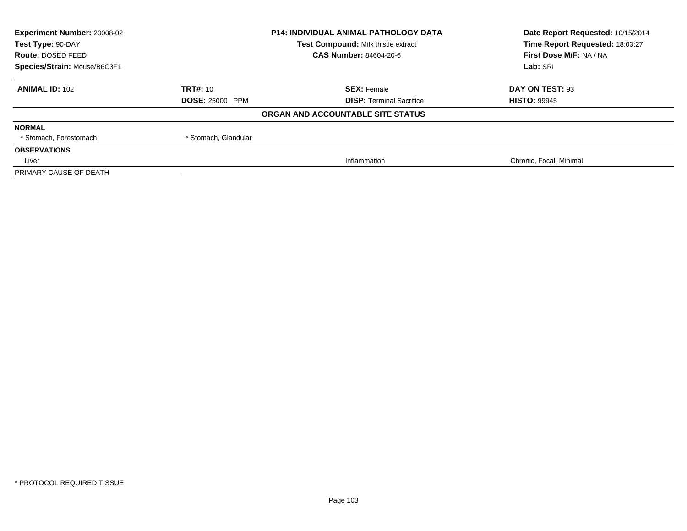| Experiment Number: 20008-02<br><b>P14: INDIVIDUAL ANIMAL PATHOLOGY DATA</b><br>Test Compound: Milk thistle extract<br>Test Type: 90-DAY |                        |                                   | Date Report Requested: 10/15/2014 |
|-----------------------------------------------------------------------------------------------------------------------------------------|------------------------|-----------------------------------|-----------------------------------|
|                                                                                                                                         |                        | Time Report Requested: 18:03:27   |                                   |
| Route: DOSED FEED                                                                                                                       |                        | CAS Number: 84604-20-6            | First Dose M/F: NA / NA           |
| Species/Strain: Mouse/B6C3F1                                                                                                            |                        |                                   | Lab: SRI                          |
| <b>ANIMAL ID: 102</b>                                                                                                                   | TRT#: 10               | <b>SEX: Female</b>                | DAY ON TEST: 93                   |
|                                                                                                                                         | <b>DOSE: 25000 PPM</b> | <b>DISP: Terminal Sacrifice</b>   | <b>HISTO: 99945</b>               |
|                                                                                                                                         |                        | ORGAN AND ACCOUNTABLE SITE STATUS |                                   |
| <b>NORMAL</b>                                                                                                                           |                        |                                   |                                   |
| * Stomach, Forestomach                                                                                                                  | * Stomach, Glandular   |                                   |                                   |
| <b>OBSERVATIONS</b>                                                                                                                     |                        |                                   |                                   |
| Liver                                                                                                                                   |                        | Inflammation                      | Chronic, Focal, Minimal           |
| PRIMARY CAUSE OF DEATH                                                                                                                  |                        |                                   |                                   |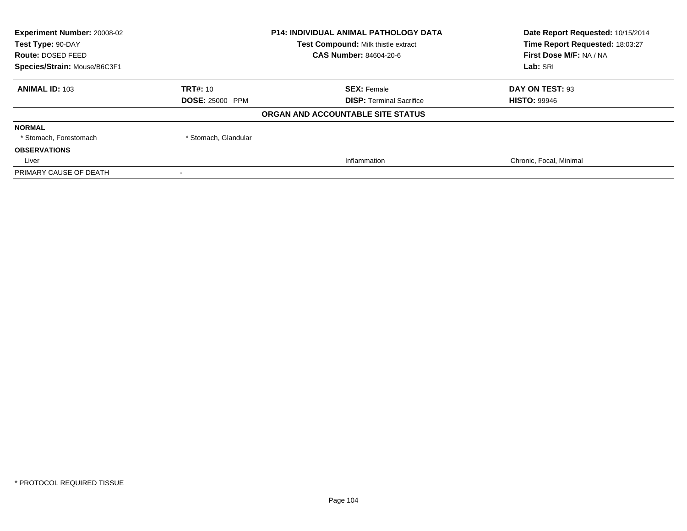| Experiment Number: 20008-02<br><b>P14: INDIVIDUAL ANIMAL PATHOLOGY DATA</b><br>Test Compound: Milk thistle extract<br>Test Type: 90-DAY |                        |                                   | Date Report Requested: 10/15/2014 |
|-----------------------------------------------------------------------------------------------------------------------------------------|------------------------|-----------------------------------|-----------------------------------|
|                                                                                                                                         |                        | Time Report Requested: 18:03:27   |                                   |
| Route: DOSED FEED                                                                                                                       |                        | CAS Number: 84604-20-6            | First Dose M/F: NA / NA           |
| Species/Strain: Mouse/B6C3F1                                                                                                            |                        |                                   | Lab: SRI                          |
| <b>ANIMAL ID: 103</b>                                                                                                                   | TRT#: 10               | <b>SEX: Female</b>                | DAY ON TEST: 93                   |
|                                                                                                                                         | <b>DOSE: 25000 PPM</b> | <b>DISP: Terminal Sacrifice</b>   | <b>HISTO: 99946</b>               |
|                                                                                                                                         |                        | ORGAN AND ACCOUNTABLE SITE STATUS |                                   |
| <b>NORMAL</b>                                                                                                                           |                        |                                   |                                   |
| * Stomach, Forestomach                                                                                                                  | * Stomach, Glandular   |                                   |                                   |
| <b>OBSERVATIONS</b>                                                                                                                     |                        |                                   |                                   |
| Liver                                                                                                                                   |                        | Inflammation                      | Chronic, Focal, Minimal           |
| PRIMARY CAUSE OF DEATH                                                                                                                  |                        |                                   |                                   |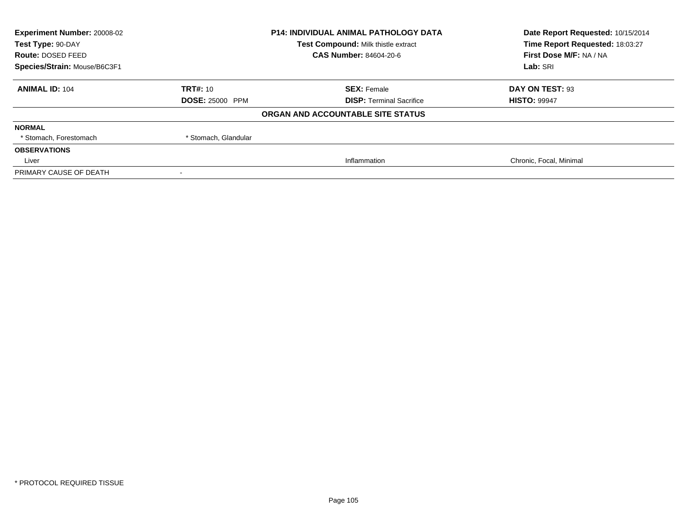| Experiment Number: 20008-02<br><b>P14: INDIVIDUAL ANIMAL PATHOLOGY DATA</b><br>Test Compound: Milk thistle extract<br>Test Type: 90-DAY |                        |                                   | Date Report Requested: 10/15/2014 |
|-----------------------------------------------------------------------------------------------------------------------------------------|------------------------|-----------------------------------|-----------------------------------|
|                                                                                                                                         |                        | Time Report Requested: 18:03:27   |                                   |
| Route: DOSED FEED                                                                                                                       |                        | CAS Number: 84604-20-6            | First Dose M/F: NA / NA           |
| Species/Strain: Mouse/B6C3F1                                                                                                            |                        |                                   | Lab: SRI                          |
| <b>ANIMAL ID: 104</b>                                                                                                                   | TRT#: 10               | <b>SEX: Female</b>                | DAY ON TEST: 93                   |
|                                                                                                                                         | <b>DOSE: 25000 PPM</b> | <b>DISP: Terminal Sacrifice</b>   | <b>HISTO: 99947</b>               |
|                                                                                                                                         |                        | ORGAN AND ACCOUNTABLE SITE STATUS |                                   |
| <b>NORMAL</b>                                                                                                                           |                        |                                   |                                   |
| * Stomach, Forestomach                                                                                                                  | * Stomach, Glandular   |                                   |                                   |
| <b>OBSERVATIONS</b>                                                                                                                     |                        |                                   |                                   |
| Liver                                                                                                                                   |                        | Inflammation                      | Chronic, Focal, Minimal           |
| PRIMARY CAUSE OF DEATH                                                                                                                  |                        |                                   |                                   |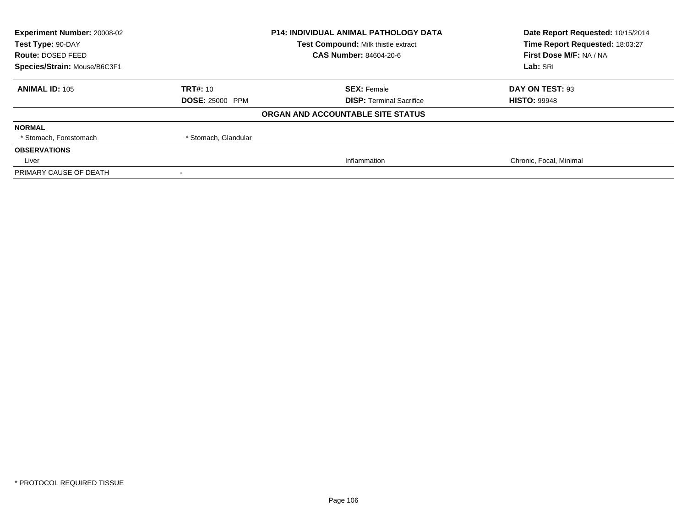| Experiment Number: 20008-02<br><b>P14: INDIVIDUAL ANIMAL PATHOLOGY DATA</b><br>Test Compound: Milk thistle extract<br>Test Type: 90-DAY |                        |                                   | Date Report Requested: 10/15/2014 |
|-----------------------------------------------------------------------------------------------------------------------------------------|------------------------|-----------------------------------|-----------------------------------|
|                                                                                                                                         |                        | Time Report Requested: 18:03:27   |                                   |
| Route: DOSED FEED                                                                                                                       |                        | CAS Number: 84604-20-6            | First Dose M/F: NA / NA           |
| Species/Strain: Mouse/B6C3F1                                                                                                            |                        |                                   | Lab: SRI                          |
| <b>ANIMAL ID: 105</b>                                                                                                                   | TRT#: 10               | <b>SEX: Female</b>                | DAY ON TEST: 93                   |
|                                                                                                                                         | <b>DOSE: 25000 PPM</b> | <b>DISP: Terminal Sacrifice</b>   | <b>HISTO: 99948</b>               |
|                                                                                                                                         |                        | ORGAN AND ACCOUNTABLE SITE STATUS |                                   |
| <b>NORMAL</b>                                                                                                                           |                        |                                   |                                   |
| * Stomach, Forestomach                                                                                                                  | * Stomach, Glandular   |                                   |                                   |
| <b>OBSERVATIONS</b>                                                                                                                     |                        |                                   |                                   |
| Liver                                                                                                                                   |                        | Inflammation                      | Chronic, Focal, Minimal           |
| PRIMARY CAUSE OF DEATH                                                                                                                  |                        |                                   |                                   |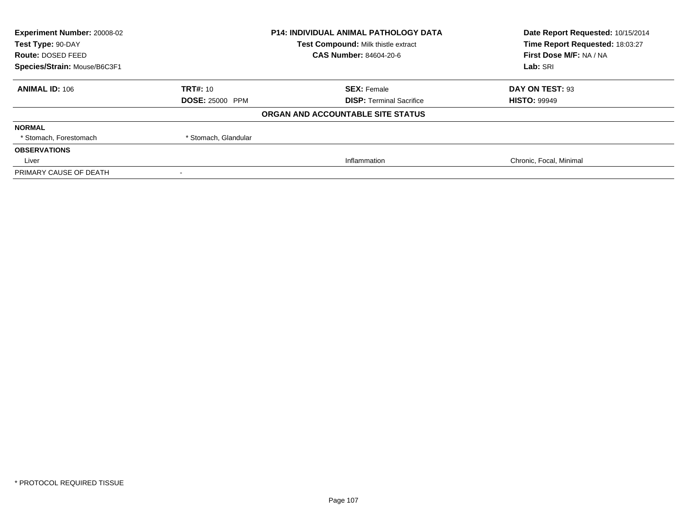| Experiment Number: 20008-02<br><b>P14: INDIVIDUAL ANIMAL PATHOLOGY DATA</b><br>Test Compound: Milk thistle extract<br>Test Type: 90-DAY |                        |                                   | Date Report Requested: 10/15/2014 |
|-----------------------------------------------------------------------------------------------------------------------------------------|------------------------|-----------------------------------|-----------------------------------|
|                                                                                                                                         |                        | Time Report Requested: 18:03:27   |                                   |
| Route: DOSED FEED                                                                                                                       |                        | CAS Number: 84604-20-6            | First Dose M/F: NA / NA           |
| Species/Strain: Mouse/B6C3F1                                                                                                            |                        |                                   | Lab: SRI                          |
| <b>ANIMAL ID: 106</b>                                                                                                                   | TRT#: 10               | <b>SEX: Female</b>                | DAY ON TEST: 93                   |
|                                                                                                                                         | <b>DOSE: 25000 PPM</b> | <b>DISP: Terminal Sacrifice</b>   | <b>HISTO: 99949</b>               |
|                                                                                                                                         |                        | ORGAN AND ACCOUNTABLE SITE STATUS |                                   |
| <b>NORMAL</b>                                                                                                                           |                        |                                   |                                   |
| * Stomach, Forestomach                                                                                                                  | * Stomach, Glandular   |                                   |                                   |
| <b>OBSERVATIONS</b>                                                                                                                     |                        |                                   |                                   |
| Liver                                                                                                                                   |                        | Inflammation                      | Chronic, Focal, Minimal           |
| PRIMARY CAUSE OF DEATH                                                                                                                  |                        |                                   |                                   |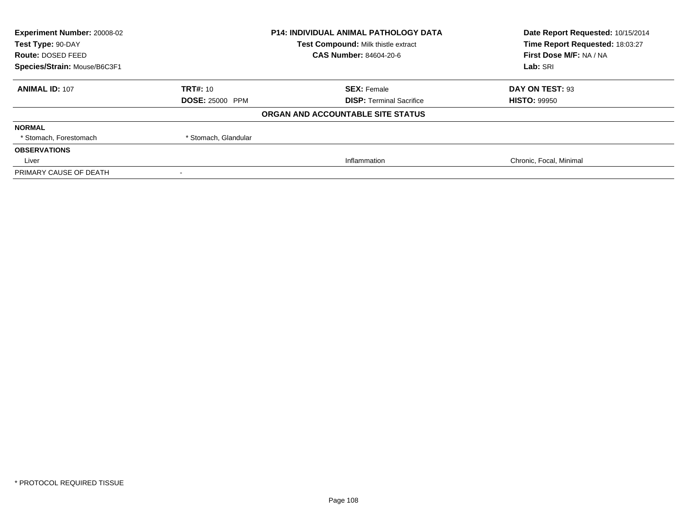| Experiment Number: 20008-02<br><b>P14: INDIVIDUAL ANIMAL PATHOLOGY DATA</b><br>Test Compound: Milk thistle extract<br>Test Type: 90-DAY |                        |                                   | Date Report Requested: 10/15/2014 |
|-----------------------------------------------------------------------------------------------------------------------------------------|------------------------|-----------------------------------|-----------------------------------|
|                                                                                                                                         |                        | Time Report Requested: 18:03:27   |                                   |
| Route: DOSED FEED                                                                                                                       |                        | CAS Number: 84604-20-6            | First Dose M/F: NA / NA           |
| Species/Strain: Mouse/B6C3F1                                                                                                            |                        |                                   | Lab: SRI                          |
| <b>ANIMAL ID: 107</b>                                                                                                                   | TRT#: 10               | <b>SEX: Female</b>                | DAY ON TEST: 93                   |
|                                                                                                                                         | <b>DOSE: 25000 PPM</b> | <b>DISP: Terminal Sacrifice</b>   | <b>HISTO: 99950</b>               |
|                                                                                                                                         |                        | ORGAN AND ACCOUNTABLE SITE STATUS |                                   |
| <b>NORMAL</b>                                                                                                                           |                        |                                   |                                   |
| * Stomach, Forestomach                                                                                                                  | * Stomach, Glandular   |                                   |                                   |
| <b>OBSERVATIONS</b>                                                                                                                     |                        |                                   |                                   |
| Liver                                                                                                                                   |                        | Inflammation                      | Chronic, Focal, Minimal           |
| PRIMARY CAUSE OF DEATH                                                                                                                  |                        |                                   |                                   |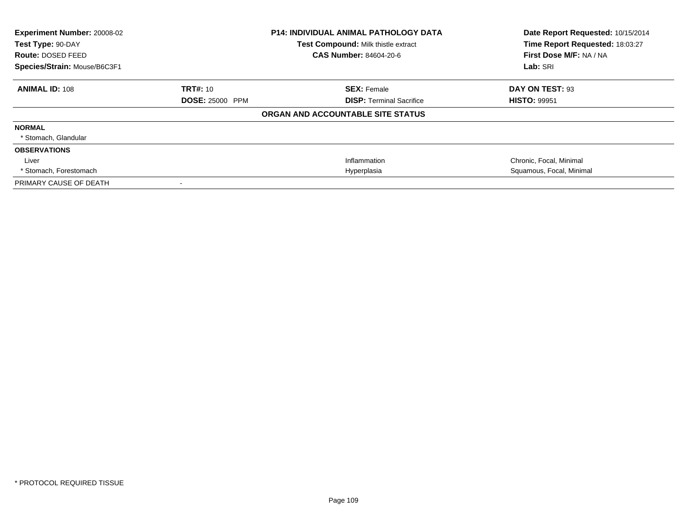| Experiment Number: 20008-02<br>Test Type: 90-DAY<br>Route: DOSED FEED<br>Species/Strain: Mouse/B6C3F1 |                                           | <b>P14: INDIVIDUAL ANIMAL PATHOLOGY DATA</b><br>Test Compound: Milk thistle extract<br>CAS Number: 84604-20-6 | Date Report Requested: 10/15/2014<br>Time Report Requested: 18:03:27<br>First Dose M/F: NA / NA<br>Lab: SRI |
|-------------------------------------------------------------------------------------------------------|-------------------------------------------|---------------------------------------------------------------------------------------------------------------|-------------------------------------------------------------------------------------------------------------|
| <b>ANIMAL ID: 108</b>                                                                                 | <b>TRT#: 10</b><br><b>DOSE: 25000 PPM</b> | <b>SEX: Female</b><br><b>DISP:</b> Terminal Sacrifice                                                         | DAY ON TEST: 93<br><b>HISTO: 99951</b>                                                                      |
|                                                                                                       |                                           | ORGAN AND ACCOUNTABLE SITE STATUS                                                                             |                                                                                                             |
| <b>NORMAL</b><br>* Stomach, Glandular                                                                 |                                           |                                                                                                               |                                                                                                             |
| <b>OBSERVATIONS</b>                                                                                   |                                           |                                                                                                               |                                                                                                             |
| Liver                                                                                                 |                                           | Inflammation                                                                                                  | Chronic, Focal, Minimal                                                                                     |
| * Stomach, Forestomach                                                                                |                                           | Hyperplasia                                                                                                   | Squamous, Focal, Minimal                                                                                    |
| PRIMARY CAUSE OF DEATH                                                                                |                                           |                                                                                                               |                                                                                                             |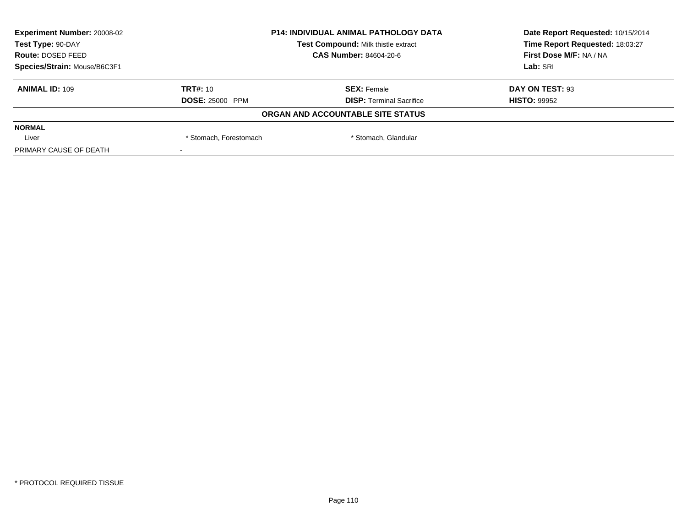| <b>Experiment Number: 20008-02</b> | <b>P14: INDIVIDUAL ANIMAL PATHOLOGY DATA</b><br>Test Compound: Milk thistle extract<br><b>CAS Number: 84604-20-6</b> |                                   | Date Report Requested: 10/15/2014 |  |
|------------------------------------|----------------------------------------------------------------------------------------------------------------------|-----------------------------------|-----------------------------------|--|
| Test Type: 90-DAY                  |                                                                                                                      |                                   | Time Report Requested: 18:03:27   |  |
| Route: DOSED FEED                  |                                                                                                                      |                                   | First Dose M/F: NA / NA           |  |
| Species/Strain: Mouse/B6C3F1       |                                                                                                                      |                                   | Lab: SRI                          |  |
| <b>ANIMAL ID: 109</b>              | <b>TRT#: 10</b>                                                                                                      | <b>SEX: Female</b>                | DAY ON TEST: 93                   |  |
|                                    | <b>DOSE: 25000 PPM</b>                                                                                               | <b>DISP: Terminal Sacrifice</b>   | <b>HISTO: 99952</b>               |  |
|                                    |                                                                                                                      | ORGAN AND ACCOUNTABLE SITE STATUS |                                   |  |
| <b>NORMAL</b>                      |                                                                                                                      |                                   |                                   |  |
| Liver                              | * Stomach, Forestomach                                                                                               | * Stomach, Glandular              |                                   |  |
| PRIMARY CAUSE OF DEATH             |                                                                                                                      |                                   |                                   |  |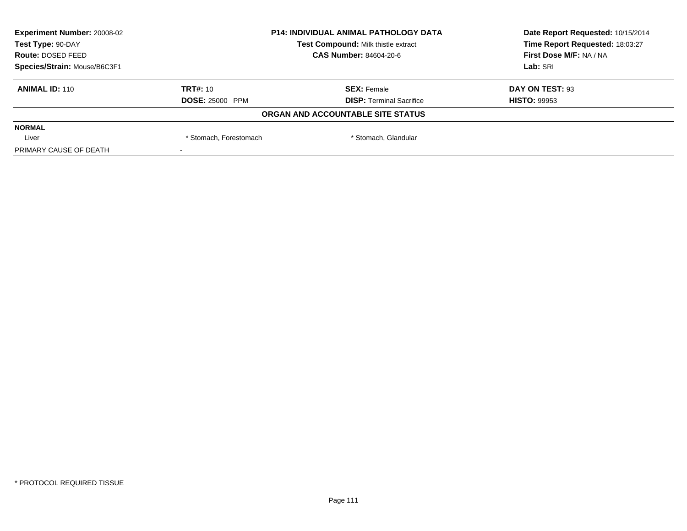| <b>Experiment Number: 20008-02</b> | <b>P14: INDIVIDUAL ANIMAL PATHOLOGY DATA</b><br>Test Compound: Milk thistle extract<br>CAS Number: 84604-20-6 |                                   | Date Report Requested: 10/15/2014 |
|------------------------------------|---------------------------------------------------------------------------------------------------------------|-----------------------------------|-----------------------------------|
| Test Type: 90-DAY                  |                                                                                                               |                                   | Time Report Requested: 18:03:27   |
| Route: DOSED FEED                  |                                                                                                               |                                   | First Dose M/F: NA / NA           |
| Species/Strain: Mouse/B6C3F1       |                                                                                                               |                                   | Lab: SRI                          |
| <b>ANIMAL ID: 110</b>              | <b>TRT#: 10</b>                                                                                               | <b>SEX: Female</b>                | DAY ON TEST: 93                   |
|                                    | <b>DOSE: 25000 PPM</b>                                                                                        | <b>DISP: Terminal Sacrifice</b>   | <b>HISTO: 99953</b>               |
|                                    |                                                                                                               | ORGAN AND ACCOUNTABLE SITE STATUS |                                   |
| <b>NORMAL</b>                      |                                                                                                               |                                   |                                   |
| Liver                              | * Stomach, Forestomach                                                                                        | * Stomach, Glandular              |                                   |
| PRIMARY CAUSE OF DEATH             |                                                                                                               |                                   |                                   |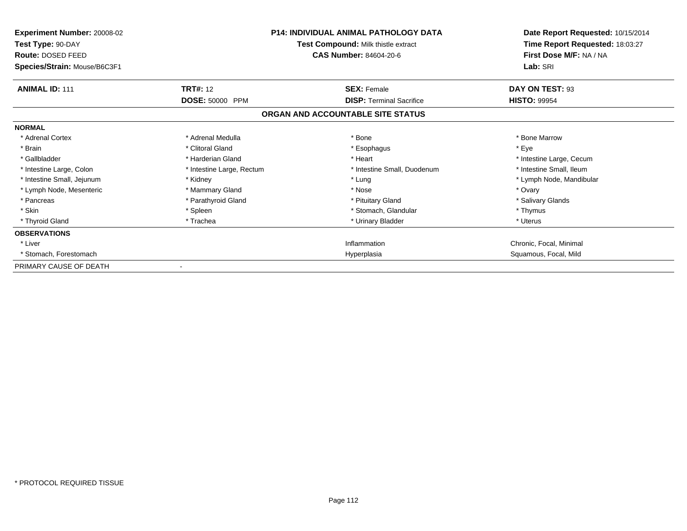| <b>Experiment Number: 20008-02</b><br>Test Type: 90-DAY<br>Route: DOSED FEED<br>Species/Strain: Mouse/B6C3F1 | <b>P14: INDIVIDUAL ANIMAL PATHOLOGY DATA</b><br>Test Compound: Milk thistle extract<br><b>CAS Number: 84604-20-6</b> |                                   | Date Report Requested: 10/15/2014<br>Time Report Requested: 18:03:27<br>First Dose M/F: NA / NA<br>Lab: SRI |
|--------------------------------------------------------------------------------------------------------------|----------------------------------------------------------------------------------------------------------------------|-----------------------------------|-------------------------------------------------------------------------------------------------------------|
| <b>ANIMAL ID: 111</b>                                                                                        | <b>TRT#: 12</b>                                                                                                      | <b>SEX: Female</b>                | DAY ON TEST: 93                                                                                             |
|                                                                                                              | DOSE: 50000 PPM                                                                                                      | <b>DISP: Terminal Sacrifice</b>   | <b>HISTO: 99954</b>                                                                                         |
|                                                                                                              |                                                                                                                      | ORGAN AND ACCOUNTABLE SITE STATUS |                                                                                                             |
| <b>NORMAL</b>                                                                                                |                                                                                                                      |                                   |                                                                                                             |
| * Adrenal Cortex                                                                                             | * Adrenal Medulla                                                                                                    | * Bone                            | * Bone Marrow                                                                                               |
| * Brain                                                                                                      | * Clitoral Gland                                                                                                     | * Esophagus                       | * Eye                                                                                                       |
| * Gallbladder                                                                                                | * Harderian Gland                                                                                                    | * Heart                           | * Intestine Large, Cecum                                                                                    |
| * Intestine Large, Colon                                                                                     | * Intestine Large, Rectum                                                                                            | * Intestine Small, Duodenum       | * Intestine Small, Ileum                                                                                    |
| * Intestine Small, Jejunum                                                                                   | * Kidney                                                                                                             | * Lung                            | * Lymph Node, Mandibular                                                                                    |
| * Lymph Node, Mesenteric                                                                                     | * Mammary Gland                                                                                                      | * Nose                            | * Ovary                                                                                                     |
| * Pancreas                                                                                                   | * Parathyroid Gland                                                                                                  | * Pituitary Gland                 | * Salivary Glands                                                                                           |
| * Skin                                                                                                       | * Spleen                                                                                                             | * Stomach, Glandular              | * Thymus                                                                                                    |
| * Thyroid Gland                                                                                              | * Trachea                                                                                                            | * Urinary Bladder                 | * Uterus                                                                                                    |
| <b>OBSERVATIONS</b>                                                                                          |                                                                                                                      |                                   |                                                                                                             |
| * Liver                                                                                                      |                                                                                                                      | Inflammation                      | Chronic, Focal, Minimal                                                                                     |
| * Stomach, Forestomach                                                                                       |                                                                                                                      | Hyperplasia                       | Squamous, Focal, Mild                                                                                       |
| PRIMARY CAUSE OF DEATH                                                                                       |                                                                                                                      |                                   |                                                                                                             |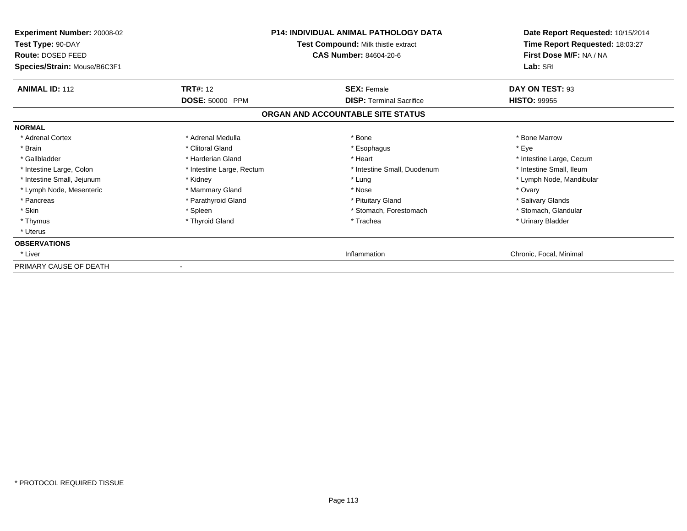| <b>Experiment Number: 20008-02</b><br>Test Type: 90-DAY<br>Route: DOSED FEED<br>Species/Strain: Mouse/B6C3F1 | <b>P14: INDIVIDUAL ANIMAL PATHOLOGY DATA</b><br>Test Compound: Milk thistle extract<br><b>CAS Number: 84604-20-6</b> |                                   | Date Report Requested: 10/15/2014<br>Time Report Requested: 18:03:27<br>First Dose M/F: NA / NA<br>Lab: SRI |
|--------------------------------------------------------------------------------------------------------------|----------------------------------------------------------------------------------------------------------------------|-----------------------------------|-------------------------------------------------------------------------------------------------------------|
| <b>ANIMAL ID: 112</b>                                                                                        | <b>TRT#: 12</b>                                                                                                      | <b>SEX: Female</b>                | DAY ON TEST: 93                                                                                             |
|                                                                                                              | DOSE: 50000 PPM                                                                                                      | <b>DISP: Terminal Sacrifice</b>   | <b>HISTO: 99955</b>                                                                                         |
|                                                                                                              |                                                                                                                      | ORGAN AND ACCOUNTABLE SITE STATUS |                                                                                                             |
| <b>NORMAL</b>                                                                                                |                                                                                                                      |                                   |                                                                                                             |
| * Adrenal Cortex                                                                                             | * Adrenal Medulla                                                                                                    | * Bone                            | * Bone Marrow                                                                                               |
| * Brain                                                                                                      | * Clitoral Gland                                                                                                     | * Esophagus                       | * Eye                                                                                                       |
| * Gallbladder                                                                                                | * Harderian Gland                                                                                                    | * Heart                           | * Intestine Large, Cecum                                                                                    |
| * Intestine Large, Colon                                                                                     | * Intestine Large, Rectum                                                                                            | * Intestine Small, Duodenum       | * Intestine Small, Ileum                                                                                    |
| * Intestine Small, Jejunum                                                                                   | * Kidney                                                                                                             | * Lung                            | * Lymph Node, Mandibular                                                                                    |
| * Lymph Node, Mesenteric                                                                                     | * Mammary Gland                                                                                                      | * Nose                            | * Ovary                                                                                                     |
| * Pancreas                                                                                                   | * Parathyroid Gland                                                                                                  | * Pituitary Gland                 | * Salivary Glands                                                                                           |
| * Skin                                                                                                       | * Spleen                                                                                                             | * Stomach, Forestomach            | * Stomach, Glandular                                                                                        |
| * Thymus                                                                                                     | * Thyroid Gland                                                                                                      | * Trachea                         | * Urinary Bladder                                                                                           |
| * Uterus                                                                                                     |                                                                                                                      |                                   |                                                                                                             |
| <b>OBSERVATIONS</b>                                                                                          |                                                                                                                      |                                   |                                                                                                             |
| * Liver                                                                                                      |                                                                                                                      | Inflammation                      | Chronic, Focal, Minimal                                                                                     |
| PRIMARY CAUSE OF DEATH                                                                                       |                                                                                                                      |                                   |                                                                                                             |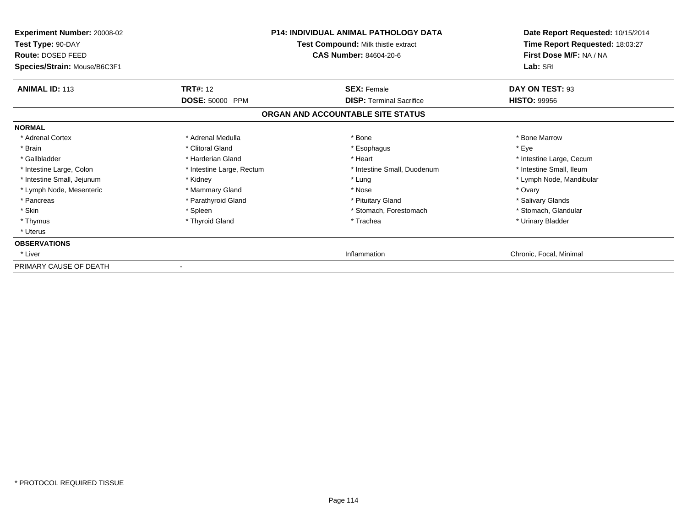| <b>Experiment Number: 20008-02</b><br>Test Type: 90-DAY<br>Route: DOSED FEED<br>Species/Strain: Mouse/B6C3F1 | <b>P14: INDIVIDUAL ANIMAL PATHOLOGY DATA</b><br>Test Compound: Milk thistle extract<br><b>CAS Number: 84604-20-6</b> |                                   | Date Report Requested: 10/15/2014<br>Time Report Requested: 18:03:27<br>First Dose M/F: NA / NA<br>Lab: SRI |
|--------------------------------------------------------------------------------------------------------------|----------------------------------------------------------------------------------------------------------------------|-----------------------------------|-------------------------------------------------------------------------------------------------------------|
| <b>ANIMAL ID: 113</b>                                                                                        | <b>TRT#: 12</b>                                                                                                      | <b>SEX: Female</b>                | DAY ON TEST: 93                                                                                             |
|                                                                                                              | DOSE: 50000 PPM                                                                                                      | <b>DISP: Terminal Sacrifice</b>   | <b>HISTO: 99956</b>                                                                                         |
|                                                                                                              |                                                                                                                      | ORGAN AND ACCOUNTABLE SITE STATUS |                                                                                                             |
| <b>NORMAL</b>                                                                                                |                                                                                                                      |                                   |                                                                                                             |
| * Adrenal Cortex                                                                                             | * Adrenal Medulla                                                                                                    | * Bone                            | * Bone Marrow                                                                                               |
| * Brain                                                                                                      | * Clitoral Gland                                                                                                     | * Esophagus                       | * Eye                                                                                                       |
| * Gallbladder                                                                                                | * Harderian Gland                                                                                                    | * Heart                           | * Intestine Large, Cecum                                                                                    |
| * Intestine Large, Colon                                                                                     | * Intestine Large, Rectum                                                                                            | * Intestine Small, Duodenum       | * Intestine Small, Ileum                                                                                    |
| * Intestine Small, Jejunum                                                                                   | * Kidney                                                                                                             | * Lung                            | * Lymph Node, Mandibular                                                                                    |
| * Lymph Node, Mesenteric                                                                                     | * Mammary Gland                                                                                                      | * Nose                            | * Ovary                                                                                                     |
| * Pancreas                                                                                                   | * Parathyroid Gland                                                                                                  | * Pituitary Gland                 | * Salivary Glands                                                                                           |
| * Skin                                                                                                       | * Spleen                                                                                                             | * Stomach, Forestomach            | * Stomach, Glandular                                                                                        |
| * Thymus                                                                                                     | * Thyroid Gland                                                                                                      | * Trachea                         | * Urinary Bladder                                                                                           |
| * Uterus                                                                                                     |                                                                                                                      |                                   |                                                                                                             |
| <b>OBSERVATIONS</b>                                                                                          |                                                                                                                      |                                   |                                                                                                             |
| * Liver                                                                                                      |                                                                                                                      | Inflammation                      | Chronic, Focal, Minimal                                                                                     |
| PRIMARY CAUSE OF DEATH                                                                                       |                                                                                                                      |                                   |                                                                                                             |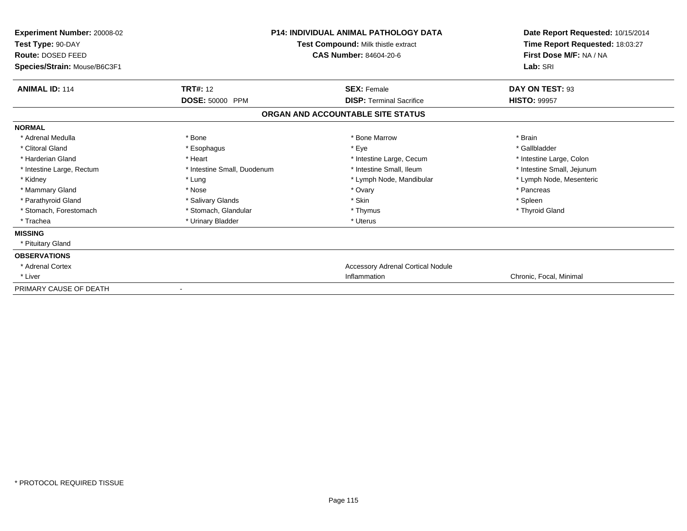| Experiment Number: 20008-02<br>Test Type: 90-DAY<br>Route: DOSED FEED<br>Species/Strain: Mouse/B6C3F1 | <b>P14: INDIVIDUAL ANIMAL PATHOLOGY DATA</b><br>Test Compound: Milk thistle extract<br><b>CAS Number: 84604-20-6</b> |                                          | Date Report Requested: 10/15/2014<br>Time Report Requested: 18:03:27<br>First Dose M/F: NA / NA<br>Lab: SRI |
|-------------------------------------------------------------------------------------------------------|----------------------------------------------------------------------------------------------------------------------|------------------------------------------|-------------------------------------------------------------------------------------------------------------|
| <b>ANIMAL ID: 114</b>                                                                                 | <b>TRT#: 12</b>                                                                                                      | <b>SEX: Female</b>                       | DAY ON TEST: 93                                                                                             |
|                                                                                                       | <b>DOSE: 50000 PPM</b>                                                                                               | <b>DISP: Terminal Sacrifice</b>          | <b>HISTO: 99957</b>                                                                                         |
|                                                                                                       |                                                                                                                      | ORGAN AND ACCOUNTABLE SITE STATUS        |                                                                                                             |
| <b>NORMAL</b>                                                                                         |                                                                                                                      |                                          |                                                                                                             |
| * Adrenal Medulla                                                                                     | * Bone                                                                                                               | * Bone Marrow                            | * Brain                                                                                                     |
| * Clitoral Gland                                                                                      | * Esophagus                                                                                                          | * Eye                                    | * Gallbladder                                                                                               |
| * Harderian Gland                                                                                     | * Heart                                                                                                              | * Intestine Large, Cecum                 | * Intestine Large, Colon                                                                                    |
| * Intestine Large, Rectum                                                                             | * Intestine Small, Duodenum                                                                                          | * Intestine Small, Ileum                 | * Intestine Small, Jejunum                                                                                  |
| * Kidney                                                                                              | * Lung                                                                                                               | * Lymph Node, Mandibular                 | * Lymph Node, Mesenteric                                                                                    |
| * Mammary Gland                                                                                       | * Nose                                                                                                               | * Ovary                                  | * Pancreas                                                                                                  |
| * Parathyroid Gland                                                                                   | * Salivary Glands                                                                                                    | * Skin                                   | * Spleen                                                                                                    |
| * Stomach, Forestomach                                                                                | * Stomach, Glandular                                                                                                 | * Thymus                                 | * Thyroid Gland                                                                                             |
| * Trachea                                                                                             | * Urinary Bladder                                                                                                    | * Uterus                                 |                                                                                                             |
| <b>MISSING</b>                                                                                        |                                                                                                                      |                                          |                                                                                                             |
| * Pituitary Gland                                                                                     |                                                                                                                      |                                          |                                                                                                             |
| <b>OBSERVATIONS</b>                                                                                   |                                                                                                                      |                                          |                                                                                                             |
| * Adrenal Cortex                                                                                      |                                                                                                                      | <b>Accessory Adrenal Cortical Nodule</b> |                                                                                                             |
| * Liver                                                                                               |                                                                                                                      | Inflammation                             | Chronic, Focal, Minimal                                                                                     |
| PRIMARY CAUSE OF DEATH                                                                                |                                                                                                                      |                                          |                                                                                                             |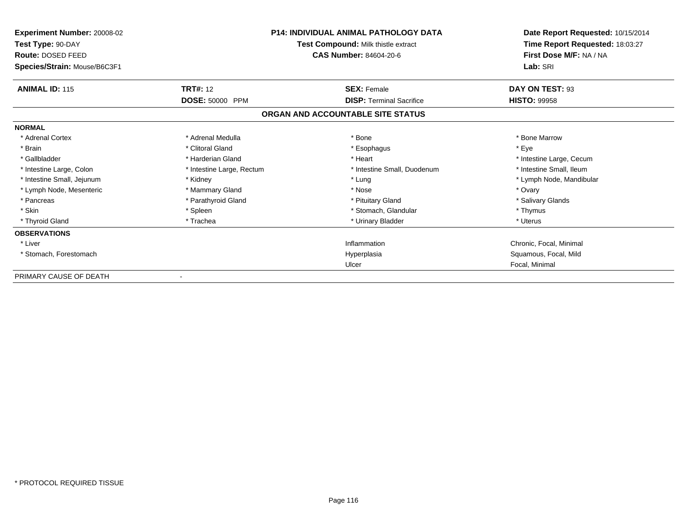| Experiment Number: 20008-02<br>Test Type: 90-DAY<br>Route: DOSED FEED<br>Species/Strain: Mouse/B6C3F1 | <b>P14: INDIVIDUAL ANIMAL PATHOLOGY DATA</b><br>Test Compound: Milk thistle extract<br><b>CAS Number: 84604-20-6</b> |                                                       | Date Report Requested: 10/15/2014<br>Time Report Requested: 18:03:27<br>First Dose M/F: NA / NA<br>Lab: SRI |
|-------------------------------------------------------------------------------------------------------|----------------------------------------------------------------------------------------------------------------------|-------------------------------------------------------|-------------------------------------------------------------------------------------------------------------|
| <b>ANIMAL ID: 115</b>                                                                                 | <b>TRT#: 12</b>                                                                                                      | <b>SEX: Female</b><br><b>DISP: Terminal Sacrifice</b> | DAY ON TEST: 93<br><b>HISTO: 99958</b>                                                                      |
|                                                                                                       | DOSE: 50000 PPM                                                                                                      | ORGAN AND ACCOUNTABLE SITE STATUS                     |                                                                                                             |
| <b>NORMAL</b>                                                                                         |                                                                                                                      |                                                       |                                                                                                             |
| * Adrenal Cortex                                                                                      | * Adrenal Medulla                                                                                                    | * Bone                                                | * Bone Marrow                                                                                               |
| * Brain                                                                                               | * Clitoral Gland                                                                                                     | * Esophagus                                           | * Eye                                                                                                       |
| * Gallbladder                                                                                         | * Harderian Gland                                                                                                    | * Heart                                               | * Intestine Large, Cecum                                                                                    |
| * Intestine Large, Colon                                                                              | * Intestine Large, Rectum                                                                                            | * Intestine Small, Duodenum                           | * Intestine Small. Ileum                                                                                    |
| * Intestine Small, Jejunum                                                                            | * Kidney                                                                                                             | * Lung                                                | * Lymph Node, Mandibular                                                                                    |
| * Lymph Node, Mesenteric                                                                              | * Mammary Gland                                                                                                      | * Nose                                                | * Ovary                                                                                                     |
| * Pancreas                                                                                            | * Parathyroid Gland                                                                                                  | * Pituitary Gland                                     | * Salivary Glands                                                                                           |
| * Skin                                                                                                | * Spleen                                                                                                             | * Stomach, Glandular                                  | * Thymus                                                                                                    |
| * Thyroid Gland                                                                                       | * Trachea                                                                                                            | * Urinary Bladder                                     | * Uterus                                                                                                    |
| <b>OBSERVATIONS</b>                                                                                   |                                                                                                                      |                                                       |                                                                                                             |
| * Liver                                                                                               |                                                                                                                      | Inflammation                                          | Chronic, Focal, Minimal                                                                                     |
| * Stomach, Forestomach                                                                                |                                                                                                                      | Hyperplasia                                           | Squamous, Focal, Mild                                                                                       |
|                                                                                                       |                                                                                                                      | Ulcer                                                 | Focal, Minimal                                                                                              |
| PRIMARY CAUSE OF DEATH                                                                                |                                                                                                                      |                                                       |                                                                                                             |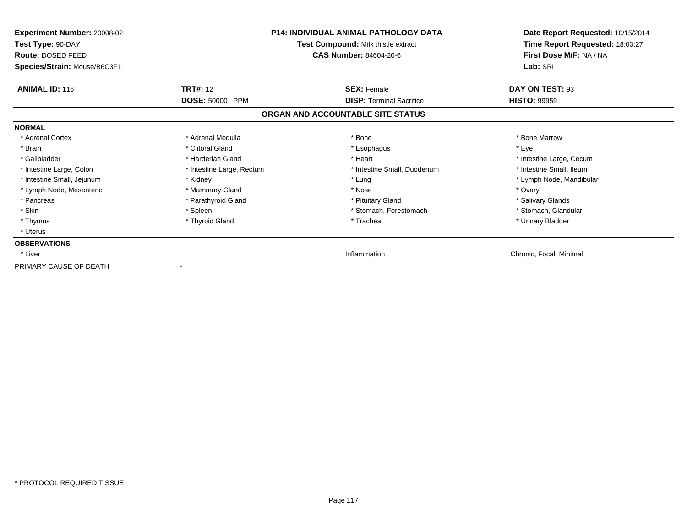| <b>Experiment Number: 20008-02</b><br>Test Type: 90-DAY<br>Route: DOSED FEED<br>Species/Strain: Mouse/B6C3F1 | <b>P14: INDIVIDUAL ANIMAL PATHOLOGY DATA</b><br>Test Compound: Milk thistle extract<br><b>CAS Number: 84604-20-6</b> |                                   | Date Report Requested: 10/15/2014<br>Time Report Requested: 18:03:27<br>First Dose M/F: NA / NA<br>Lab: SRI |
|--------------------------------------------------------------------------------------------------------------|----------------------------------------------------------------------------------------------------------------------|-----------------------------------|-------------------------------------------------------------------------------------------------------------|
| <b>ANIMAL ID: 116</b>                                                                                        | <b>TRT#: 12</b>                                                                                                      | <b>SEX: Female</b>                | DAY ON TEST: 93                                                                                             |
|                                                                                                              | DOSE: 50000 PPM                                                                                                      | <b>DISP: Terminal Sacrifice</b>   | <b>HISTO: 99959</b>                                                                                         |
|                                                                                                              |                                                                                                                      | ORGAN AND ACCOUNTABLE SITE STATUS |                                                                                                             |
| <b>NORMAL</b>                                                                                                |                                                                                                                      |                                   |                                                                                                             |
| * Adrenal Cortex                                                                                             | * Adrenal Medulla                                                                                                    | * Bone                            | * Bone Marrow                                                                                               |
| * Brain                                                                                                      | * Clitoral Gland                                                                                                     | * Esophagus                       | * Eye                                                                                                       |
| * Gallbladder                                                                                                | * Harderian Gland                                                                                                    | * Heart                           | * Intestine Large, Cecum                                                                                    |
| * Intestine Large, Colon                                                                                     | * Intestine Large, Rectum                                                                                            | * Intestine Small, Duodenum       | * Intestine Small, Ileum                                                                                    |
| * Intestine Small, Jejunum                                                                                   | * Kidney                                                                                                             | * Lung                            | * Lymph Node, Mandibular                                                                                    |
| * Lymph Node, Mesenteric                                                                                     | * Mammary Gland                                                                                                      | * Nose                            | * Ovary                                                                                                     |
| * Pancreas                                                                                                   | * Parathyroid Gland                                                                                                  | * Pituitary Gland                 | * Salivary Glands                                                                                           |
| * Skin                                                                                                       | * Spleen                                                                                                             | * Stomach, Forestomach            | * Stomach, Glandular                                                                                        |
| * Thymus                                                                                                     | * Thyroid Gland                                                                                                      | * Trachea                         | * Urinary Bladder                                                                                           |
| * Uterus                                                                                                     |                                                                                                                      |                                   |                                                                                                             |
| <b>OBSERVATIONS</b>                                                                                          |                                                                                                                      |                                   |                                                                                                             |
| * Liver                                                                                                      |                                                                                                                      | Inflammation                      | Chronic, Focal, Minimal                                                                                     |
| PRIMARY CAUSE OF DEATH                                                                                       |                                                                                                                      |                                   |                                                                                                             |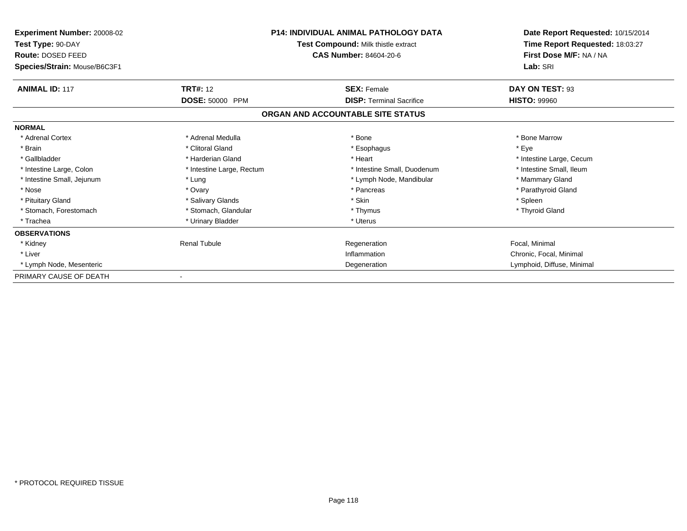| <b>Experiment Number: 20008-02</b><br>Test Type: 90-DAY<br>Route: DOSED FEED<br>Species/Strain: Mouse/B6C3F1 | <b>P14: INDIVIDUAL ANIMAL PATHOLOGY DATA</b><br>Test Compound: Milk thistle extract<br><b>CAS Number: 84604-20-6</b> |                                   | Date Report Requested: 10/15/2014<br>Time Report Requested: 18:03:27<br>First Dose M/F: NA / NA<br>Lab: SRI |
|--------------------------------------------------------------------------------------------------------------|----------------------------------------------------------------------------------------------------------------------|-----------------------------------|-------------------------------------------------------------------------------------------------------------|
| <b>ANIMAL ID: 117</b>                                                                                        | <b>TRT#: 12</b>                                                                                                      | <b>SEX: Female</b>                | DAY ON TEST: 93                                                                                             |
|                                                                                                              | DOSE: 50000 PPM                                                                                                      | <b>DISP: Terminal Sacrifice</b>   | <b>HISTO: 99960</b>                                                                                         |
|                                                                                                              |                                                                                                                      | ORGAN AND ACCOUNTABLE SITE STATUS |                                                                                                             |
| <b>NORMAL</b>                                                                                                |                                                                                                                      |                                   |                                                                                                             |
| * Adrenal Cortex                                                                                             | * Adrenal Medulla                                                                                                    | * Bone                            | * Bone Marrow                                                                                               |
| * Brain                                                                                                      | * Clitoral Gland                                                                                                     | * Esophagus                       | * Eye                                                                                                       |
| * Gallbladder                                                                                                | * Harderian Gland                                                                                                    | * Heart                           | * Intestine Large, Cecum                                                                                    |
| * Intestine Large, Colon                                                                                     | * Intestine Large, Rectum                                                                                            | * Intestine Small, Duodenum       | * Intestine Small, Ileum                                                                                    |
| * Intestine Small, Jejunum                                                                                   | * Lung                                                                                                               | * Lymph Node, Mandibular          | * Mammary Gland                                                                                             |
| * Nose                                                                                                       | * Ovary                                                                                                              | * Pancreas                        | * Parathyroid Gland                                                                                         |
| * Pituitary Gland                                                                                            | * Salivary Glands                                                                                                    | * Skin                            | * Spleen                                                                                                    |
| * Stomach, Forestomach                                                                                       | * Stomach, Glandular                                                                                                 | * Thymus                          | * Thyroid Gland                                                                                             |
| * Trachea                                                                                                    | * Urinary Bladder                                                                                                    | * Uterus                          |                                                                                                             |
| <b>OBSERVATIONS</b>                                                                                          |                                                                                                                      |                                   |                                                                                                             |
| * Kidney                                                                                                     | <b>Renal Tubule</b>                                                                                                  | Regeneration                      | Focal, Minimal                                                                                              |
| * Liver                                                                                                      |                                                                                                                      | Inflammation                      | Chronic, Focal, Minimal                                                                                     |
| * Lymph Node, Mesenteric                                                                                     |                                                                                                                      | Degeneration                      | Lymphoid, Diffuse, Minimal                                                                                  |
| PRIMARY CAUSE OF DEATH                                                                                       |                                                                                                                      |                                   |                                                                                                             |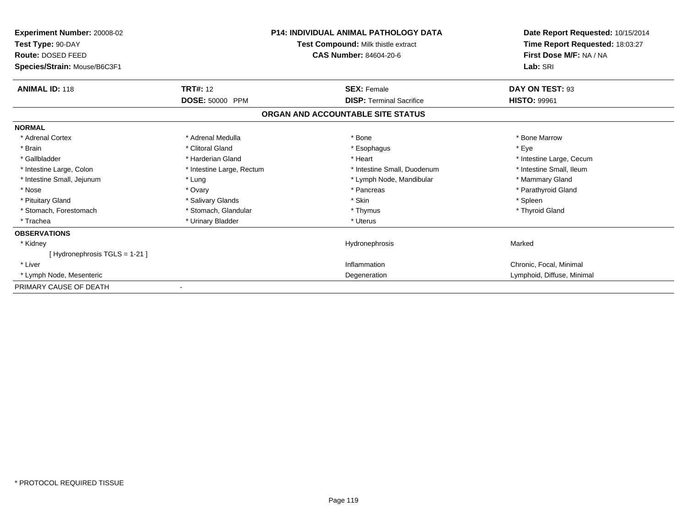| <b>Experiment Number: 20008-02</b><br>Test Type: 90-DAY<br>Route: DOSED FEED<br>Species/Strain: Mouse/B6C3F1 | <b>P14: INDIVIDUAL ANIMAL PATHOLOGY DATA</b><br>Test Compound: Milk thistle extract<br><b>CAS Number: 84604-20-6</b> |                                   | Date Report Requested: 10/15/2014<br>Time Report Requested: 18:03:27<br>First Dose M/F: NA / NA<br>Lab: SRI |  |
|--------------------------------------------------------------------------------------------------------------|----------------------------------------------------------------------------------------------------------------------|-----------------------------------|-------------------------------------------------------------------------------------------------------------|--|
| <b>ANIMAL ID: 118</b>                                                                                        | <b>TRT#: 12</b>                                                                                                      | <b>SEX: Female</b>                | DAY ON TEST: 93                                                                                             |  |
|                                                                                                              | DOSE: 50000 PPM                                                                                                      | <b>DISP: Terminal Sacrifice</b>   | <b>HISTO: 99961</b>                                                                                         |  |
|                                                                                                              |                                                                                                                      | ORGAN AND ACCOUNTABLE SITE STATUS |                                                                                                             |  |
| <b>NORMAL</b>                                                                                                |                                                                                                                      |                                   |                                                                                                             |  |
| * Adrenal Cortex                                                                                             | * Adrenal Medulla                                                                                                    | * Bone                            | * Bone Marrow                                                                                               |  |
| * Brain                                                                                                      | * Clitoral Gland                                                                                                     | * Esophagus                       | * Eye                                                                                                       |  |
| * Gallbladder                                                                                                | * Harderian Gland                                                                                                    | * Heart                           | * Intestine Large, Cecum                                                                                    |  |
| * Intestine Large, Colon                                                                                     | * Intestine Large, Rectum                                                                                            | * Intestine Small, Duodenum       | * Intestine Small. Ileum                                                                                    |  |
| * Intestine Small, Jejunum                                                                                   | * Lung                                                                                                               | * Lymph Node, Mandibular          | * Mammary Gland                                                                                             |  |
| * Nose                                                                                                       | * Ovary                                                                                                              | * Pancreas                        | * Parathyroid Gland                                                                                         |  |
| * Pituitary Gland                                                                                            | * Salivary Glands                                                                                                    | * Skin                            | * Spleen                                                                                                    |  |
| * Stomach, Forestomach                                                                                       | * Stomach, Glandular                                                                                                 | * Thymus                          | * Thyroid Gland                                                                                             |  |
| * Trachea                                                                                                    | * Urinary Bladder                                                                                                    | * Uterus                          |                                                                                                             |  |
| <b>OBSERVATIONS</b>                                                                                          |                                                                                                                      |                                   |                                                                                                             |  |
| * Kidney                                                                                                     |                                                                                                                      | Hydronephrosis                    | Marked                                                                                                      |  |
| [Hydronephrosis TGLS = 1-21]                                                                                 |                                                                                                                      |                                   |                                                                                                             |  |
| * Liver                                                                                                      |                                                                                                                      | Inflammation                      | Chronic, Focal, Minimal                                                                                     |  |
| * Lymph Node, Mesenteric                                                                                     |                                                                                                                      | Degeneration                      | Lymphoid, Diffuse, Minimal                                                                                  |  |
| PRIMARY CAUSE OF DEATH                                                                                       |                                                                                                                      |                                   |                                                                                                             |  |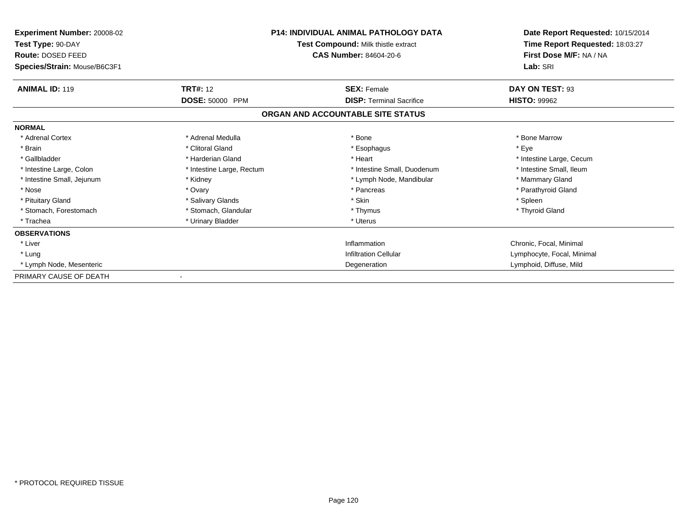| Experiment Number: 20008-02<br>Test Type: 90-DAY<br>Route: DOSED FEED<br>Species/Strain: Mouse/B6C3F1 | <b>P14: INDIVIDUAL ANIMAL PATHOLOGY DATA</b><br>Test Compound: Milk thistle extract<br><b>CAS Number: 84604-20-6</b> |                                                                      | Date Report Requested: 10/15/2014<br>Time Report Requested: 18:03:27<br>First Dose M/F: NA / NA<br>Lab: SRI |
|-------------------------------------------------------------------------------------------------------|----------------------------------------------------------------------------------------------------------------------|----------------------------------------------------------------------|-------------------------------------------------------------------------------------------------------------|
| <b>ANIMAL ID: 119</b>                                                                                 | <b>TRT#: 12</b>                                                                                                      | <b>SEX: Female</b>                                                   | DAY ON TEST: 93                                                                                             |
|                                                                                                       | DOSE: 50000 PPM                                                                                                      | <b>DISP: Terminal Sacrifice</b><br>ORGAN AND ACCOUNTABLE SITE STATUS | <b>HISTO: 99962</b>                                                                                         |
| <b>NORMAL</b>                                                                                         |                                                                                                                      |                                                                      |                                                                                                             |
| * Adrenal Cortex                                                                                      | * Adrenal Medulla                                                                                                    | * Bone                                                               | * Bone Marrow                                                                                               |
| * Brain<br>* Gallbladder                                                                              | * Clitoral Gland<br>* Harderian Gland                                                                                | * Esophagus<br>* Heart                                               | * Eye<br>* Intestine Large, Cecum                                                                           |
| * Intestine Large, Colon                                                                              | * Intestine Large, Rectum                                                                                            | * Intestine Small, Duodenum                                          | * Intestine Small. Ileum                                                                                    |
| * Intestine Small, Jejunum                                                                            | * Kidney                                                                                                             | * Lymph Node, Mandibular                                             | * Mammary Gland                                                                                             |
| * Nose                                                                                                | * Ovary                                                                                                              | * Pancreas                                                           | * Parathyroid Gland                                                                                         |
| * Pituitary Gland                                                                                     | * Salivary Glands                                                                                                    | * Skin                                                               | * Spleen                                                                                                    |
| * Stomach, Forestomach                                                                                | * Stomach, Glandular                                                                                                 | * Thymus                                                             | * Thyroid Gland                                                                                             |
| * Trachea                                                                                             | * Urinary Bladder                                                                                                    | * Uterus                                                             |                                                                                                             |
| <b>OBSERVATIONS</b>                                                                                   |                                                                                                                      |                                                                      |                                                                                                             |
| * Liver                                                                                               |                                                                                                                      | Inflammation                                                         | Chronic, Focal, Minimal                                                                                     |
| * Lung                                                                                                |                                                                                                                      | <b>Infiltration Cellular</b>                                         | Lymphocyte, Focal, Minimal                                                                                  |
| * Lymph Node, Mesenteric                                                                              |                                                                                                                      | Degeneration                                                         | Lymphoid, Diffuse, Mild                                                                                     |
| PRIMARY CAUSE OF DEATH                                                                                |                                                                                                                      |                                                                      |                                                                                                             |